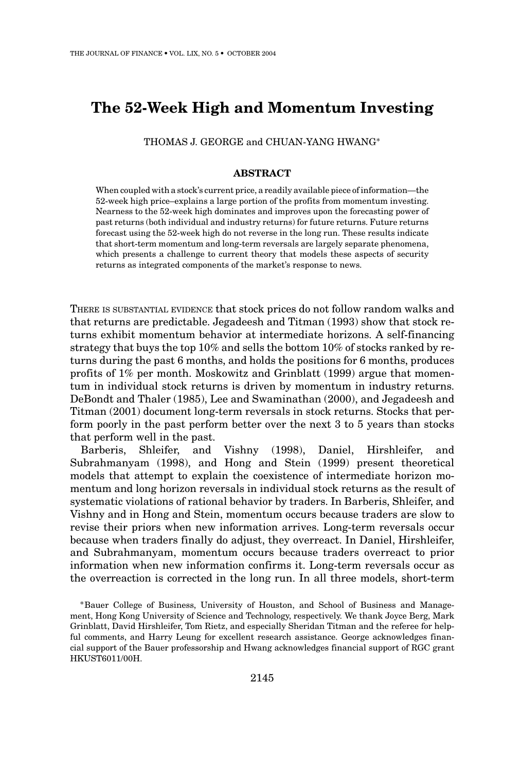# **The 52-Week High and Momentum Investing**

THOMAS J. GEORGE and CHUAN-YANG HWANG∗

#### **ABSTRACT**

When coupled with a stock's current price, a readily available piece of information—the 52-week high price–explains a large portion of the profits from momentum investing. Nearness to the 52-week high dominates and improves upon the forecasting power of past returns (both individual and industry returns) for future returns. Future returns forecast using the 52-week high do not reverse in the long run. These results indicate that short-term momentum and long-term reversals are largely separate phenomena, which presents a challenge to current theory that models these aspects of security returns as integrated components of the market's response to news.

THERE IS SUBSTANTIAL EVIDENCE that stock prices do not follow random walks and that returns are predictable. Jegadeesh and Titman (1993) show that stock returns exhibit momentum behavior at intermediate horizons. A self-financing strategy that buys the top 10% and sells the bottom 10% of stocks ranked by returns during the past 6 months, and holds the positions for 6 months, produces profits of 1% per month. Moskowitz and Grinblatt (1999) argue that momentum in individual stock returns is driven by momentum in industry returns. DeBondt and Thaler (1985), Lee and Swaminathan (2000), and Jegadeesh and Titman (2001) document long-term reversals in stock returns. Stocks that perform poorly in the past perform better over the next 3 to 5 years than stocks that perform well in the past.

Barberis, Shleifer, and Vishny (1998), Daniel, Hirshleifer, and Subrahmanyam (1998), and Hong and Stein (1999) present theoretical models that attempt to explain the coexistence of intermediate horizon momentum and long horizon reversals in individual stock returns as the result of systematic violations of rational behavior by traders. In Barberis, Shleifer, and Vishny and in Hong and Stein, momentum occurs because traders are slow to revise their priors when new information arrives. Long-term reversals occur because when traders finally do adjust, they overreact. In Daniel, Hirshleifer, and Subrahmanyam, momentum occurs because traders overreact to prior information when new information confirms it. Long-term reversals occur as the overreaction is corrected in the long run. In all three models, short-term

∗Bauer College of Business, University of Houston, and School of Business and Management, Hong Kong University of Science and Technology, respectively. We thank Joyce Berg, Mark Grinblatt, David Hirshleifer, Tom Rietz, and especially Sheridan Titman and the referee for helpful comments, and Harry Leung for excellent research assistance. George acknowledges financial support of the Bauer professorship and Hwang acknowledges financial support of RGC grant HKUST6011/00H.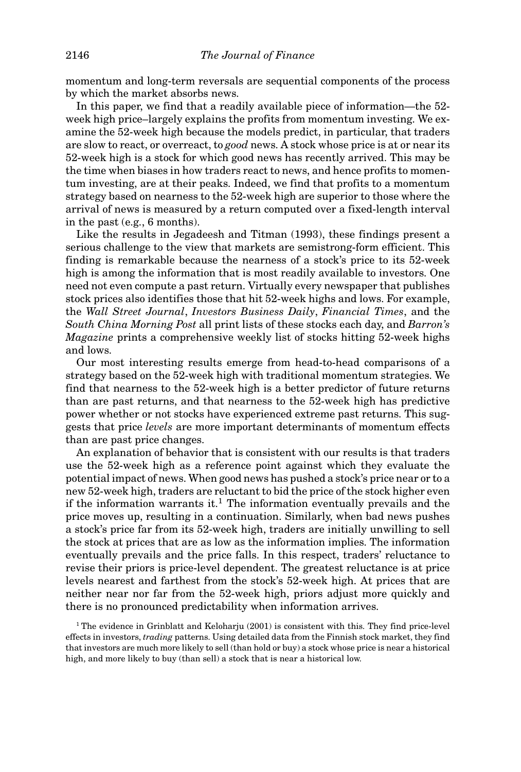momentum and long-term reversals are sequential components of the process by which the market absorbs news.

In this paper, we find that a readily available piece of information—the 52 week high price–largely explains the profits from momentum investing. We examine the 52-week high because the models predict, in particular, that traders are slow to react, or overreact, to *good* news. A stock whose price is at or near its 52-week high is a stock for which good news has recently arrived. This may be the time when biases in how traders react to news, and hence profits to momentum investing, are at their peaks. Indeed, we find that profits to a momentum strategy based on nearness to the 52-week high are superior to those where the arrival of news is measured by a return computed over a fixed-length interval in the past (e.g., 6 months).

Like the results in Jegadeesh and Titman (1993), these findings present a serious challenge to the view that markets are semistrong-form efficient. This finding is remarkable because the nearness of a stock's price to its 52-week high is among the information that is most readily available to investors. One need not even compute a past return. Virtually every newspaper that publishes stock prices also identifies those that hit 52-week highs and lows. For example, the *Wall Street Journal*, *Investors Business Daily*, *Financial Times*, and the *South China Morning Post* all print lists of these stocks each day, and *Barron's Magazine* prints a comprehensive weekly list of stocks hitting 52-week highs and lows.

Our most interesting results emerge from head-to-head comparisons of a strategy based on the 52-week high with traditional momentum strategies. We find that nearness to the 52-week high is a better predictor of future returns than are past returns, and that nearness to the 52-week high has predictive power whether or not stocks have experienced extreme past returns. This suggests that price *levels* are more important determinants of momentum effects than are past price changes.

An explanation of behavior that is consistent with our results is that traders use the 52-week high as a reference point against which they evaluate the potential impact of news. When good news has pushed a stock's price near or to a new 52-week high, traders are reluctant to bid the price of the stock higher even if the information warrants it.<sup>1</sup> The information eventually prevails and the price moves up, resulting in a continuation. Similarly, when bad news pushes a stock's price far from its 52-week high, traders are initially unwilling to sell the stock at prices that are as low as the information implies. The information eventually prevails and the price falls. In this respect, traders' reluctance to revise their priors is price-level dependent. The greatest reluctance is at price levels nearest and farthest from the stock's 52-week high. At prices that are neither near nor far from the 52-week high, priors adjust more quickly and there is no pronounced predictability when information arrives.

<sup>1</sup> The evidence in Grinblatt and Keloharju (2001) is consistent with this. They find price-level effects in investors, *trading* patterns. Using detailed data from the Finnish stock market, they find that investors are much more likely to sell (than hold or buy) a stock whose price is near a historical high, and more likely to buy (than sell) a stock that is near a historical low.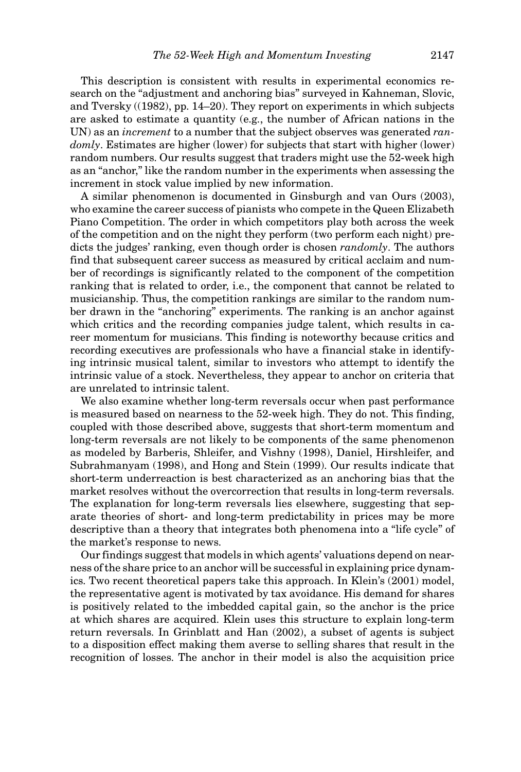This description is consistent with results in experimental economics research on the "adjustment and anchoring bias" surveyed in Kahneman, Slovic, and Tversky ((1982), pp. 14–20). They report on experiments in which subjects are asked to estimate a quantity (e.g., the number of African nations in the UN) as an *increment* to a number that the subject observes was generated *randomly*. Estimates are higher (lower) for subjects that start with higher (lower) random numbers. Our results suggest that traders might use the 52-week high as an "anchor," like the random number in the experiments when assessing the increment in stock value implied by new information.

A similar phenomenon is documented in Ginsburgh and van Ours (2003), who examine the career success of pianists who compete in the Queen Elizabeth Piano Competition. The order in which competitors play both across the week of the competition and on the night they perform (two perform each night) predicts the judges' ranking, even though order is chosen *randomly*. The authors find that subsequent career success as measured by critical acclaim and number of recordings is significantly related to the component of the competition ranking that is related to order, i.e., the component that cannot be related to musicianship. Thus, the competition rankings are similar to the random number drawn in the "anchoring" experiments. The ranking is an anchor against which critics and the recording companies judge talent, which results in career momentum for musicians. This finding is noteworthy because critics and recording executives are professionals who have a financial stake in identifying intrinsic musical talent, similar to investors who attempt to identify the intrinsic value of a stock. Nevertheless, they appear to anchor on criteria that are unrelated to intrinsic talent.

We also examine whether long-term reversals occur when past performance is measured based on nearness to the 52-week high. They do not. This finding, coupled with those described above, suggests that short-term momentum and long-term reversals are not likely to be components of the same phenomenon as modeled by Barberis, Shleifer, and Vishny (1998), Daniel, Hirshleifer, and Subrahmanyam (1998), and Hong and Stein (1999). Our results indicate that short-term underreaction is best characterized as an anchoring bias that the market resolves without the overcorrection that results in long-term reversals. The explanation for long-term reversals lies elsewhere, suggesting that separate theories of short- and long-term predictability in prices may be more descriptive than a theory that integrates both phenomena into a "life cycle" of the market's response to news.

Our findings suggest that models in which agents' valuations depend on nearness of the share price to an anchor will be successful in explaining price dynamics. Two recent theoretical papers take this approach. In Klein's (2001) model, the representative agent is motivated by tax avoidance. His demand for shares is positively related to the imbedded capital gain, so the anchor is the price at which shares are acquired. Klein uses this structure to explain long-term return reversals. In Grinblatt and Han (2002), a subset of agents is subject to a disposition effect making them averse to selling shares that result in the recognition of losses. The anchor in their model is also the acquisition price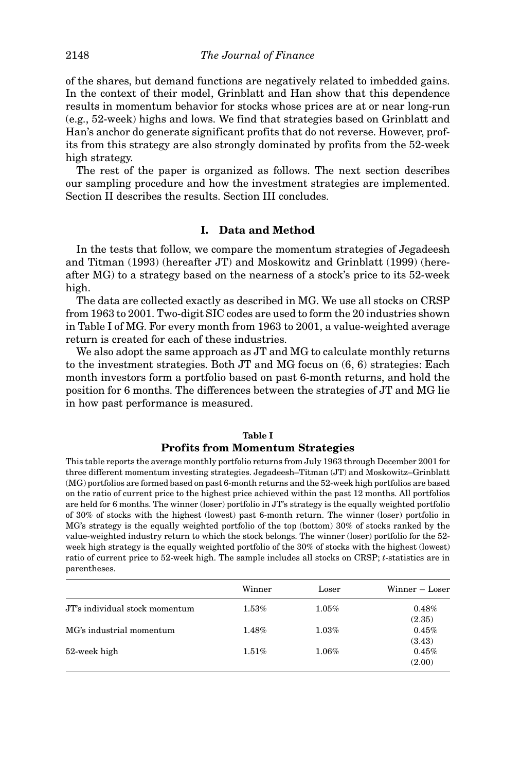of the shares, but demand functions are negatively related to imbedded gains. In the context of their model, Grinblatt and Han show that this dependence results in momentum behavior for stocks whose prices are at or near long-run (e.g., 52-week) highs and lows. We find that strategies based on Grinblatt and Han's anchor do generate significant profits that do not reverse. However, profits from this strategy are also strongly dominated by profits from the 52-week high strategy.

The rest of the paper is organized as follows. The next section describes our sampling procedure and how the investment strategies are implemented. Section II describes the results. Section III concludes.

# **I. Data and Method**

In the tests that follow, we compare the momentum strategies of Jegadeesh and Titman (1993) (hereafter JT) and Moskowitz and Grinblatt (1999) (hereafter MG) to a strategy based on the nearness of a stock's price to its 52-week high.

The data are collected exactly as described in MG. We use all stocks on CRSP from 1963 to 2001. Two-digit SIC codes are used to form the 20 industries shown in Table I of MG. For every month from 1963 to 2001, a value-weighted average return is created for each of these industries.

We also adopt the same approach as JT and MG to calculate monthly returns to the investment strategies. Both JT and MG focus on (6, 6) strategies: Each month investors form a portfolio based on past 6-month returns, and hold the position for 6 months. The differences between the strategies of JT and MG lie in how past performance is measured.

# **Table I Profits from Momentum Strategies**

This table reports the average monthly portfolio returns from July 1963 through December 2001 for three different momentum investing strategies. Jegadeesh–Titman (JT) and Moskowitz–Grinblatt (MG) portfolios are formed based on past 6-month returns and the 52-week high portfolios are based on the ratio of current price to the highest price achieved within the past 12 months. All portfolios are held for 6 months. The winner (loser) portfolio in JT's strategy is the equally weighted portfolio of 30% of stocks with the highest (lowest) past 6-month return. The winner (loser) portfolio in MG's strategy is the equally weighted portfolio of the top (bottom) 30% of stocks ranked by the value-weighted industry return to which the stock belongs. The winner (loser) portfolio for the 52 week high strategy is the equally weighted portfolio of the 30% of stocks with the highest (lowest) ratio of current price to 52-week high. The sample includes all stocks on CRSP; *t*-statistics are in parentheses.

|                                | Winner   | Loser    | $Winner - Loser$ |
|--------------------------------|----------|----------|------------------|
| JT's individual stock momentum | $1.53\%$ | $1.05\%$ | 0.48%<br>(2.35)  |
| MG's industrial momentum       | 1.48%    | $1.03\%$ | 0.45%<br>(3.43)  |
| 52-week high                   | $1.51\%$ | $1.06\%$ | 0.45%<br>(2.00)  |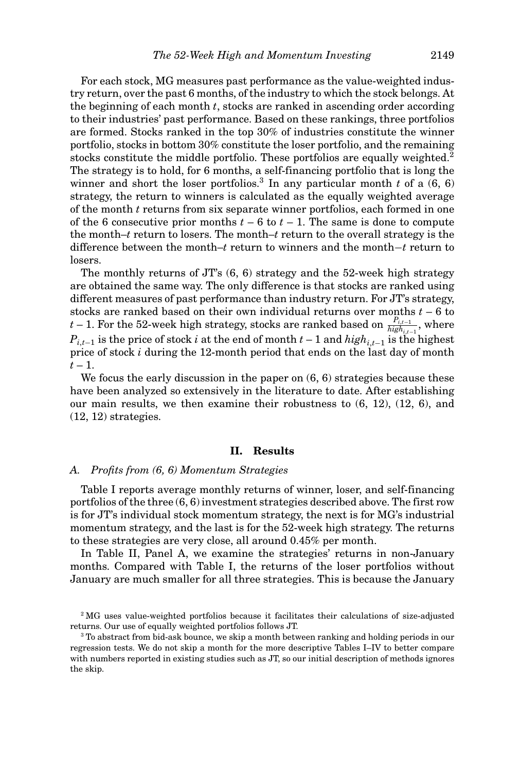For each stock, MG measures past performance as the value-weighted industry return, over the past 6 months, of the industry to which the stock belongs. At the beginning of each month *t*, stocks are ranked in ascending order according to their industries' past performance. Based on these rankings, three portfolios are formed. Stocks ranked in the top 30% of industries constitute the winner portfolio, stocks in bottom 30% constitute the loser portfolio, and the remaining stocks constitute the middle portfolio. These portfolios are equally weighted.<sup>2</sup> The strategy is to hold, for 6 months, a self-financing portfolio that is long the winner and short the loser portfolios.<sup>3</sup> In any particular month  $t$  of a  $(6, 6)$ strategy, the return to winners is calculated as the equally weighted average of the month *t* returns from six separate winner portfolios, each formed in one of the 6 consecutive prior months  $t - 6$  to  $t - 1$ . The same is done to compute the month–*t* return to losers. The month–*t* return to the overall strategy is the difference between the month–*t* return to winners and the month−*t* return to losers.

The monthly returns of JT's (6, 6) strategy and the 52-week high strategy are obtained the same way. The only difference is that stocks are ranked using different measures of past performance than industry return. For JT's strategy, stocks are ranked based on their own individual returns over months *t* – 6 to *t* – 1. For the 52-week high strategy, stocks are ranked based on  $\frac{P_{i,t-1}}{high_{i,t-1}}$ , where  $P_{i,t-1}$  is the price of stock *i* at the end of month *t* – 1 and  $high_{i,t-1}$  is the highest price of stock *i* during the 12-month period that ends on the last day of month  $t-1$ .

We focus the early discussion in the paper on (6, 6) strategies because these have been analyzed so extensively in the literature to date. After establishing our main results, we then examine their robustness to  $(6, 12)$ ,  $(12, 6)$ , and  $(12, 12)$  strategies.

#### **II. Results**

## *A. Profits from (6, 6) Momentum Strategies*

Table I reports average monthly returns of winner, loser, and self-financing portfolios of the three (6, 6) investment strategies described above. The first row is for JT's individual stock momentum strategy, the next is for MG's industrial momentum strategy, and the last is for the 52-week high strategy. The returns to these strategies are very close, all around 0.45% per month.

In Table II, Panel A, we examine the strategies' returns in non-January months. Compared with Table I, the returns of the loser portfolios without January are much smaller for all three strategies. This is because the January

<sup>2</sup> MG uses value-weighted portfolios because it facilitates their calculations of size-adjusted returns. Our use of equally weighted portfolios follows JT.

<sup>3</sup> To abstract from bid-ask bounce, we skip a month between ranking and holding periods in our regression tests. We do not skip a month for the more descriptive Tables I–IV to better compare with numbers reported in existing studies such as JT, so our initial description of methods ignores the skip.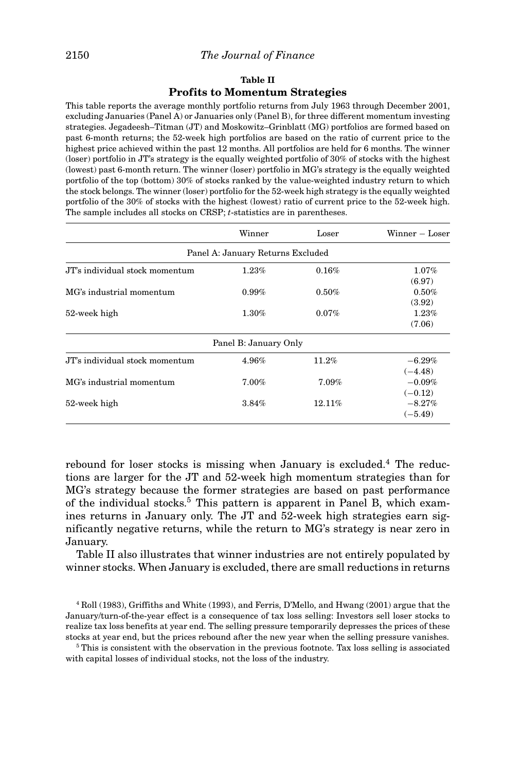# **Table II Profits to Momentum Strategies**

This table reports the average monthly portfolio returns from July 1963 through December 2001, excluding Januaries (Panel A) or Januaries only (Panel B), for three different momentum investing strategies. Jegadeesh–Titman (JT) and Moskowitz–Grinblatt (MG) portfolios are formed based on past 6-month returns; the 52-week high portfolios are based on the ratio of current price to the highest price achieved within the past 12 months. All portfolios are held for 6 months. The winner (loser) portfolio in JT's strategy is the equally weighted portfolio of 30% of stocks with the highest (lowest) past 6-month return. The winner (loser) portfolio in MG's strategy is the equally weighted portfolio of the top (bottom) 30% of stocks ranked by the value-weighted industry return to which the stock belongs. The winner (loser) portfolio for the 52-week high strategy is the equally weighted portfolio of the 30% of stocks with the highest (lowest) ratio of current price to the 52-week high. The sample includes all stocks on CRSP; *t*-statistics are in parentheses.

|                                | Winner                            | Loser     | Winner – Loser         |
|--------------------------------|-----------------------------------|-----------|------------------------|
|                                | Panel A: January Returns Excluded |           |                        |
| JT's individual stock momentum | 1.23%                             | 0.16%     | $1.07\%$<br>(6.97)     |
| MG's industrial momentum       | $0.99\%$                          | $0.50\%$  | $0.50\%$<br>(3.92)     |
| 52-week high                   | 1.30%                             | $0.07\%$  | 1.23%<br>(7.06)        |
|                                | Panel B: January Only             |           |                        |
| JT's individual stock momentum | 4.96%                             | $11.2\%$  | $-6.29\%$<br>$(-4.48)$ |
| MG's industrial momentum       | $7.00\%$                          | $7.09\%$  | $-0.09\%$<br>$(-0.12)$ |
| 52-week high                   | $3.84\%$                          | $12.11\%$ | $-8.27\%$<br>$(-5.49)$ |

rebound for loser stocks is missing when January is excluded.<sup>4</sup> The reductions are larger for the JT and 52-week high momentum strategies than for MG's strategy because the former strategies are based on past performance of the individual stocks.<sup>5</sup> This pattern is apparent in Panel B, which examines returns in January only. The JT and 52-week high strategies earn significantly negative returns, while the return to MG's strategy is near zero in January.

Table II also illustrates that winner industries are not entirely populated by winner stocks. When January is excluded, there are small reductions in returns

<sup>4</sup> Roll (1983), Griffiths and White (1993), and Ferris, D'Mello, and Hwang (2001) argue that the January/turn-of-the-year effect is a consequence of tax loss selling: Investors sell loser stocks to realize tax loss benefits at year end. The selling pressure temporarily depresses the prices of these stocks at year end, but the prices rebound after the new year when the selling pressure vanishes.

<sup>5</sup> This is consistent with the observation in the previous footnote. Tax loss selling is associated with capital losses of individual stocks, not the loss of the industry.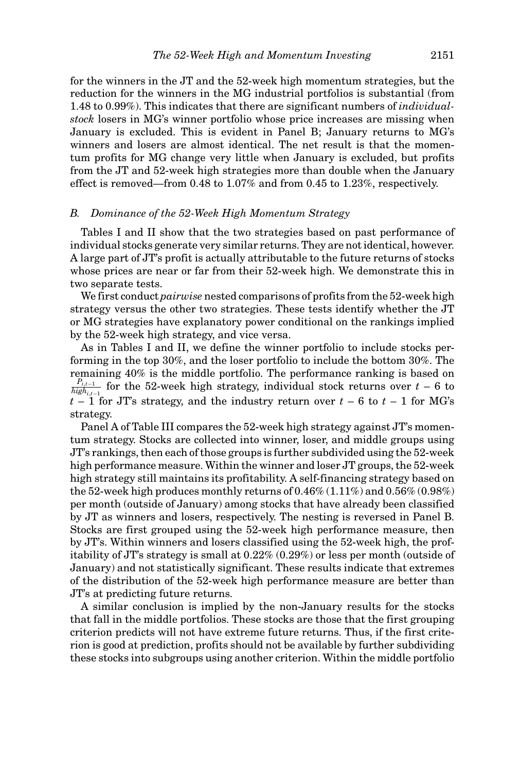for the winners in the JT and the 52-week high momentum strategies, but the reduction for the winners in the MG industrial portfolios is substantial (from 1.48 to 0.99%). This indicates that there are significant numbers of *individualstock* losers in MG's winner portfolio whose price increases are missing when January is excluded. This is evident in Panel B; January returns to MG's winners and losers are almost identical. The net result is that the momentum profits for MG change very little when January is excluded, but profits from the JT and 52-week high strategies more than double when the January effect is removed—from 0.48 to 1.07% and from 0.45 to 1.23%, respectively.

# *B. Dominance of the 52-Week High Momentum Strategy*

Tables I and II show that the two strategies based on past performance of individual stocks generate very similar returns. They are not identical, however. A large part of JT's profit is actually attributable to the future returns of stocks whose prices are near or far from their 52-week high. We demonstrate this in two separate tests.

We first conduct *pairwise* nested comparisons of profits from the 52-week high strategy versus the other two strategies. These tests identify whether the JT or MG strategies have explanatory power conditional on the rankings implied by the 52-week high strategy, and vice versa.

As in Tables I and II, we define the winner portfolio to include stocks performing in the top 30%, and the loser portfolio to include the bottom 30%. The remaining 40% is the middle portfolio. The performance ranking is based on  $P_{i,t-1}$  for the 52-week high strategy, individual stock returns over *t* – 6 to  $\overline{high_{i,t-1}}$  $t-1$  for JT's strategy, and the industry return over  $t-6$  to  $t-1$  for MG's strategy.

Panel A of Table III compares the 52-week high strategy against JT's momentum strategy. Stocks are collected into winner, loser, and middle groups using JT's rankings, then each of those groups is further subdivided using the 52-week high performance measure. Within the winner and loser JT groups, the 52-week high strategy still maintains its profitability. A self-financing strategy based on the 52-week high produces monthly returns of 0.46% (1.11%) and 0.56% (0.98%) per month (outside of January) among stocks that have already been classified by JT as winners and losers, respectively. The nesting is reversed in Panel B. Stocks are first grouped using the 52-week high performance measure, then by JT's. Within winners and losers classified using the 52-week high, the profitability of JT's strategy is small at 0.22% (0.29%) or less per month (outside of January) and not statistically significant. These results indicate that extremes of the distribution of the 52-week high performance measure are better than JT's at predicting future returns.

A similar conclusion is implied by the non-January results for the stocks that fall in the middle portfolios. These stocks are those that the first grouping criterion predicts will not have extreme future returns. Thus, if the first criterion is good at prediction, profits should not be available by further subdividing these stocks into subgroups using another criterion. Within the middle portfolio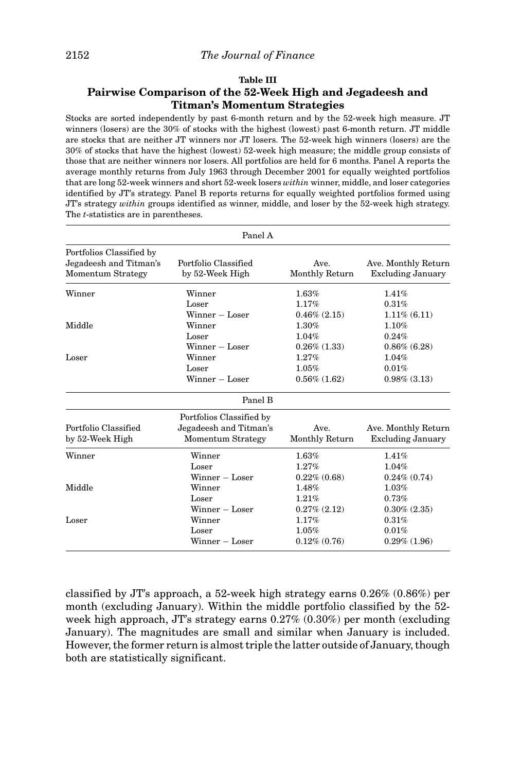# **Table III Pairwise Comparison of the 52-Week High and Jegadeesh and Titman's Momentum Strategies**

Stocks are sorted independently by past 6-month return and by the 52-week high measure. JT winners (losers) are the 30% of stocks with the highest (lowest) past 6-month return. JT middle are stocks that are neither JT winners nor JT losers. The 52-week high winners (losers) are the 30% of stocks that have the highest (lowest) 52-week high measure; the middle group consists of those that are neither winners nor losers. All portfolios are held for 6 months. Panel A reports the average monthly returns from July 1963 through December 2001 for equally weighted portfolios that are long 52-week winners and short 52-week losers *within* winner, middle, and loser categories identified by JT's strategy. Panel B reports returns for equally weighted portfolios formed using JT's strategy *within* groups identified as winner, middle, and loser by the 52-week high strategy. The *t*-statistics are in parentheses.

|                                                                                | Panel A                                                                        |                        |                                                 |
|--------------------------------------------------------------------------------|--------------------------------------------------------------------------------|------------------------|-------------------------------------------------|
| Portfolios Classified by<br>Jegadeesh and Titman's<br><b>Momentum Strategy</b> | Portfolio Classified<br>by 52-Week High                                        | Ave.<br>Monthly Return | Ave. Monthly Return<br><b>Excluding January</b> |
| Winner                                                                         | Winner                                                                         | 1.63%                  | 1.41%                                           |
|                                                                                | Loser                                                                          | 1.17%                  | 0.31%                                           |
| Middle                                                                         | Winner - Loser                                                                 | $0.46\%$ $(2.15)$      | $1.11\%$ (6.11)                                 |
|                                                                                | Winner                                                                         | 1.30%                  | 1.10%                                           |
|                                                                                | Loser                                                                          | 1.04%                  | 0.24%                                           |
| Loser                                                                          | Winner - Loser                                                                 | $0.26\%$ (1.33)        | $0.86\%$ (6.28)                                 |
|                                                                                | Winner                                                                         | 1.27%                  | 1.04%                                           |
|                                                                                | Loser                                                                          | 1.05%                  | 0.01%                                           |
|                                                                                | Winner – Loser                                                                 | $0.56\%$ (1.62)        | $0.98\%$ (3.13)                                 |
|                                                                                | Panel B                                                                        |                        |                                                 |
| Portfolio Classified<br>by 52-Week High                                        | Portfolios Classified by<br>Jegadeesh and Titman's<br><b>Momentum Strategy</b> | Ave.<br>Monthly Return | Ave. Monthly Return<br><b>Excluding January</b> |
| Winner                                                                         | Winner                                                                         | 1.63%                  | 1.41%                                           |
|                                                                                | Loser                                                                          | 1.27%                  | 1.04%                                           |
|                                                                                | $Winner - Loser$                                                               | $0.22\%$ $(0.68)$      | $0.24\%$ $(0.74)$                               |
| Middle                                                                         | Winner                                                                         | 1.48%                  | 1.03%                                           |
|                                                                                | Loser                                                                          | 1.21%                  | 0.73%                                           |
|                                                                                | Winner - Loser                                                                 | $0.27\%$ $(2.12)$      | $0.30\%$ $(2.35)$                               |
| Loser                                                                          | Winner                                                                         | $1.17\%$               | 0.31%                                           |
|                                                                                | Loser                                                                          | 1.05%                  | 0.01%                                           |
|                                                                                | Winner – Loser                                                                 | $0.12\%$ $(0.76)$      | $0.29\%$ (1.96)                                 |

classified by JT's approach, a 52-week high strategy earns 0.26% (0.86%) per month (excluding January). Within the middle portfolio classified by the 52 week high approach, JT's strategy earns 0.27% (0.30%) per month (excluding January). The magnitudes are small and similar when January is included. However, the former return is almost triple the latter outside of January, though both are statistically significant.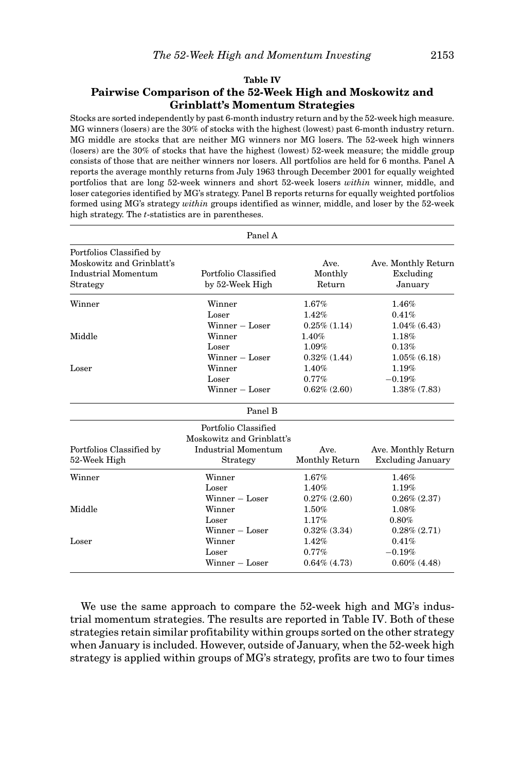# **Table IV Pairwise Comparison of the 52-Week High and Moskowitz and Grinblatt's Momentum Strategies**

Stocks are sorted independently by past 6-month industry return and by the 52-week high measure. MG winners (losers) are the 30% of stocks with the highest (lowest) past 6-month industry return. MG middle are stocks that are neither MG winners nor MG losers. The 52-week high winners (losers) are the 30% of stocks that have the highest (lowest) 52-week measure; the middle group consists of those that are neither winners nor losers. All portfolios are held for 6 months. Panel A reports the average monthly returns from July 1963 through December 2001 for equally weighted portfolios that are long 52-week winners and short 52-week losers *within* winner, middle, and loser categories identified by MG's strategy. Panel B reports returns for equally weighted portfolios formed using MG's strategy *within* groups identified as winner, middle, and loser by the 52-week high strategy. The *t*-statistics are in parentheses.

|                                                                                                 | Panel A                                           |                           |                                             |
|-------------------------------------------------------------------------------------------------|---------------------------------------------------|---------------------------|---------------------------------------------|
| Portfolios Classified by<br>Moskowitz and Grinblatt's<br><b>Industrial Momentum</b><br>Strategy | Portfolio Classified<br>by 52-Week High           | Ave.<br>Monthly<br>Return | Ave. Monthly Return<br>Excluding<br>January |
| Winner                                                                                          | Winner<br>Loser                                   | 1.67%<br>1.42%            | 1.46%<br>0.41%                              |
|                                                                                                 | $Winner - Loser$                                  | $0.25\%$ (1.14)           | $1.04\%$ (6.43)                             |
| Middle                                                                                          | Winner                                            | 1.40%                     | 1.18%                                       |
|                                                                                                 | Loser                                             | 1.09%                     | 0.13%                                       |
|                                                                                                 | $Winner - Loser$                                  | $0.32\%$ (1.44)           | $1.05\%$ (6.18)                             |
| Loser                                                                                           | Winner                                            | 1.40%                     | 1.19%                                       |
|                                                                                                 | Loser                                             | $0.77\%$                  | $-0.19%$                                    |
|                                                                                                 | Winner - Loser                                    | $0.62\%$ (2.60)           | $1.38\%$ $(7.83)$                           |
|                                                                                                 | Panel B                                           |                           |                                             |
|                                                                                                 | Portfolio Classified<br>Moskowitz and Grinblatt's |                           |                                             |
| Portfolios Classified by                                                                        | <b>Industrial Momentum</b>                        | Ave.                      | Ave. Monthly Return                         |
| 52-Week High                                                                                    | Strategy                                          | Monthly Return            | <b>Excluding January</b>                    |
| Winner                                                                                          | Winner                                            | 1.67%                     | 1.46%                                       |
|                                                                                                 | Loser                                             | 1.40%                     | 1.19%                                       |
|                                                                                                 | Winner - Loser                                    | $0.27\%$ (2.60)           | $0.26\%$ $(2.37)$                           |
| Middle                                                                                          | Winner                                            | 1.50%                     | 1.08%                                       |
|                                                                                                 | Loser                                             | 1.17%                     | 0.80%                                       |
|                                                                                                 | Winner – Loser                                    | $0.32\%$ $(3.34)$         | $0.28\%$ $(2.71)$                           |
| Loser                                                                                           | Winner                                            | 1.42%                     | 0.41%                                       |
|                                                                                                 | Loser                                             | $0.77\%$                  | $-0.19%$                                    |
|                                                                                                 | Winner – Loser                                    | $0.64\%$ (4.73)           | $0.60\%$ (4.48)                             |

We use the same approach to compare the 52-week high and MG's industrial momentum strategies. The results are reported in Table IV. Both of these strategies retain similar profitability within groups sorted on the other strategy when January is included. However, outside of January, when the 52-week high strategy is applied within groups of MG's strategy, profits are two to four times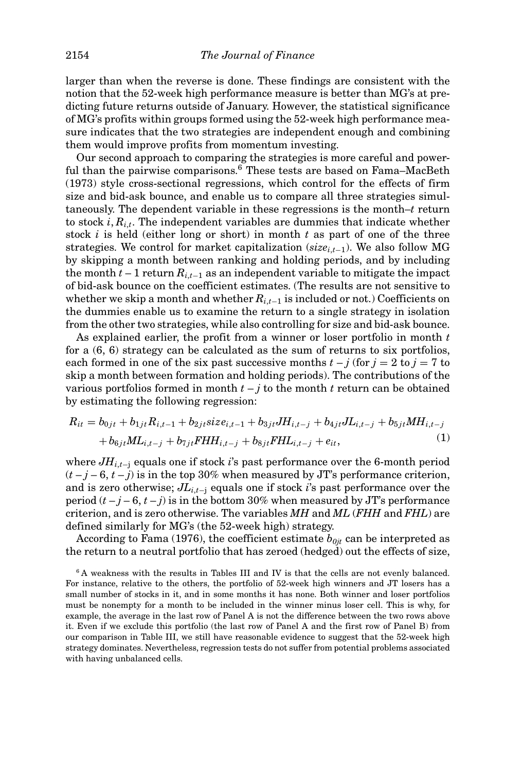larger than when the reverse is done. These findings are consistent with the notion that the 52-week high performance measure is better than MG's at predicting future returns outside of January. However, the statistical significance of MG's profits within groups formed using the 52-week high performance measure indicates that the two strategies are independent enough and combining them would improve profits from momentum investing.

Our second approach to comparing the strategies is more careful and powerful than the pairwise comparisons.<sup>6</sup> These tests are based on Fama–MacBeth (1973) style cross-sectional regressions, which control for the effects of firm size and bid-ask bounce, and enable us to compare all three strategies simultaneously. The dependent variable in these regressions is the month–*t* return to stock *i*, *Ri*,*t*. The independent variables are dummies that indicate whether stock *i* is held (either long or short) in month *t* as part of one of the three strategies. We control for market capitalization (*sizei*,*t*−1). We also follow MG by skipping a month between ranking and holding periods, and by including the month  $t-1$  return  $R_{i,t-1}$  as an independent variable to mitigate the impact of bid-ask bounce on the coefficient estimates. (The results are not sensitive to whether we skip a month and whether  $R_{i,t-1}$  is included or not.) Coefficients on the dummies enable us to examine the return to a single strategy in isolation from the other two strategies, while also controlling for size and bid-ask bounce.

As explained earlier, the profit from a winner or loser portfolio in month *t* for a (6, 6) strategy can be calculated as the sum of returns to six portfolios, each formed in one of the six past successive months  $t - j$  (for  $j = 2$  to  $j = 7$  to skip a month between formation and holding periods). The contributions of the various portfolios formed in month  $t - j$  to the month  $t$  return can be obtained by estimating the following regression:

$$
R_{it} = b_{0jt} + b_{1jt} R_{i,t-1} + b_{2jt} size_{i,t-1} + b_{3jt} J H_{i,t-j} + b_{4jt} J L_{i,t-j} + b_{5jt} M H_{i,t-j} + b_{6jt} M L_{i,t-j} + b_{7jt} F H H_{i,t-j} + b_{8jt} F H L_{i,t-j} + e_{it},
$$
\n(1)

where *JHi*,*t*−<sup>j</sup> equals one if stock *i*'s past performance over the 6-month period  $(t-j-6, t-j)$  is in the top 30% when measured by JT's performance criterion, and is zero otherwise; *JLi*,*t*−<sup>j</sup> equals one if stock *i*'s past performance over the period  $(t-j-6, t-j)$  is in the bottom 30% when measured by JT's performance criterion, and is zero otherwise. The variables *MH* and *ML* (*FHH* and *FHL*) are defined similarly for MG's (the 52-week high) strategy.

According to Fama (1976), the coefficient estimate  $b_{0it}$  can be interpreted as the return to a neutral portfolio that has zeroed (hedged) out the effects of size,

<sup>6</sup> A weakness with the results in Tables III and IV is that the cells are not evenly balanced. For instance, relative to the others, the portfolio of 52-week high winners and JT losers has a small number of stocks in it, and in some months it has none. Both winner and loser portfolios must be nonempty for a month to be included in the winner minus loser cell. This is why, for example, the average in the last row of Panel A is not the difference between the two rows above it. Even if we exclude this portfolio (the last row of Panel A and the first row of Panel B) from our comparison in Table III, we still have reasonable evidence to suggest that the 52-week high strategy dominates. Nevertheless, regression tests do not suffer from potential problems associated with having unbalanced cells.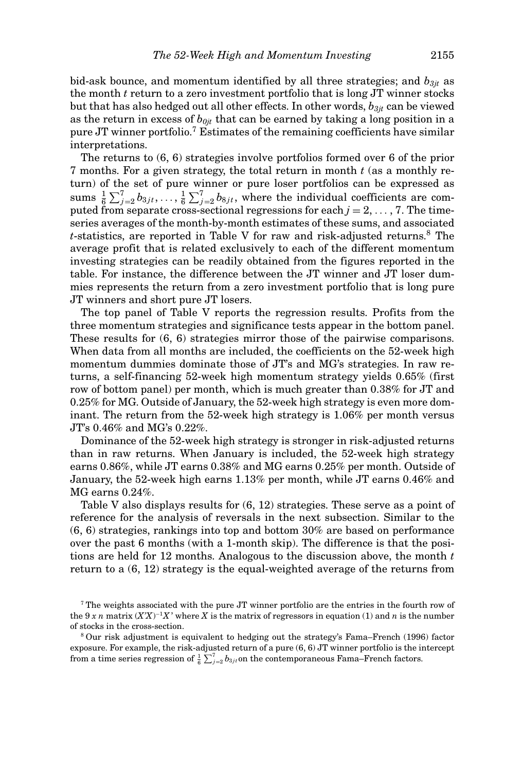bid-ask bounce, and momentum identified by all three strategies; and  $b_{3it}$  as the month *t* return to a zero investment portfolio that is long JT winner stocks but that has also hedged out all other effects. In other words, *b3jt* can be viewed as the return in excess of  $b_{0jt}$  that can be earned by taking a long position in a pure JT winner portfolio.<sup>7</sup> Estimates of the remaining coefficients have similar interpretations.

The returns to (6, 6) strategies involve portfolios formed over 6 of the prior 7 months. For a given strategy, the total return in month *t* (as a monthly return) of the set of pure winner or pure loser portfolios can be expressed as sums  $\frac{1}{6} \sum_{j=2}^{7} b_{3jt}, \ldots, \frac{1}{6} \sum_{j=2}^{7} b_{8jt}$ , where the individual coefficients are computed from separate cross-sectional regressions for each  $j = 2, ..., 7$ . The timeseries averages of the month-by-month estimates of these sums, and associated *t*-statistics, are reported in Table V for raw and risk-adjusted returns.8 The average profit that is related exclusively to each of the different momentum investing strategies can be readily obtained from the figures reported in the table. For instance, the difference between the JT winner and JT loser dummies represents the return from a zero investment portfolio that is long pure JT winners and short pure JT losers.

The top panel of Table V reports the regression results. Profits from the three momentum strategies and significance tests appear in the bottom panel. These results for (6, 6) strategies mirror those of the pairwise comparisons. When data from all months are included, the coefficients on the 52-week high momentum dummies dominate those of JT's and MG's strategies. In raw returns, a self-financing 52-week high momentum strategy yields 0.65% (first row of bottom panel) per month, which is much greater than 0.38% for JT and 0.25% for MG. Outside of January, the 52-week high strategy is even more dominant. The return from the 52-week high strategy is 1.06% per month versus JT's 0.46% and MG's 0.22%.

Dominance of the 52-week high strategy is stronger in risk-adjusted returns than in raw returns. When January is included, the 52-week high strategy earns 0.86%, while JT earns 0.38% and MG earns 0.25% per month. Outside of January, the 52-week high earns 1.13% per month, while JT earns 0.46% and MG earns 0.24%.

Table V also displays results for (6, 12) strategies. These serve as a point of reference for the analysis of reversals in the next subsection. Similar to the (6, 6) strategies, rankings into top and bottom 30% are based on performance over the past 6 months (with a 1-month skip). The difference is that the positions are held for 12 months. Analogous to the discussion above, the month *t* return to a (6, 12) strategy is the equal-weighted average of the returns from

<sup>7</sup> The weights associated with the pure JT winner portfolio are the entries in the fourth row of the 9 *x n* matrix  $(X'X)^{-1}X'$  where *X* is the matrix of regressors in equation (1) and *n* is the number of stocks in the cross-section.

<sup>8</sup> Our risk adjustment is equivalent to hedging out the strategy's Fama–French (1996) factor exposure. For example, the risk-adjusted return of a pure (6, 6) JT winner portfolio is the intercept from a time series regression of  $\frac{1}{6} \sum_{j=2}^{7} b_{3jt}$  on the contemporaneous Fama–French factors.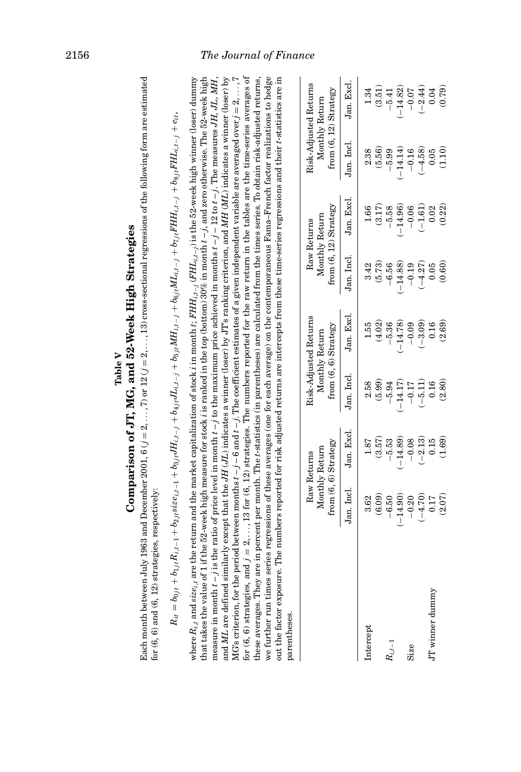| Each month between July 1963 and December 2001, 6 ( $j=2,\ldots,7$ ) or 12 ( $j=2,\ldots,13$ ) cross-sectional regressions of the following form are estimated<br>for (6, 6) and (6, 12) strategies, respectively:                                                                                                                                                                                                                                                                                                                                                                                                                                                                                                                                                                                                                                                                                                                                                                                                                                                                                                                      |                                                                                                                                                                                                                                                                                                                                                                                   |                               |            |                                         |            |                               |                |                       |
|-----------------------------------------------------------------------------------------------------------------------------------------------------------------------------------------------------------------------------------------------------------------------------------------------------------------------------------------------------------------------------------------------------------------------------------------------------------------------------------------------------------------------------------------------------------------------------------------------------------------------------------------------------------------------------------------------------------------------------------------------------------------------------------------------------------------------------------------------------------------------------------------------------------------------------------------------------------------------------------------------------------------------------------------------------------------------------------------------------------------------------------------|-----------------------------------------------------------------------------------------------------------------------------------------------------------------------------------------------------------------------------------------------------------------------------------------------------------------------------------------------------------------------------------|-------------------------------|------------|-----------------------------------------|------------|-------------------------------|----------------|-----------------------|
| $R_{it} = b_{0jt} + b_{1jt} R_{i,t-1} + b_{2jt} size_{i,t-1} + b_{3jt} J H_{i,t-j} + b_{4jt} J L_{i,t-j} + b_{5jt} M H_{i,t-j} + b_{6jt} M L_{i,t-j} + b_{7jt} F H H_{i,t-j} + b_{8jt} F H L_{i,t-j} + e_{it},$                                                                                                                                                                                                                                                                                                                                                                                                                                                                                                                                                                                                                                                                                                                                                                                                                                                                                                                         |                                                                                                                                                                                                                                                                                                                                                                                   |                               |            |                                         |            |                               |                |                       |
| for $(6, 6)$ strategies, and $j = 2, \ldots, 13$ for $(6, 12)$ strategies. The numbers reported for the raw return in the tables are the time-series averages of<br>measure in month $t-j$ is the ratio of price level in month $t-j$ to the maximum price achieved in months $t-j-12$ to $t-j$ . The measures JH, JL, MH,<br>where $R_{i,t}$ and size <sub>1.</sub> are the return and the market capitalization of stock i in month t; $FHH_{i,t-i}$ ( $FHL_{i,t-i}$ ) is the 52-week high winner (loser) dummy<br>that takes the value of 1 if the 52-week high measure for stock i is ranked in the top (bottom) 30% in month $t-j$ , and zero otherwise. The 52-week high<br>MC's criterion, for the period between months $t$ – $j$ – 6 and $t$ – $j$ . The coefficient estimates of a given independent variable are averaged over $j=2,\ldots,7$<br>out the factor exposure. The numbers reported for risk adjusted returns are intercepts from these time-series regressions and their <i>t-</i> statistics are in<br>and ML are defined similar<br>these averages. They are in<br>we further run times series<br>parentheses. | ly except that the JH (JL) indicates a winner (loser) by JT's ranking criterion, and MH (ML) indicates a winner (loser) by<br>regressions of these averages (one for each average) on the contemporaneous Fama-French factor realizations to hedge<br>percent per month. The t-statistics (in parentheses) are calculated from the times series. To obtain risk-adjusted returns, |                               |            |                                         |            |                               |                |                       |
|                                                                                                                                                                                                                                                                                                                                                                                                                                                                                                                                                                                                                                                                                                                                                                                                                                                                                                                                                                                                                                                                                                                                         |                                                                                                                                                                                                                                                                                                                                                                                   | Monthly Return<br>Raw Returns |            | Risk-Adjusted Returns<br>Monthly Return |            | Monthly Return<br>Raw Returns | Monthly Return | Risk-Adjusted Returns |
|                                                                                                                                                                                                                                                                                                                                                                                                                                                                                                                                                                                                                                                                                                                                                                                                                                                                                                                                                                                                                                                                                                                                         |                                                                                                                                                                                                                                                                                                                                                                                   | from (6, 6) Strategy          |            | from (6, 6) Strategy                    |            | from (6, 12) Strategy         |                | from (6, 12) Strategy |
|                                                                                                                                                                                                                                                                                                                                                                                                                                                                                                                                                                                                                                                                                                                                                                                                                                                                                                                                                                                                                                                                                                                                         | Jan. Incl.                                                                                                                                                                                                                                                                                                                                                                        | Jan. Excl.                    | Jan. Incl. | Jan. Excl                               | Jan. Incl. | Jan. Excl                     | Jan. Incl      | Jan. Excl.            |
| Intercept                                                                                                                                                                                                                                                                                                                                                                                                                                                                                                                                                                                                                                                                                                                                                                                                                                                                                                                                                                                                                                                                                                                               | 3.62                                                                                                                                                                                                                                                                                                                                                                              | 1.87                          | 2.58       | 1.55                                    | 3.42       | 1.66                          | 2.38           | 1.34                  |
|                                                                                                                                                                                                                                                                                                                                                                                                                                                                                                                                                                                                                                                                                                                                                                                                                                                                                                                                                                                                                                                                                                                                         | (6.09)                                                                                                                                                                                                                                                                                                                                                                            | (3.57)                        | (6.99)     | (4.02)                                  | (5.73)     | (3.17)                        | (5.56)         | (3.51)                |
| $\boldsymbol{R}_{i,t-1}$                                                                                                                                                                                                                                                                                                                                                                                                                                                                                                                                                                                                                                                                                                                                                                                                                                                                                                                                                                                                                                                                                                                | $-6.50$                                                                                                                                                                                                                                                                                                                                                                           | $-5.53$                       | $-5.94$    | $-5.36$                                 | $-6.56$    | $-5.58$                       | $-5.99$        | $-5.41$               |
|                                                                                                                                                                                                                                                                                                                                                                                                                                                                                                                                                                                                                                                                                                                                                                                                                                                                                                                                                                                                                                                                                                                                         | $(-14.90)$                                                                                                                                                                                                                                                                                                                                                                        | $(-14.89)$                    | $(-14.17)$ | $(-14.78)$                              | $(-14.88)$ | $(-14.96)$                    | $(-14.14)$     | $(-14.82)$            |
| Size                                                                                                                                                                                                                                                                                                                                                                                                                                                                                                                                                                                                                                                                                                                                                                                                                                                                                                                                                                                                                                                                                                                                    | $-0.20$                                                                                                                                                                                                                                                                                                                                                                           | $-0.08$                       | $-0.17$    | $-0.09$                                 | $-0.19$    | $-0.06$                       | $-0.16$        | $-0.07$               |
|                                                                                                                                                                                                                                                                                                                                                                                                                                                                                                                                                                                                                                                                                                                                                                                                                                                                                                                                                                                                                                                                                                                                         | $(-4.70)$                                                                                                                                                                                                                                                                                                                                                                         | $(-2.13)$                     | $(-5.11)$  | $(-3.09)$                               | $(-4.27)$  | $(-1.61)$                     | $(-4.58)$      | $(-2.44)$             |
| JT winner dummy                                                                                                                                                                                                                                                                                                                                                                                                                                                                                                                                                                                                                                                                                                                                                                                                                                                                                                                                                                                                                                                                                                                         | 0.17                                                                                                                                                                                                                                                                                                                                                                              | 0.15                          | 0.16       | 0.16                                    | 0.05       | 0.02                          | 0.05           | 0.04                  |
|                                                                                                                                                                                                                                                                                                                                                                                                                                                                                                                                                                                                                                                                                                                                                                                                                                                                                                                                                                                                                                                                                                                                         | (2.07)                                                                                                                                                                                                                                                                                                                                                                            | (1.69)                        | (2.80)     | (2.69)                                  | (0.60)     | (0.22)                        | (1.10)         | (0.79)                |

**Table V**

Comparison of JT, MG, and 52-Week High Strategies **Comparison of JT, MG, and 52-Week High Strategies**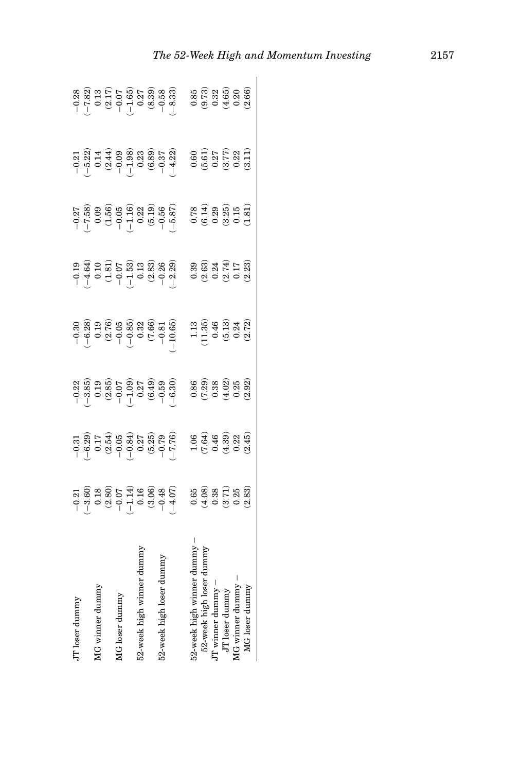| JT loser dummy                                          |                                                                                                                                           |                                                                                                                                                                                                                                                                                                                                                   |                                                                                                                                                                                                                                                                                                                                     |                                                                                                                                                                                                                                                                                                                                                |                                                                                                                                                                                                                                                                                                                                                                                                                                    |                                                                                                                                                                                                                                                                                                                                              |                                                                                                                                                                                                                                                                                                                                        |                                                                                                                                                                                                                                                                                                                  |
|---------------------------------------------------------|-------------------------------------------------------------------------------------------------------------------------------------------|---------------------------------------------------------------------------------------------------------------------------------------------------------------------------------------------------------------------------------------------------------------------------------------------------------------------------------------------------|-------------------------------------------------------------------------------------------------------------------------------------------------------------------------------------------------------------------------------------------------------------------------------------------------------------------------------------|------------------------------------------------------------------------------------------------------------------------------------------------------------------------------------------------------------------------------------------------------------------------------------------------------------------------------------------------|------------------------------------------------------------------------------------------------------------------------------------------------------------------------------------------------------------------------------------------------------------------------------------------------------------------------------------------------------------------------------------------------------------------------------------|----------------------------------------------------------------------------------------------------------------------------------------------------------------------------------------------------------------------------------------------------------------------------------------------------------------------------------------------|----------------------------------------------------------------------------------------------------------------------------------------------------------------------------------------------------------------------------------------------------------------------------------------------------------------------------------------|------------------------------------------------------------------------------------------------------------------------------------------------------------------------------------------------------------------------------------------------------------------------------------------------------------------|
|                                                         |                                                                                                                                           |                                                                                                                                                                                                                                                                                                                                                   |                                                                                                                                                                                                                                                                                                                                     |                                                                                                                                                                                                                                                                                                                                                |                                                                                                                                                                                                                                                                                                                                                                                                                                    |                                                                                                                                                                                                                                                                                                                                              |                                                                                                                                                                                                                                                                                                                                        |                                                                                                                                                                                                                                                                                                                  |
| MG winner dunnny                                        |                                                                                                                                           |                                                                                                                                                                                                                                                                                                                                                   |                                                                                                                                                                                                                                                                                                                                     |                                                                                                                                                                                                                                                                                                                                                |                                                                                                                                                                                                                                                                                                                                                                                                                                    |                                                                                                                                                                                                                                                                                                                                              |                                                                                                                                                                                                                                                                                                                                        |                                                                                                                                                                                                                                                                                                                  |
|                                                         |                                                                                                                                           |                                                                                                                                                                                                                                                                                                                                                   |                                                                                                                                                                                                                                                                                                                                     |                                                                                                                                                                                                                                                                                                                                                |                                                                                                                                                                                                                                                                                                                                                                                                                                    |                                                                                                                                                                                                                                                                                                                                              |                                                                                                                                                                                                                                                                                                                                        |                                                                                                                                                                                                                                                                                                                  |
| MG loser dummy                                          |                                                                                                                                           |                                                                                                                                                                                                                                                                                                                                                   |                                                                                                                                                                                                                                                                                                                                     |                                                                                                                                                                                                                                                                                                                                                |                                                                                                                                                                                                                                                                                                                                                                                                                                    |                                                                                                                                                                                                                                                                                                                                              |                                                                                                                                                                                                                                                                                                                                        |                                                                                                                                                                                                                                                                                                                  |
|                                                         |                                                                                                                                           |                                                                                                                                                                                                                                                                                                                                                   |                                                                                                                                                                                                                                                                                                                                     |                                                                                                                                                                                                                                                                                                                                                |                                                                                                                                                                                                                                                                                                                                                                                                                                    |                                                                                                                                                                                                                                                                                                                                              |                                                                                                                                                                                                                                                                                                                                        |                                                                                                                                                                                                                                                                                                                  |
| 52-week high winner dummy                               |                                                                                                                                           |                                                                                                                                                                                                                                                                                                                                                   |                                                                                                                                                                                                                                                                                                                                     |                                                                                                                                                                                                                                                                                                                                                |                                                                                                                                                                                                                                                                                                                                                                                                                                    |                                                                                                                                                                                                                                                                                                                                              |                                                                                                                                                                                                                                                                                                                                        |                                                                                                                                                                                                                                                                                                                  |
|                                                         | $\begin{array}{c c} -0.21 \\ -3.60 \\ 0.18 \\ 0.03 \\ 0.01 \\ 0.01 \\ 0.01 \\ 0.01 \\ -1.41 \\ 0.06 \\ 0.04 \\ 0.07 \\ -4.07 \end{array}$ | $\begin{array}{c c} -0.33 \\ -0.29 \\ -0.54 \\ -0.54 \\ -0.54 \\ -0.54 \\ -0.54 \\ -0.54 \\ -0.54 \\ -0.55 \\ -0.54 \\ -0.55 \\ -0.56 \\ -0.57 \\ -0.56 \\ -0.57 \\ -0.58 \\ -0.58 \\ -0.58 \\ -0.58 \\ -0.58 \\ -0.58 \\ -0.58 \\ -0.58 \\ -0.58 \\ -0.58 \\ -0.58 \\ -0.58 \\ -0.58 \\ -0.58 \\ -0.58 \\ -0.58 \\ -0.58 \\ -0.58 \\ -0.58 \\ -$ | $\begin{array}{r} 22 \\ -0.385 \\ -0.19 \\ 0.19 \\ -0.036 \\ -0.036 \\ -0.036 \\ -0.036 \\ -0.036 \\ -0.036 \\ -0.036 \\ -0.036 \\ -0.036 \\ -0.036 \\ -0.036 \\ -0.036 \\ -0.036 \\ -0.036 \\ -0.036 \\ -0.036 \\ -0.036 \\ -0.036 \\ -0.036 \\ -0.036 \\ -0.036 \\ -0.036 \\ -0.036 \\ -0.036 \\ -0.036 \\ -0.036 \\ -0.036 \\ -$ | $\begin{array}{c} 3.9 \\ -6.28 \\ -6.19 \\ 0.19 \\ -6.01 \\ 0.01 \\ -6.01 \\ -6.01 \\ -6.01 \\ -6.01 \\ -6.01 \\ -6.01 \\ -6.01 \\ -6.01 \\ -6.01 \\ -6.01 \\ -6.01 \\ -6.01 \\ -6.01 \\ -6.01 \\ -6.01 \\ -6.01 \\ -6.01 \\ -6.01 \\ -6.01 \\ -6.01 \\ -6.01 \\ -6.01 \\ -6.01 \\ -6.01 \\ -6.01 \\ -6.01 \\ -6.01 \\ -6.01 \\ -6.01 \\ -6.0$ | $\begin{array}{l} \mathbf{9} \\ \mathbf{19} \\ \mathbf{49} \\ \mathbf{50} \\ \mathbf{61} \\ \mathbf{71} \\ \mathbf{83} \\ \mathbf{19} \\ \mathbf{10} \\ \mathbf{13} \\ \mathbf{15} \\ \mathbf{16} \\ \mathbf{18} \\ \mathbf{10} \\ \mathbf{15} \\ \mathbf{18} \\ \mathbf{19} \\ \mathbf{10} \\ \mathbf{13} \\ \mathbf{18} \\ \mathbf{19} \\ \mathbf{10} \\ \mathbf{13} \\ \mathbf{18} \\ \mathbf{19} \\ \mathbf{10} \\ \mathbf{10$ | $\begin{array}{r} -0.27 \\ -7.580 \\ 0.09 \\ 0.560 \\ -1.560 \\ -1.560 \\ -1.50 \\ -1.22 \\ -1.50 \\ -1.56 \\ -1.56 \\ -1.56 \\ -1.56 \\ -1.56 \\ -1.56 \\ -1.56 \\ -1.56 \\ -1.56 \\ -1.56 \\ -1.56 \\ -1.56 \\ -1.56 \\ -1.56 \\ -1.56 \\ -1.56 \\ -1.56 \\ -1.56 \\ -1.56 \\ -1.56 \\ -1.56 \\ -1.56 \\ -1.56 \\ -1.56 \\ -1.56 \\ -1.56$ | $\begin{array}{c c} 21 & 21 & 21 \\ -5 & 22 & 32 \\ -1 & -1 & 33 \\ -1 & 1 & 4 \\ 0 & 0 & 0 \\ -1 & 0 & 0 \\ 0 & 0 & 0 \\ 0 & 0 & 0 \\ 0 & 0 & 0 \\ 0 & 0 & 0 \\ 0 & 0 & 0 \\ 0 & 0 & 0 \\ 0 & 0 & 0 \\ 0 & 0 & 0 \\ 0 & 0 & 0 \\ 0 & 0 & 0 \\ 0 & 0 & 0 \\ 0 & 0 & 0 \\ 0 & 0 & 0 \\ 0 & 0 & 0 \\ 0 & 0 & 0 \\ 0 & 0 & 0 \\ 0 & 0 & $ | $\begin{bmatrix} 28 \\ -7.82 \\ 0.13 \\ 0.01 \\ 0.01 \\ 0.01 \\ 0.01 \\ 0.01 \\ 0.01 \\ 0.01 \\ 0.01 \\ 0.01 \\ 0.01 \\ 0.01 \\ 0.01 \\ 0.01 \\ 0.01 \\ 0.01 \\ 0.01 \\ 0.01 \\ 0.01 \\ 0.01 \\ 0.01 \\ 0.01 \\ 0.01 \\ 0.01 \\ 0.01 \\ 0.01 \\ 0.01 \\ 0.01 \\ 0.01 \\ 0.01 \\ 0.01 \\ 0.01 \\ 0.01 \\ 0.01 \\$ |
| 52-week high loser dummy                                |                                                                                                                                           |                                                                                                                                                                                                                                                                                                                                                   |                                                                                                                                                                                                                                                                                                                                     |                                                                                                                                                                                                                                                                                                                                                |                                                                                                                                                                                                                                                                                                                                                                                                                                    |                                                                                                                                                                                                                                                                                                                                              |                                                                                                                                                                                                                                                                                                                                        |                                                                                                                                                                                                                                                                                                                  |
|                                                         |                                                                                                                                           |                                                                                                                                                                                                                                                                                                                                                   |                                                                                                                                                                                                                                                                                                                                     |                                                                                                                                                                                                                                                                                                                                                |                                                                                                                                                                                                                                                                                                                                                                                                                                    |                                                                                                                                                                                                                                                                                                                                              |                                                                                                                                                                                                                                                                                                                                        |                                                                                                                                                                                                                                                                                                                  |
|                                                         |                                                                                                                                           |                                                                                                                                                                                                                                                                                                                                                   |                                                                                                                                                                                                                                                                                                                                     |                                                                                                                                                                                                                                                                                                                                                |                                                                                                                                                                                                                                                                                                                                                                                                                                    |                                                                                                                                                                                                                                                                                                                                              |                                                                                                                                                                                                                                                                                                                                        |                                                                                                                                                                                                                                                                                                                  |
| 52-week high winner dummy -<br>52-week high loser dummy |                                                                                                                                           |                                                                                                                                                                                                                                                                                                                                                   |                                                                                                                                                                                                                                                                                                                                     |                                                                                                                                                                                                                                                                                                                                                |                                                                                                                                                                                                                                                                                                                                                                                                                                    |                                                                                                                                                                                                                                                                                                                                              |                                                                                                                                                                                                                                                                                                                                        |                                                                                                                                                                                                                                                                                                                  |
| $\mathbf{JT}$ winner dummy $-$                          |                                                                                                                                           |                                                                                                                                                                                                                                                                                                                                                   |                                                                                                                                                                                                                                                                                                                                     |                                                                                                                                                                                                                                                                                                                                                |                                                                                                                                                                                                                                                                                                                                                                                                                                    |                                                                                                                                                                                                                                                                                                                                              |                                                                                                                                                                                                                                                                                                                                        |                                                                                                                                                                                                                                                                                                                  |
| ${\rm JT}$ loser dummy                                  | $0.65$<br>$0.98$<br>$0.38$<br>$0.371$<br>$0.25$<br>$0.23$<br>$0.33$                                                                       | $1.06$<br>$(7.64)$<br>$(9.46)$<br>$(4.39)$<br>$(4.32)$<br>$(2.45)$                                                                                                                                                                                                                                                                                | $0.86$<br>$0.29$<br>$0.38$<br>$0.38$<br>$0.02$<br>$0.92$<br>$0.92$                                                                                                                                                                                                                                                                  | 1.13<br>(11.35)<br>0.46<br>0.24<br>0.24<br>(2.72)                                                                                                                                                                                                                                                                                              | $0.39$<br>$0.63$<br>$0.24$<br>$0.17$<br>$0.17$<br>$0.17$<br>$0.13$<br>$0.23$                                                                                                                                                                                                                                                                                                                                                       | $0.78$<br>$(6.14)$<br>$(6.29)$<br>$(3.25)$<br>$(1.81)$<br>$(1.81)$                                                                                                                                                                                                                                                                           | $\begin{array}{c} 0.60 \\ 0.61 \\ 0.27 \\ 0.37 \\ 0.31 \\ 0.31 \\ \hline \end{array}$                                                                                                                                                                                                                                                  |                                                                                                                                                                                                                                                                                                                  |
| MG winner dummy                                         |                                                                                                                                           |                                                                                                                                                                                                                                                                                                                                                   |                                                                                                                                                                                                                                                                                                                                     |                                                                                                                                                                                                                                                                                                                                                |                                                                                                                                                                                                                                                                                                                                                                                                                                    |                                                                                                                                                                                                                                                                                                                                              |                                                                                                                                                                                                                                                                                                                                        |                                                                                                                                                                                                                                                                                                                  |
| MG loser dummy                                          |                                                                                                                                           |                                                                                                                                                                                                                                                                                                                                                   |                                                                                                                                                                                                                                                                                                                                     |                                                                                                                                                                                                                                                                                                                                                |                                                                                                                                                                                                                                                                                                                                                                                                                                    |                                                                                                                                                                                                                                                                                                                                              |                                                                                                                                                                                                                                                                                                                                        | $0.85$<br>$0.73$<br>$0.32$<br>$0.65$<br>$0.46$<br>$0.20$<br>$0.66$                                                                                                                                                                                                                                               |
|                                                         |                                                                                                                                           |                                                                                                                                                                                                                                                                                                                                                   |                                                                                                                                                                                                                                                                                                                                     |                                                                                                                                                                                                                                                                                                                                                |                                                                                                                                                                                                                                                                                                                                                                                                                                    |                                                                                                                                                                                                                                                                                                                                              |                                                                                                                                                                                                                                                                                                                                        |                                                                                                                                                                                                                                                                                                                  |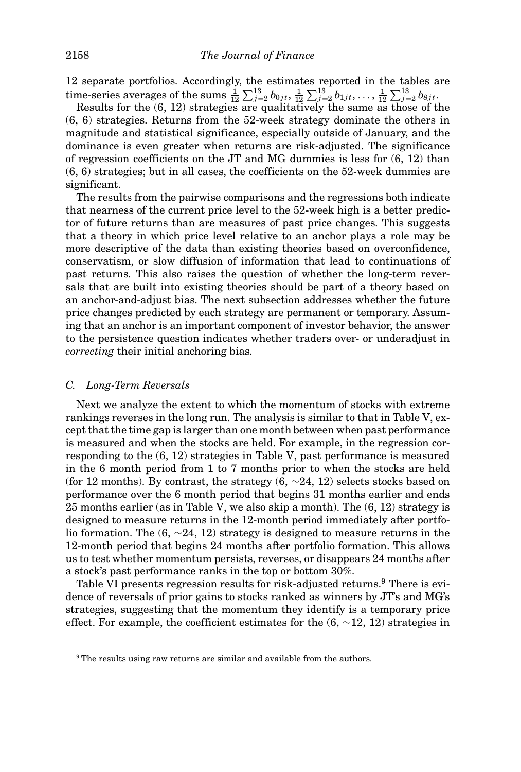12 separate portfolios. Accordingly, the estimates reported in the tables are time-series averages of the sums  $\frac{1}{12} \sum_{j=2}^{13} b_{0jt}$ ,  $\frac{1}{12} \sum_{j=2}^{13} b_{1jt}$ , ...,  $\frac{1}{12} \sum_{j=2}^{13} b_{8jt}$ .<br>Results for the (6, 12) strategies are qualitatively the same as those of the

(6, 6) strategies. Returns from the 52-week strategy dominate the others in magnitude and statistical significance, especially outside of January, and the dominance is even greater when returns are risk-adjusted. The significance of regression coefficients on the JT and MG dummies is less for  $(6, 12)$  than (6, 6) strategies; but in all cases, the coefficients on the 52-week dummies are significant.

The results from the pairwise comparisons and the regressions both indicate that nearness of the current price level to the 52-week high is a better predictor of future returns than are measures of past price changes. This suggests that a theory in which price level relative to an anchor plays a role may be more descriptive of the data than existing theories based on overconfidence, conservatism, or slow diffusion of information that lead to continuations of past returns. This also raises the question of whether the long-term reversals that are built into existing theories should be part of a theory based on an anchor-and-adjust bias. The next subsection addresses whether the future price changes predicted by each strategy are permanent or temporary. Assuming that an anchor is an important component of investor behavior, the answer to the persistence question indicates whether traders over- or underadjust in *correcting* their initial anchoring bias.

## *C. Long-Term Reversals*

Next we analyze the extent to which the momentum of stocks with extreme rankings reverses in the long run. The analysis is similar to that in Table V, except that the time gap is larger than one month between when past performance is measured and when the stocks are held. For example, in the regression corresponding to the (6, 12) strategies in Table V, past performance is measured in the 6 month period from 1 to 7 months prior to when the stocks are held (for 12 months). By contrast, the strategy  $(6, \sim 24, 12)$  selects stocks based on performance over the 6 month period that begins 31 months earlier and ends 25 months earlier (as in Table V, we also skip a month). The (6, 12) strategy is designed to measure returns in the 12-month period immediately after portfolio formation. The  $(6, \sim 24, 12)$  strategy is designed to measure returns in the 12-month period that begins 24 months after portfolio formation. This allows us to test whether momentum persists, reverses, or disappears 24 months after a stock's past performance ranks in the top or bottom 30%.

Table VI presents regression results for risk-adjusted returns.<sup>9</sup> There is evidence of reversals of prior gains to stocks ranked as winners by JT's and MG's strategies, suggesting that the momentum they identify is a temporary price effect. For example, the coefficient estimates for the  $(6, \sim 12, 12)$  strategies in

<sup>&</sup>lt;sup>9</sup> The results using raw returns are similar and available from the authors.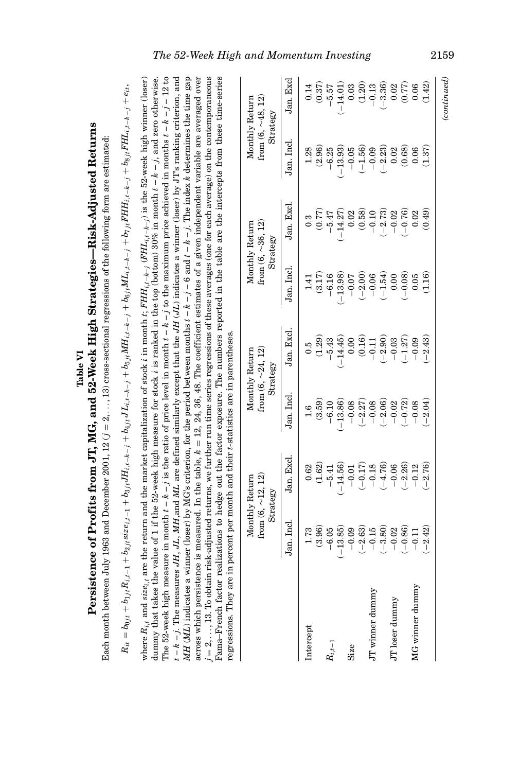| Persistenc<br>Each month between July                                                                                                                                                                                                                                                                                                                                                                                                                                                                                                                                                                                                                                                                                                                                                                                                                                                                                                                                                                                                                                                                                                                                                                                                                                       |                      | e of Profits from JT, MG, and 52-Week High Strategies—Risk-Adjusted Returns<br>1963 and December 2001, 12 $(j = 2, \ldots, 13)$ cross-sectional regressions of the following form are estimated:        |                      | Table VI                                              |                      |                                                      |                                                      |                |
|-----------------------------------------------------------------------------------------------------------------------------------------------------------------------------------------------------------------------------------------------------------------------------------------------------------------------------------------------------------------------------------------------------------------------------------------------------------------------------------------------------------------------------------------------------------------------------------------------------------------------------------------------------------------------------------------------------------------------------------------------------------------------------------------------------------------------------------------------------------------------------------------------------------------------------------------------------------------------------------------------------------------------------------------------------------------------------------------------------------------------------------------------------------------------------------------------------------------------------------------------------------------------------|----------------------|---------------------------------------------------------------------------------------------------------------------------------------------------------------------------------------------------------|----------------------|-------------------------------------------------------|----------------------|------------------------------------------------------|------------------------------------------------------|----------------|
| $R_{it} = b_{0jt} + b_{1jt} R_{i,t-1} +$                                                                                                                                                                                                                                                                                                                                                                                                                                                                                                                                                                                                                                                                                                                                                                                                                                                                                                                                                                                                                                                                                                                                                                                                                                    |                      | $b_{2j}{}_{i}size_{t,t-1}+b_{3j}{}_{i}dH_{i,t-k-j}+b_{4j}{}_{i}dI_{i,t-k-j}+b_{5j}{}_{i}MH_{i,t-k-j}+b_{6j}{}_{i}MH_{i,t-k-j}+b_{1j}{}_{i}FHH_{i,t-k-j}+b_{8j}{}_{i}FHH_{i,t-k-j}+b_{4j}{}_{i}+a_{it},$ |                      |                                                       |                      |                                                      |                                                      |                |
| MH (ML) indicates a winner (loser) by MG's criterion, for the period between months $t - k - j - 6$ and $t - k - j$ . The index k determines the time gap<br>$t - k - j$ . The measures JH, JL, MH, and ML are defined similarly except that the JH (JL) indicates a winner (loser) by JT's ranking criterion, and<br>$j = 2, \ldots, 13$ . To obtain risk-adjusted returns, we further run time series regressions of these averages (one for each average) on the contemporaneous<br>where $R_{i,t}$ and size <sub>i,t</sub> are the return and the market capitalization of stock i in month t; $FHH_{i,t-k-j}(FHL_{i,t-k-j})$ is the 52-week high winner (loser)<br>The 52-week high measure in month $t - k - j$ is the ratio of price level in month $t - k - j$ to the maximum price achieved in months $t - k - j - 12$ to<br>Fama-French factor realizations to hedge out the factor exposure. The numbers reported in the table are the intercepts from these time-series<br>dummy that takes the value of 1 if the 52-week high measure for stock <i>i</i> is ranked in the top (bottom) 30% in month $t - k - j$ , and zero otherwise.<br>regressions. They are in percent per month and their $t$ -statistics are in parentheses<br>across which persistence i |                      | is measured. In the table, $k = 12$ , 24, 36, 48. The coefficient estimates of a given independent variable are averaged over                                                                           |                      |                                                       |                      |                                                      |                                                      |                |
|                                                                                                                                                                                                                                                                                                                                                                                                                                                                                                                                                                                                                                                                                                                                                                                                                                                                                                                                                                                                                                                                                                                                                                                                                                                                             |                      | from $(6, \sim 12, 12)$<br>Monthly Return<br>Strategy                                                                                                                                                   |                      | from $(6, \sim 24, 12)$<br>Monthly Return<br>Strategy |                      | Monthly Return<br>from $(6, \sim36, 12)$<br>Strategy | from $(6, \sim48, 12)$<br>Monthly Return<br>Strategy |                |
|                                                                                                                                                                                                                                                                                                                                                                                                                                                                                                                                                                                                                                                                                                                                                                                                                                                                                                                                                                                                                                                                                                                                                                                                                                                                             | Jan. Incl.           | Jan. Excl.                                                                                                                                                                                              | Jan. Incl.           | Jan. Excl.                                            | Jan. Incl.           | Jan. Excl                                            | Jan. Incl                                            | Jan. Excl      |
| Intercept                                                                                                                                                                                                                                                                                                                                                                                                                                                                                                                                                                                                                                                                                                                                                                                                                                                                                                                                                                                                                                                                                                                                                                                                                                                                   | 1.73                 | 0.62                                                                                                                                                                                                    | 1.6                  | 0.5                                                   | 1.41                 | $\ddot{0}$                                           | 1.28                                                 | 0.14           |
|                                                                                                                                                                                                                                                                                                                                                                                                                                                                                                                                                                                                                                                                                                                                                                                                                                                                                                                                                                                                                                                                                                                                                                                                                                                                             | (3.96)               | (1.62)                                                                                                                                                                                                  | (3.59)               | (1.29)                                                | (3.17)               | (0.77)                                               | (2.96)                                               | (0.37)         |
| $R_{i,t-1}$                                                                                                                                                                                                                                                                                                                                                                                                                                                                                                                                                                                                                                                                                                                                                                                                                                                                                                                                                                                                                                                                                                                                                                                                                                                                 | $-6.05$              | $-5.41$                                                                                                                                                                                                 | $-6.10$              | $-5.43$                                               | $-6.16$              | $-5.47$                                              | $-6.25$                                              | $-5.57$        |
|                                                                                                                                                                                                                                                                                                                                                                                                                                                                                                                                                                                                                                                                                                                                                                                                                                                                                                                                                                                                                                                                                                                                                                                                                                                                             | $-13.85$             | $-14.56$                                                                                                                                                                                                | $(-13.86)$           | $(-14.45)$                                            | $-13.98$             | $-14.27$                                             | $(-13.93)$                                           | $(-14.01)$     |
| Size                                                                                                                                                                                                                                                                                                                                                                                                                                                                                                                                                                                                                                                                                                                                                                                                                                                                                                                                                                                                                                                                                                                                                                                                                                                                        | $(-2.63)$<br>$-0.09$ | $(-0.17)$<br>$-0.01$                                                                                                                                                                                    | $(-2.27)$<br>$-0.08$ | (0.16)<br>0.00                                        | $(-2.00)$<br>$-0.07$ | (0.58)<br>0.02                                       | $(-1.56)$<br>$-0.05$                                 | (1.20)<br>0.03 |
| JT winner dummy                                                                                                                                                                                                                                                                                                                                                                                                                                                                                                                                                                                                                                                                                                                                                                                                                                                                                                                                                                                                                                                                                                                                                                                                                                                             | $-0.15$              | $-0.18$                                                                                                                                                                                                 | $-0.08$              | $-0.11$                                               | $-0.06$              | $-0.10$                                              | $-0.09$                                              | $-0.13$        |
|                                                                                                                                                                                                                                                                                                                                                                                                                                                                                                                                                                                                                                                                                                                                                                                                                                                                                                                                                                                                                                                                                                                                                                                                                                                                             | $(-3.80)$            | $(-4.76)$                                                                                                                                                                                               | $(-2.06)$            | $(-2.90)$                                             | $(-1.54)$            | $(-2.73)$                                            | $(-2.23)$                                            | $(-3.36)$      |
| JT loser dummy                                                                                                                                                                                                                                                                                                                                                                                                                                                                                                                                                                                                                                                                                                                                                                                                                                                                                                                                                                                                                                                                                                                                                                                                                                                              | $-0.02$              | $-0.06$                                                                                                                                                                                                 | $-0.02$              | $-0.03$                                               | 0.00                 | $-0.02$                                              | 0.02                                                 | 0.02           |
|                                                                                                                                                                                                                                                                                                                                                                                                                                                                                                                                                                                                                                                                                                                                                                                                                                                                                                                                                                                                                                                                                                                                                                                                                                                                             | $(-0.86)$            | $(-2.26)$                                                                                                                                                                                               | $(-0.72)$            | $(-1.27)$                                             | $(-0.08)$            | $(-0.76)$                                            | (0.68)                                               | (0.77)         |
| MG winner dummy                                                                                                                                                                                                                                                                                                                                                                                                                                                                                                                                                                                                                                                                                                                                                                                                                                                                                                                                                                                                                                                                                                                                                                                                                                                             | $-0.11$              | $-0.12$                                                                                                                                                                                                 | $-0.08$              | $-0.09$                                               | 0.05                 | 0.02                                                 | 0.06                                                 | 0.06           |
|                                                                                                                                                                                                                                                                                                                                                                                                                                                                                                                                                                                                                                                                                                                                                                                                                                                                                                                                                                                                                                                                                                                                                                                                                                                                             | $(-2.42)$            | $(-2.76)$                                                                                                                                                                                               | $-2.04$              | $(-2.43)$                                             | (1.16)               | (0.49)                                               | (1.37)                                               | (1.42)         |

# *The 52-Week High and Momentum Investing* 2159

 $\label{eq:constrained} (continued)$ *(continued)*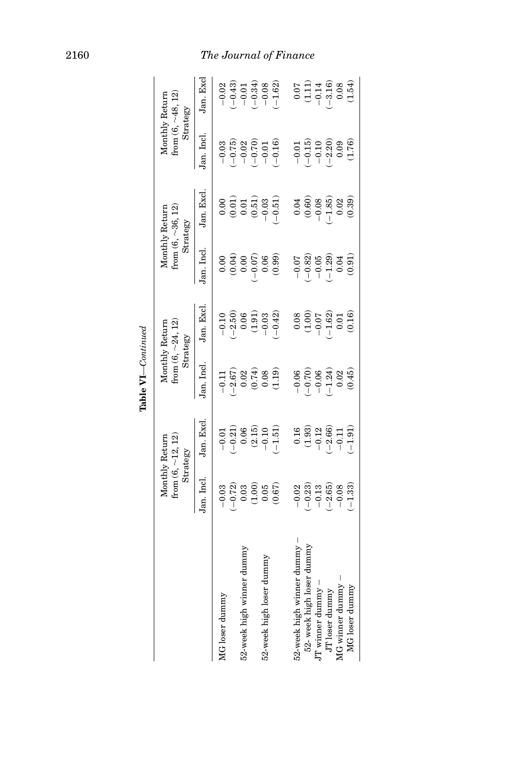|                                |                     |                                                      | aoe vi-continued                                       |                                                                 |                               |                                                             |                                                        |                                                        |
|--------------------------------|---------------------|------------------------------------------------------|--------------------------------------------------------|-----------------------------------------------------------------|-------------------------------|-------------------------------------------------------------|--------------------------------------------------------|--------------------------------------------------------|
|                                |                     | from $(6, \sim12, 12)$<br>Monthly Return<br>Strategy |                                                        | from $(6, \sim24, 12)$<br>Monthly Return<br>Strategy            | Strategy                      | from $(6, \sim36, 12)$<br>Monthly Return                    | from $(6, \sim48, 12)$<br>Monthly Return<br>Strategy   |                                                        |
|                                | Jan. Ind.           | Jan. Excl                                            | an. Ind                                                | Jan. Excl                                                       | lan. Incl.                    | Jan. Excl                                                   | lan. Incl.                                             | Jan. Excl                                              |
| MG loser dummy                 | $-0.03$             | $-0.01$                                              | $-0.11$                                                |                                                                 |                               |                                                             | $-0.03$                                                | $-0.02$                                                |
|                                | $(-0.72)$           |                                                      |                                                        |                                                                 |                               |                                                             | $-0.75$                                                | $-0.43)$                                               |
| 52-week high winner dummy      | 0.03                |                                                      | $\begin{pmatrix} -2.67 \\ -0.02 \\ 0.74 \end{pmatrix}$ |                                                                 |                               |                                                             |                                                        |                                                        |
|                                | $(1.00)$            | $(-0.21)$<br>0.06<br>(2.15)                          |                                                        | $\begin{array}{c} -0.10 \\ -2.50) \\ 0.06 \\ 1.91) \end{array}$ | $-0.07$                       | $\begin{array}{c} 0.00 \\ 0.01 \\ 0.01 \\ 0.51 \end{array}$ | $-0.02$<br>$-0.70$                                     | $-0.01$<br>$-0.34)$                                    |
| 52-week high loser dummy       | $\frac{0.05}{0.67}$ | $-0.10$                                              | $\begin{array}{c} 0.08 \\ 0.19 \end{array}$            | $-0.03$                                                         | 0.06                          | $-0.03$                                                     | $-0.01$                                                | $-0.08$<br>$-1.62$                                     |
|                                |                     | $(-1.51)$                                            |                                                        | $-0.42$                                                         | (0.99)                        | $-0.51$                                                     | $-0.16$                                                |                                                        |
| 52-week high winner dummy      | $-0.02$             |                                                      | $-0.06$                                                |                                                                 | $-0.07$                       |                                                             | $-0.01$                                                |                                                        |
| m y<br>52- week high loser dum | $(-0.23)$           | $\begin{array}{c} 0.16 \\ (1.93) \end{array}$        | $(-0.70)$                                              | $\begin{array}{c} 0.08 \\ 0.100 \end{array}$                    | $-0.82$                       | (0.60)                                                      | $-0.15$                                                | $\begin{array}{c} 0.07 \\ (1.11) \\ -0.14 \end{array}$ |
| $JT$ winner dummy $-$          | $-0.13$             | $-0.12$                                              | $-0.06$                                                | $-0.07$                                                         |                               |                                                             |                                                        |                                                        |
| ${\it JT}$ loser dummy         | $(-2.65)$           | $(-2.66)$<br>-0.11                                   | $(-1.24)$                                              | $\begin{array}{c}(-1.62)\\0.01\end{array}$                      | $\frac{-0.05}{-1.29}$<br>0.04 | $\begin{array}{r} -0.08 \\ -1.85) \\ 0.02 \end{array}$      | $\begin{array}{r} -0.10 \\ -2.20) \\ 0.09 \end{array}$ | $\frac{-3.16}{0.08}$                                   |
| MG winner dummy                | $-0.08$             |                                                      | 0.02                                                   |                                                                 |                               |                                                             |                                                        |                                                        |
| MG loser dummy                 | $(-1.33)$           | $-1.91$                                              | (0.45)                                                 | (0.16)                                                          | (0.91)                        | (0.39)                                                      | (1.76)                                                 | (1.54)                                                 |
|                                |                     |                                                      |                                                        |                                                                 |                               |                                                             |                                                        |                                                        |

Table VI-Continued **Table VI***—Continued*

# 2160 *The Journal of Finance*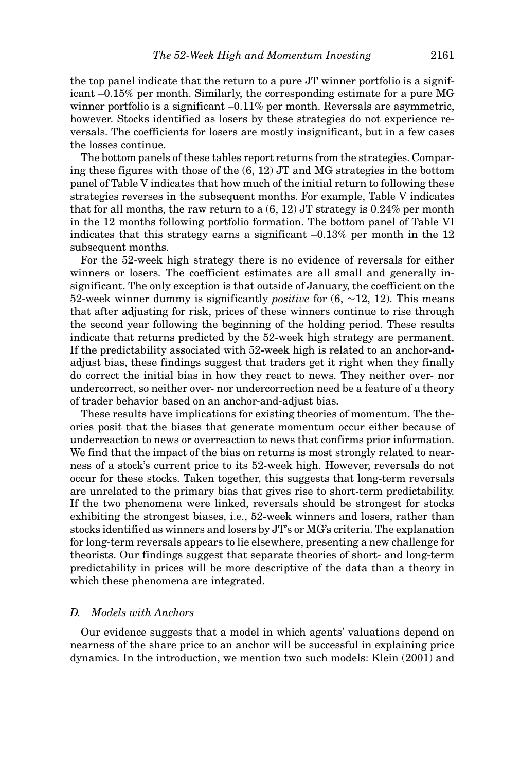the top panel indicate that the return to a pure JT winner portfolio is a significant –0.15% per month. Similarly, the corresponding estimate for a pure MG winner portfolio is a significant –0.11% per month. Reversals are asymmetric, however. Stocks identified as losers by these strategies do not experience reversals. The coefficients for losers are mostly insignificant, but in a few cases the losses continue.

The bottom panels of these tables report returns from the strategies. Comparing these figures with those of the (6, 12) JT and MG strategies in the bottom panel of Table V indicates that how much of the initial return to following these strategies reverses in the subsequent months. For example, Table V indicates that for all months, the raw return to a  $(6, 12)$  JT strategy is 0.24% per month in the 12 months following portfolio formation. The bottom panel of Table VI indicates that this strategy earns a significant  $-0.13\%$  per month in the 12 subsequent months.

For the 52-week high strategy there is no evidence of reversals for either winners or losers. The coefficient estimates are all small and generally insignificant. The only exception is that outside of January, the coefficient on the 52-week winner dummy is significantly *positive* for (6, ∼12, 12). This means that after adjusting for risk, prices of these winners continue to rise through the second year following the beginning of the holding period. These results indicate that returns predicted by the 52-week high strategy are permanent. If the predictability associated with 52-week high is related to an anchor-andadjust bias, these findings suggest that traders get it right when they finally do correct the initial bias in how they react to news. They neither over- nor undercorrect, so neither over- nor undercorrection need be a feature of a theory of trader behavior based on an anchor-and-adjust bias.

These results have implications for existing theories of momentum. The theories posit that the biases that generate momentum occur either because of underreaction to news or overreaction to news that confirms prior information. We find that the impact of the bias on returns is most strongly related to nearness of a stock's current price to its 52-week high. However, reversals do not occur for these stocks. Taken together, this suggests that long-term reversals are unrelated to the primary bias that gives rise to short-term predictability. If the two phenomena were linked, reversals should be strongest for stocks exhibiting the strongest biases, i.e., 52-week winners and losers, rather than stocks identified as winners and losers by JT's or MG's criteria. The explanation for long-term reversals appears to lie elsewhere, presenting a new challenge for theorists. Our findings suggest that separate theories of short- and long-term predictability in prices will be more descriptive of the data than a theory in which these phenomena are integrated.

# *D. Models with Anchors*

Our evidence suggests that a model in which agents' valuations depend on nearness of the share price to an anchor will be successful in explaining price dynamics. In the introduction, we mention two such models: Klein (2001) and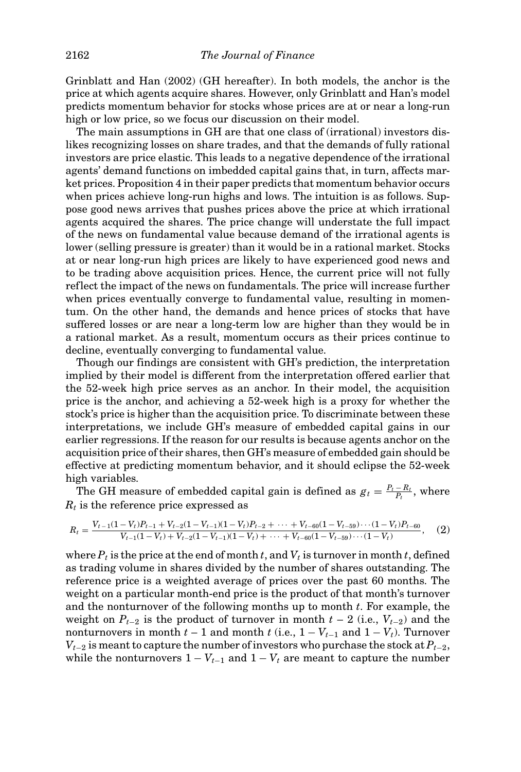Grinblatt and Han (2002) (GH hereafter). In both models, the anchor is the price at which agents acquire shares. However, only Grinblatt and Han's model predicts momentum behavior for stocks whose prices are at or near a long-run high or low price, so we focus our discussion on their model.

The main assumptions in GH are that one class of (irrational) investors dislikes recognizing losses on share trades, and that the demands of fully rational investors are price elastic. This leads to a negative dependence of the irrational agents' demand functions on imbedded capital gains that, in turn, affects market prices. Proposition 4 in their paper predicts that momentum behavior occurs when prices achieve long-run highs and lows. The intuition is as follows. Suppose good news arrives that pushes prices above the price at which irrational agents acquired the shares. The price change will understate the full impact of the news on fundamental value because demand of the irrational agents is lower (selling pressure is greater) than it would be in a rational market. Stocks at or near long-run high prices are likely to have experienced good news and to be trading above acquisition prices. Hence, the current price will not fully reflect the impact of the news on fundamentals. The price will increase further when prices eventually converge to fundamental value, resulting in momentum. On the other hand, the demands and hence prices of stocks that have suffered losses or are near a long-term low are higher than they would be in a rational market. As a result, momentum occurs as their prices continue to decline, eventually converging to fundamental value.

Though our findings are consistent with GH's prediction, the interpretation implied by their model is different from the interpretation offered earlier that the 52-week high price serves as an anchor. In their model, the acquisition price is the anchor, and achieving a 52-week high is a proxy for whether the stock's price is higher than the acquisition price. To discriminate between these interpretations, we include GH's measure of embedded capital gains in our earlier regressions. If the reason for our results is because agents anchor on the acquisition price of their shares, then GH's measure of embedded gain should be effective at predicting momentum behavior, and it should eclipse the 52-week high variables.

The GH measure of embedded capital gain is defined as  $g_t = \frac{P_t - R_t}{P_t}$ , where  $R_t$  is the reference price expressed as

$$
R_{t} = \frac{V_{t-1}(1-V_{t})P_{t-1} + V_{t-2}(1-V_{t-1})(1-V_{t})P_{t-2} + \dots + V_{t-60}(1-V_{t-59})\dotsm(1-V_{t})P_{t-60}}{V_{t-1}(1-V_{t}) + V_{t-2}(1-V_{t-1})(1-V_{t}) + \dots + V_{t-60}(1-V_{t-59})\dotsm(1-V_{t})},
$$
 (2)

where  $P_t$  is the price at the end of month *t*, and  $V_t$  is turnover in month *t*, defined as trading volume in shares divided by the number of shares outstanding. The reference price is a weighted average of prices over the past 60 months. The weight on a particular month-end price is the product of that month's turnover and the nonturnover of the following months up to month *t*. For example, the weight on  $P_{t-2}$  is the product of turnover in month  $t-2$  (i.e.,  $V_{t-2}$ ) and the nonturnovers in month  $t-1$  and month  $t$  (i.e.,  $1 - V_{t-1}$  and  $1 - V_t$ ). Turnover  $V_{t-2}$  is meant to capture the number of investors who purchase the stock at  $P_{t-2}$ , while the nonturnovers  $1 - V_{t-1}$  and  $1 - V_t$  are meant to capture the number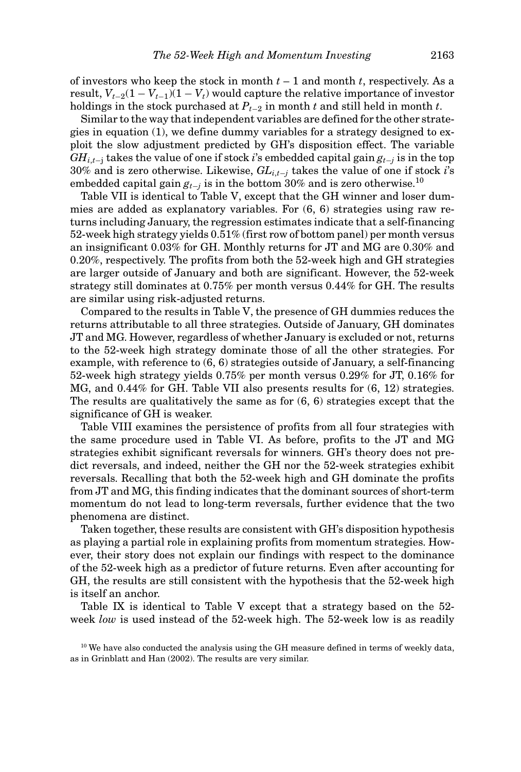of investors who keep the stock in month  $t-1$  and month  $t$ , respectively. As a result,  $V_{t-2}(1 - V_{t-1})(1 - V_t)$  would capture the relative importance of investor holdings in the stock purchased at  $P_{t-2}$  in month *t* and still held in month *t*.

Similar to the way that independent variables are defined for the other strategies in equation (1), we define dummy variables for a strategy designed to exploit the slow adjustment predicted by GH's disposition effect. The variable *GHi*,*t*−<sup>j</sup> takes the value of one if stock *i*'s embedded capital gain *gt*−*<sup>j</sup>* is in the top 30% and is zero otherwise. Likewise, *GLi*,*t*−*<sup>j</sup>* takes the value of one if stock *i*'s embedded capital gain  $g_{t-j}$  is in the bottom 30% and is zero otherwise.<sup>10</sup>

Table VII is identical to Table V, except that the GH winner and loser dummies are added as explanatory variables. For (6, 6) strategies using raw returns including January, the regression estimates indicate that a self-financing 52-week high strategy yields 0.51% (first row of bottom panel) per month versus an insignificant 0.03% for GH. Monthly returns for JT and MG are 0.30% and 0.20%, respectively. The profits from both the 52-week high and GH strategies are larger outside of January and both are significant. However, the 52-week strategy still dominates at 0.75% per month versus 0.44% for GH. The results are similar using risk-adjusted returns.

Compared to the results in Table V, the presence of GH dummies reduces the returns attributable to all three strategies. Outside of January, GH dominates JT and MG. However, regardless of whether January is excluded or not, returns to the 52-week high strategy dominate those of all the other strategies. For example, with reference to (6, 6) strategies outside of January, a self-financing 52-week high strategy yields 0.75% per month versus 0.29% for JT, 0.16% for MG, and 0.44% for GH. Table VII also presents results for (6, 12) strategies. The results are qualitatively the same as for  $(6, 6)$  strategies except that the significance of GH is weaker.

Table VIII examines the persistence of profits from all four strategies with the same procedure used in Table VI. As before, profits to the JT and MG strategies exhibit significant reversals for winners. GH's theory does not predict reversals, and indeed, neither the GH nor the 52-week strategies exhibit reversals. Recalling that both the 52-week high and GH dominate the profits from JT and MG, this finding indicates that the dominant sources of short-term momentum do not lead to long-term reversals, further evidence that the two phenomena are distinct.

Taken together, these results are consistent with GH's disposition hypothesis as playing a partial role in explaining profits from momentum strategies. However, their story does not explain our findings with respect to the dominance of the 52-week high as a predictor of future returns. Even after accounting for GH, the results are still consistent with the hypothesis that the 52-week high is itself an anchor.

Table IX is identical to Table V except that a strategy based on the 52 week *low* is used instead of the 52-week high. The 52-week low is as readily

<sup>10</sup> We have also conducted the analysis using the GH measure defined in terms of weekly data, as in Grinblatt and Han (2002). The results are very similar.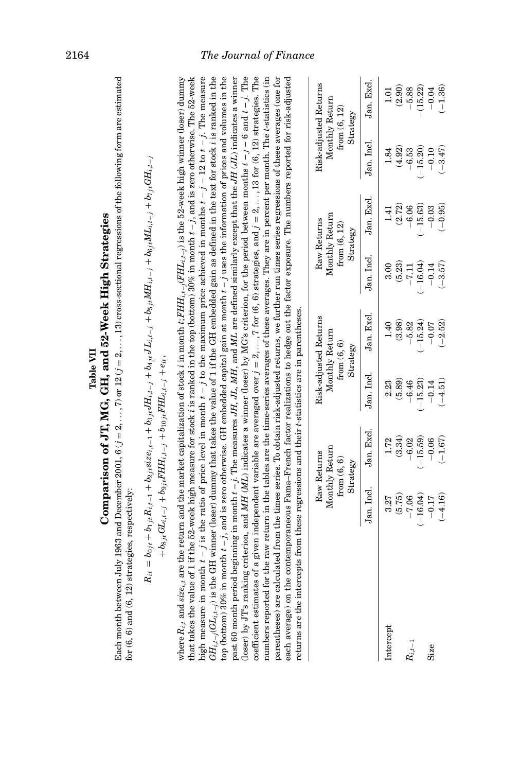| for (6, 6) and (6, 12) strategies, respectively:<br>Each month between July                                                                                                                                                                                                                                                                                                                                                                                                                                                                                                                                                                                                                                                                                                                                                                                                                                                                                                                                                                                                                                                                                                                                                         |            |                                                                                                                                                                                                                                                          |            |                                                                      |            |                                                           | 1963 and December 2001, $6$ ( $j = 2, \ldots, 7$ ) or $12$ ( $j = 2, \ldots, 13$ ) cross-sectional regressions of the following form are estimated                                                                                                                                                                                                                                                                                                                                                                              |                                                     |
|-------------------------------------------------------------------------------------------------------------------------------------------------------------------------------------------------------------------------------------------------------------------------------------------------------------------------------------------------------------------------------------------------------------------------------------------------------------------------------------------------------------------------------------------------------------------------------------------------------------------------------------------------------------------------------------------------------------------------------------------------------------------------------------------------------------------------------------------------------------------------------------------------------------------------------------------------------------------------------------------------------------------------------------------------------------------------------------------------------------------------------------------------------------------------------------------------------------------------------------|------------|----------------------------------------------------------------------------------------------------------------------------------------------------------------------------------------------------------------------------------------------------------|------------|----------------------------------------------------------------------|------------|-----------------------------------------------------------|---------------------------------------------------------------------------------------------------------------------------------------------------------------------------------------------------------------------------------------------------------------------------------------------------------------------------------------------------------------------------------------------------------------------------------------------------------------------------------------------------------------------------------|-----------------------------------------------------|
| $R_{it} =$                                                                                                                                                                                                                                                                                                                                                                                                                                                                                                                                                                                                                                                                                                                                                                                                                                                                                                                                                                                                                                                                                                                                                                                                                          |            | $b_{0j t} + b_{1j t} R_{i,t-1} + b_{2j t} size_{t,t-1} + b_{3j t} J H_{i,t-j} + b_{4j t} J L_{i,t-j} + b_{6j t} M H_{i,t-j} + b_{6j t} M L_{i,t-j} + b_{7j t} G H_{i,t-j}$<br>$+ b_{8jt}GL_{i,t-j} + b_{9jt}FHH_{i,t-j} + b_{10jt}FHL_{i,t-j} + e_{it},$ |            |                                                                      |            |                                                           |                                                                                                                                                                                                                                                                                                                                                                                                                                                                                                                                 |                                                     |
| where $R_{i,t}$ and size <sub>i</sub> , are the return and the market capitalization of stock <i>i</i> in month $t_iHHH_{i,t-j}(FHL_{i,t-j})$ is the 52-week high winner (loser) dummy<br>$GH_{i,i-j}(GL_{i,i-j})$ is the GH winner (loser) dummy that takes the value of 1 if the GH embedded gain as defined in the text for stock <i>i</i> is ranked in the top (bottom) 30% in month $t-j$ , and is zero otherwise. GH embedded capi<br>parentheses) are calculated from the times series. To obtain risk-adjusted returns, we further run times series regressions of these averages (one for<br>past 60 month period beginning in month $t - j$ . The measures JH, JL, MH, and ML are defined similarly except that the JH $(JL)$ indicates a winner<br>numbers reported for the raw return in the tables are the time-series averages of these averages. They are in percent per month. The t-statistics (in<br>each average) on the contemporaneous Fama–French factor realizations to hedge out the factor exposure. The numbers reported for risk-adjusted<br>that takes the value of 1 if<br>(loser) by JT's ranking crit<br>high measure in month t<br>coefficient estimates of a $\beta$<br>returns are the intercepts |            | from these regressions and their <i>t</i> -statistics are in parentheses.                                                                                                                                                                                |            |                                                                      |            |                                                           | the 52-week high measure for stock <i>i</i> is ranked in the top (bottom) 30% in month $t-j$ , and is zero otherwise. The 52-week<br>$-j$ is the ratio of price level in month $t-j$ to the maximum price achieved in months $t-j-12$ to $t-j$ . The measure<br>given independent variable are averaged over $j = 2, , 7$ for (6, 6) strategies, and $j = 2, , 13$ for (6, 12) strategies. The<br>terion, and MH (ML) indicates a winner (loser) by MG's criterion, for the period between months $t - j - 6$ and $t - j$ . The |                                                     |
|                                                                                                                                                                                                                                                                                                                                                                                                                                                                                                                                                                                                                                                                                                                                                                                                                                                                                                                                                                                                                                                                                                                                                                                                                                     |            | Monthly Return<br>Raw Returns<br>from $(6, 6)$<br>Strategy                                                                                                                                                                                               |            | Risk-adjusted Returns<br>Monthly Return<br>from $(6, 6)$<br>Strategy |            | Monthly Return<br>Raw Returns<br>from (6, 12)<br>Strategy | from $(6, 12)$                                                                                                                                                                                                                                                                                                                                                                                                                                                                                                                  | Risk-adjusted Returns<br>Monthly Return<br>Strategy |
|                                                                                                                                                                                                                                                                                                                                                                                                                                                                                                                                                                                                                                                                                                                                                                                                                                                                                                                                                                                                                                                                                                                                                                                                                                     | Jan. Incl. | Jan. Excl.                                                                                                                                                                                                                                               | Jan. Incl. | Jan. Excl.                                                           | Jan. Incl. | Jan. Excl                                                 | Jan. Incl.                                                                                                                                                                                                                                                                                                                                                                                                                                                                                                                      | Jan. Excl.                                          |
| Intercept                                                                                                                                                                                                                                                                                                                                                                                                                                                                                                                                                                                                                                                                                                                                                                                                                                                                                                                                                                                                                                                                                                                                                                                                                           | 3.27       | 1.72                                                                                                                                                                                                                                                     | 2.23       | 1.40                                                                 | 3.00       | 1.41                                                      | 1.84                                                                                                                                                                                                                                                                                                                                                                                                                                                                                                                            | 1.01                                                |
|                                                                                                                                                                                                                                                                                                                                                                                                                                                                                                                                                                                                                                                                                                                                                                                                                                                                                                                                                                                                                                                                                                                                                                                                                                     | (5.75)     | (3.34)                                                                                                                                                                                                                                                   | (5.89)     | (3.98)                                                               | (5.23)     | (2.72)                                                    | (4.92)                                                                                                                                                                                                                                                                                                                                                                                                                                                                                                                          | (2.90)                                              |
| $R_{i,t-1}$                                                                                                                                                                                                                                                                                                                                                                                                                                                                                                                                                                                                                                                                                                                                                                                                                                                                                                                                                                                                                                                                                                                                                                                                                         | $-7.06$    | $-6.02$                                                                                                                                                                                                                                                  | $-6.46$    | $-5.82$                                                              | $-7.11$    | $-6.06$                                                   | $-6.53$                                                                                                                                                                                                                                                                                                                                                                                                                                                                                                                         | $-5.88$                                             |
|                                                                                                                                                                                                                                                                                                                                                                                                                                                                                                                                                                                                                                                                                                                                                                                                                                                                                                                                                                                                                                                                                                                                                                                                                                     | $(-16.04)$ | $(-15.59)$                                                                                                                                                                                                                                               | $-15.23$   | $(-15.24)$                                                           | $-16.04$   | $(-15.63)$                                                | $(-15.20)$                                                                                                                                                                                                                                                                                                                                                                                                                                                                                                                      | $-(15.22)$                                          |
| Size                                                                                                                                                                                                                                                                                                                                                                                                                                                                                                                                                                                                                                                                                                                                                                                                                                                                                                                                                                                                                                                                                                                                                                                                                                | $-0.17$    | $-0.06$                                                                                                                                                                                                                                                  | $-0.14$    | $-0.07$                                                              | $-0.14$    | $-0.03$                                                   | $-0.10$                                                                                                                                                                                                                                                                                                                                                                                                                                                                                                                         | $-0.04$                                             |
|                                                                                                                                                                                                                                                                                                                                                                                                                                                                                                                                                                                                                                                                                                                                                                                                                                                                                                                                                                                                                                                                                                                                                                                                                                     | $(-4.16)$  | $(-1.67)$                                                                                                                                                                                                                                                | $(-4.51)$  | $(-2.52)$                                                            | $(-3.57)$  | $(-0.95)$                                                 | $(-3.47)$                                                                                                                                                                                                                                                                                                                                                                                                                                                                                                                       | $(-1.36)$                                           |

# Comparison of JT, MG, GH, and 52-Week High Strategies **Comparison of JT, MG, GH, and 52-Week High Strategies** Table VII **Table VII**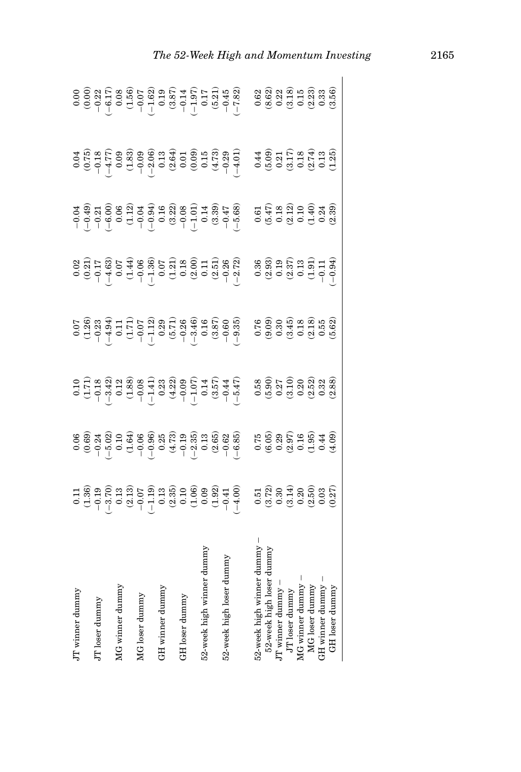| JT winner dummy                                        |                                                                                                                                                                                                                                                                                                                                                  |                                                                                                                                                                                                                                                                                                               |                                                                                                                                                                                                                                                                                                                                                 |                                                                                                                                              |                                                                                                                                                                                                                                                                                             |                                                                                                |                                                                                                                                                                                                                                                                                                               |                                                                                                                                                                                                                                                                   |
|--------------------------------------------------------|--------------------------------------------------------------------------------------------------------------------------------------------------------------------------------------------------------------------------------------------------------------------------------------------------------------------------------------------------|---------------------------------------------------------------------------------------------------------------------------------------------------------------------------------------------------------------------------------------------------------------------------------------------------------------|-------------------------------------------------------------------------------------------------------------------------------------------------------------------------------------------------------------------------------------------------------------------------------------------------------------------------------------------------|----------------------------------------------------------------------------------------------------------------------------------------------|---------------------------------------------------------------------------------------------------------------------------------------------------------------------------------------------------------------------------------------------------------------------------------------------|------------------------------------------------------------------------------------------------|---------------------------------------------------------------------------------------------------------------------------------------------------------------------------------------------------------------------------------------------------------------------------------------------------------------|-------------------------------------------------------------------------------------------------------------------------------------------------------------------------------------------------------------------------------------------------------------------|
|                                                        |                                                                                                                                                                                                                                                                                                                                                  |                                                                                                                                                                                                                                                                                                               |                                                                                                                                                                                                                                                                                                                                                 |                                                                                                                                              |                                                                                                                                                                                                                                                                                             |                                                                                                |                                                                                                                                                                                                                                                                                                               |                                                                                                                                                                                                                                                                   |
| JT loser dummy                                         |                                                                                                                                                                                                                                                                                                                                                  |                                                                                                                                                                                                                                                                                                               |                                                                                                                                                                                                                                                                                                                                                 |                                                                                                                                              |                                                                                                                                                                                                                                                                                             |                                                                                                |                                                                                                                                                                                                                                                                                                               |                                                                                                                                                                                                                                                                   |
|                                                        |                                                                                                                                                                                                                                                                                                                                                  |                                                                                                                                                                                                                                                                                                               |                                                                                                                                                                                                                                                                                                                                                 |                                                                                                                                              |                                                                                                                                                                                                                                                                                             |                                                                                                |                                                                                                                                                                                                                                                                                                               |                                                                                                                                                                                                                                                                   |
| MG winner dummy                                        |                                                                                                                                                                                                                                                                                                                                                  |                                                                                                                                                                                                                                                                                                               |                                                                                                                                                                                                                                                                                                                                                 |                                                                                                                                              |                                                                                                                                                                                                                                                                                             |                                                                                                |                                                                                                                                                                                                                                                                                                               |                                                                                                                                                                                                                                                                   |
|                                                        | $\begin{array}{l} 1.166 \\ -1.66 \\ -1.76 \\ -1.76 \\ -1.76 \\ -1.76 \\ -1.76 \\ -1.76 \\ -1.76 \\ -1.76 \\ -1.76 \\ -1.76 \\ -1.76 \\ -1.76 \\ -1.76 \\ -1.76 \\ -1.76 \\ -1.76 \\ -1.76 \\ -1.76 \\ -1.76 \\ -1.76 \\ -1.76 \\ -1.76 \\ -1.76 \\ -1.76 \\ -1.76 \\ -1.76 \\ -1.76 \\ -1.76 \\ -1.76 \\ -1.76 \\ -1.76 \\ -1.76 \\ -1.76 \\ -1$ | $\begin{array}{r} 0.06 \\ 0.06 \\ 0.07 \\ 0.07 \\ 0.08 \\ 0.07 \\ 0.07 \\ 0.07 \\ 0.07 \\ 0.07 \\ 0.07 \\ 0.07 \\ 0.07 \\ 0.07 \\ 0.07 \\ 0.07 \\ 0.07 \\ 0.07 \\ 0.07 \\ 0.07 \\ 0.07 \\ 0.07 \\ 0.07 \\ 0.07 \\ 0.07 \\ 0.07 \\ 0.07 \\ 0.07 \\ 0.07 \\ 0.07 \\ 0.07 \\ 0.07 \\ 0.07 \\ 0.07 \\ 0.07 \\ 0.$ | $\begin{array}{l} 0.01 \\ 0.01 \\ -0.01 \\ -0.01 \\ -0.01 \\ -0.01 \\ -0.01 \\ -0.01 \\ -0.01 \\ -0.01 \\ -0.01 \\ -0.01 \\ -0.01 \\ -0.01 \\ -0.01 \\ -0.01 \\ -0.01 \\ -0.01 \\ -0.01 \\ -0.01 \\ -0.01 \\ -0.01 \\ -0.01 \\ -0.01 \\ -0.01 \\ -0.01 \\ -0.01 \\ -0.01 \\ -0.01 \\ -0.01 \\ -0.01 \\ -0.01 \\ -0.01 \\ -0.01 \\ -0.01 \\ -0.$ |                                                                                                                                              | $\begin{array}{c} 0.011 \\ 0.0211 \\ 0.0311 \\ 0.0400 \\ 0.0000 \\ 0.0000 \\ 0.0000 \\ 0.0000 \\ 0.0000 \\ 0.0000 \\ 0.0000 \\ 0.0000 \\ 0.0000 \\ 0.0000 \\ 0.0000 \\ 0.0000 \\ 0.0000 \\ 0.0000 \\ 0.0000 \\ 0.0000 \\ 0.0000 \\ 0.0000 \\ 0.0000 \\ 0.0000 \\ 0.0000 \\ 0.0000 \\ 0.000$ |                                                                                                | $\begin{array}{l} 36.68 \\ 46.78 \\ 46.78 \\ 46.79 \\ 46.79 \\ 46.79 \\ 46.79 \\ 46.79 \\ 46.79 \\ 46.79 \\ 46.79 \\ 46.79 \\ 46.79 \\ 46.79 \\ 46.79 \\ 46.79 \\ 46.79 \\ 46.79 \\ 46.79 \\ 46.79 \\ 46.79 \\ 46.79 \\ 46.79 \\ 46.79 \\ 46.79 \\ 46.79 \\ 46.79 \\ 46.79 \\ 46.79 \\ 46.79 \\ 46$           | $\begin{array}{l} 0.000\\ 0.0000\\ 0.0000\\ 0.0000\\ 0.0000\\ 0.0000\\ 0.0000\\ 0.0000\\ 0.0000\\ 0.0000\\ 0.0000\\ 0.0000\\ 0.0000\\ 0.0000\\ 0.0000\\ 0.0000\\ 0.0000\\ 0.0000\\ 0.0000\\ 0.0000\\ 0.0000\\ 0.0000\\ 0.0000\\ 0.0000\\ 0.0000\\ 0.0000\\ 0.000$ |
| MG loser dunnny                                        |                                                                                                                                                                                                                                                                                                                                                  |                                                                                                                                                                                                                                                                                                               |                                                                                                                                                                                                                                                                                                                                                 |                                                                                                                                              |                                                                                                                                                                                                                                                                                             |                                                                                                |                                                                                                                                                                                                                                                                                                               |                                                                                                                                                                                                                                                                   |
|                                                        |                                                                                                                                                                                                                                                                                                                                                  |                                                                                                                                                                                                                                                                                                               |                                                                                                                                                                                                                                                                                                                                                 |                                                                                                                                              |                                                                                                                                                                                                                                                                                             |                                                                                                |                                                                                                                                                                                                                                                                                                               |                                                                                                                                                                                                                                                                   |
| GH winner dummy                                        |                                                                                                                                                                                                                                                                                                                                                  |                                                                                                                                                                                                                                                                                                               |                                                                                                                                                                                                                                                                                                                                                 |                                                                                                                                              |                                                                                                                                                                                                                                                                                             |                                                                                                |                                                                                                                                                                                                                                                                                                               |                                                                                                                                                                                                                                                                   |
|                                                        |                                                                                                                                                                                                                                                                                                                                                  |                                                                                                                                                                                                                                                                                                               |                                                                                                                                                                                                                                                                                                                                                 |                                                                                                                                              |                                                                                                                                                                                                                                                                                             |                                                                                                |                                                                                                                                                                                                                                                                                                               |                                                                                                                                                                                                                                                                   |
| GH loser dummy                                         |                                                                                                                                                                                                                                                                                                                                                  |                                                                                                                                                                                                                                                                                                               |                                                                                                                                                                                                                                                                                                                                                 |                                                                                                                                              |                                                                                                                                                                                                                                                                                             |                                                                                                |                                                                                                                                                                                                                                                                                                               |                                                                                                                                                                                                                                                                   |
|                                                        |                                                                                                                                                                                                                                                                                                                                                  |                                                                                                                                                                                                                                                                                                               |                                                                                                                                                                                                                                                                                                                                                 |                                                                                                                                              |                                                                                                                                                                                                                                                                                             |                                                                                                |                                                                                                                                                                                                                                                                                                               |                                                                                                                                                                                                                                                                   |
| 52-week high winner dummy                              |                                                                                                                                                                                                                                                                                                                                                  |                                                                                                                                                                                                                                                                                                               |                                                                                                                                                                                                                                                                                                                                                 |                                                                                                                                              |                                                                                                                                                                                                                                                                                             |                                                                                                |                                                                                                                                                                                                                                                                                                               |                                                                                                                                                                                                                                                                   |
|                                                        |                                                                                                                                                                                                                                                                                                                                                  |                                                                                                                                                                                                                                                                                                               |                                                                                                                                                                                                                                                                                                                                                 |                                                                                                                                              |                                                                                                                                                                                                                                                                                             |                                                                                                |                                                                                                                                                                                                                                                                                                               |                                                                                                                                                                                                                                                                   |
| 52-week high loser dummy                               |                                                                                                                                                                                                                                                                                                                                                  |                                                                                                                                                                                                                                                                                                               |                                                                                                                                                                                                                                                                                                                                                 |                                                                                                                                              |                                                                                                                                                                                                                                                                                             |                                                                                                |                                                                                                                                                                                                                                                                                                               |                                                                                                                                                                                                                                                                   |
|                                                        |                                                                                                                                                                                                                                                                                                                                                  |                                                                                                                                                                                                                                                                                                               |                                                                                                                                                                                                                                                                                                                                                 |                                                                                                                                              |                                                                                                                                                                                                                                                                                             |                                                                                                |                                                                                                                                                                                                                                                                                                               |                                                                                                                                                                                                                                                                   |
| $52$ week high winner dummy $52$ week high loser dummy |                                                                                                                                                                                                                                                                                                                                                  |                                                                                                                                                                                                                                                                                                               |                                                                                                                                                                                                                                                                                                                                                 |                                                                                                                                              |                                                                                                                                                                                                                                                                                             |                                                                                                |                                                                                                                                                                                                                                                                                                               |                                                                                                                                                                                                                                                                   |
|                                                        |                                                                                                                                                                                                                                                                                                                                                  |                                                                                                                                                                                                                                                                                                               |                                                                                                                                                                                                                                                                                                                                                 |                                                                                                                                              |                                                                                                                                                                                                                                                                                             |                                                                                                |                                                                                                                                                                                                                                                                                                               |                                                                                                                                                                                                                                                                   |
| $JT$ winner dummy $-$                                  |                                                                                                                                                                                                                                                                                                                                                  |                                                                                                                                                                                                                                                                                                               |                                                                                                                                                                                                                                                                                                                                                 |                                                                                                                                              |                                                                                                                                                                                                                                                                                             |                                                                                                |                                                                                                                                                                                                                                                                                                               |                                                                                                                                                                                                                                                                   |
| JT loser dummy                                         | $0.51$<br>$0.72$<br>$0.39$<br>$0.30$<br>$0.50$<br>$0.50$<br>$0.57$<br>$0.27$                                                                                                                                                                                                                                                                     | $\begin{array}{c} 0.75 \\ 0.05 \\ 0.29 \\ 0.29 \\ 0.16 \\ 0.16 \\ 0.44 \\ 0.44 \\ 0.09 \end{array}$                                                                                                                                                                                                           | $\begin{array}{c} 0.58 \\ 0.90 \\ 0.61 \\ 0.21 \\ 0.32 \\ 0.33 \\ 0.34 \\ 0.38 \\ 0.38 \\ 0.38 \\ 0.38 \\ 0.38 \\ 0.38 \\ 0.38 \\ 0.38 \\ 0.38 \\ 0.38 \\ 0.38 \\ 0.38 \\ 0.38 \\ 0.38 \\ 0.38 \\ 0.38 \\ 0.38 \\ 0.38 \\ 0.38 \\ 0.38 \\ 0.38 \\ 0.38 \\ 0.38 \\ 0.38 \\ 0.38 \\ 0.38 \\ 0.38 \\ 0.38 \\ 0.$                                   | $(5, 6)$<br>$(6, 6)$<br>$(7, 6)$<br>$(8, 6)$<br>$(9, 6)$<br>$(1, 6)$<br>$(1, 6)$<br>$(1, 6)$<br>$(1, 6)$<br>$(1, 6)$<br>$(1, 6)$<br>$(1, 6)$ | $\begin{array}{c} 0.36 \\ 0.93 \\ 0.19 \\ 0.13 \\ 0.13 \\ 0.13 \\ -0.11 \\ -0.04 \end{array}$                                                                                                                                                                                               | $\begin{array}{l} 0.61 \\ 0.47 \\ 0.18 \\ 0.12 \\ 0.10 \\ 0.14 \\ 0.24 \\ 0.39 \\ \end{array}$ | $\begin{array}{c} 0.44 \\ 0.09 \\ 0.21 \\ 0.21 \\ 0.31 \\ 0.17 \\ 0.04 \\ 0.13 \\ 0.01 \\ 0.01 \\ 0.01 \\ 0.01 \\ 0.01 \\ 0.01 \\ 0.01 \\ 0.01 \\ 0.01 \\ 0.01 \\ 0.01 \\ 0.01 \\ 0.01 \\ 0.01 \\ 0.01 \\ 0.01 \\ 0.01 \\ 0.01 \\ 0.01 \\ 0.01 \\ 0.01 \\ 0.01 \\ 0.01 \\ 0.01 \\ 0.01 \\ 0.01 \\ 0.01 \\ 0.$ |                                                                                                                                                                                                                                                                   |
| MG winner dummy                                        |                                                                                                                                                                                                                                                                                                                                                  |                                                                                                                                                                                                                                                                                                               |                                                                                                                                                                                                                                                                                                                                                 |                                                                                                                                              |                                                                                                                                                                                                                                                                                             |                                                                                                |                                                                                                                                                                                                                                                                                                               |                                                                                                                                                                                                                                                                   |
| MG loser dummy                                         |                                                                                                                                                                                                                                                                                                                                                  |                                                                                                                                                                                                                                                                                                               |                                                                                                                                                                                                                                                                                                                                                 |                                                                                                                                              |                                                                                                                                                                                                                                                                                             |                                                                                                |                                                                                                                                                                                                                                                                                                               |                                                                                                                                                                                                                                                                   |
| GH winner dummy                                        |                                                                                                                                                                                                                                                                                                                                                  |                                                                                                                                                                                                                                                                                                               |                                                                                                                                                                                                                                                                                                                                                 |                                                                                                                                              |                                                                                                                                                                                                                                                                                             |                                                                                                |                                                                                                                                                                                                                                                                                                               |                                                                                                                                                                                                                                                                   |
| GH loser dummy                                         |                                                                                                                                                                                                                                                                                                                                                  |                                                                                                                                                                                                                                                                                                               |                                                                                                                                                                                                                                                                                                                                                 |                                                                                                                                              |                                                                                                                                                                                                                                                                                             |                                                                                                |                                                                                                                                                                                                                                                                                                               |                                                                                                                                                                                                                                                                   |
|                                                        |                                                                                                                                                                                                                                                                                                                                                  |                                                                                                                                                                                                                                                                                                               |                                                                                                                                                                                                                                                                                                                                                 |                                                                                                                                              |                                                                                                                                                                                                                                                                                             |                                                                                                |                                                                                                                                                                                                                                                                                                               |                                                                                                                                                                                                                                                                   |

*The 52-Week High and Momentum Investing* 2165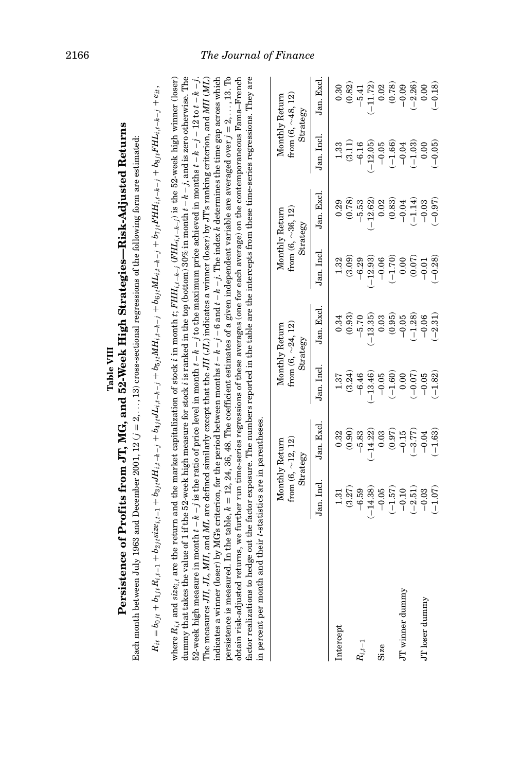| Persistence of Profits from JT, MG, and 52-Week High Strategies—Risk-Adjusted Returns<br>Each month between July                                                                                                                                                                                                                                                                                                                                                                                                                                                                                                                                                                                                                                                                                                                                                                                                                                                                                                                                                                                                                                                                                                                                                                                                                                                         | 1963 and December 2001, 12 $(j = 2, \ldots, 13)$ cross-sectional regressions of the following form are estimated:                                                                                                                                                                                                           |                                                   | <b>Table VIII</b> |                                                       |            |                                                      |                                                      |           |
|--------------------------------------------------------------------------------------------------------------------------------------------------------------------------------------------------------------------------------------------------------------------------------------------------------------------------------------------------------------------------------------------------------------------------------------------------------------------------------------------------------------------------------------------------------------------------------------------------------------------------------------------------------------------------------------------------------------------------------------------------------------------------------------------------------------------------------------------------------------------------------------------------------------------------------------------------------------------------------------------------------------------------------------------------------------------------------------------------------------------------------------------------------------------------------------------------------------------------------------------------------------------------------------------------------------------------------------------------------------------------|-----------------------------------------------------------------------------------------------------------------------------------------------------------------------------------------------------------------------------------------------------------------------------------------------------------------------------|---------------------------------------------------|-------------------|-------------------------------------------------------|------------|------------------------------------------------------|------------------------------------------------------|-----------|
| $R_{it} = b_{0jt} + b_{1jt} R_{i,t-1} +$                                                                                                                                                                                                                                                                                                                                                                                                                                                                                                                                                                                                                                                                                                                                                                                                                                                                                                                                                                                                                                                                                                                                                                                                                                                                                                                                 | $b_{2j\,i}s$ ize $_{i,t-1}+b_{3j\,i}JH_{i,t-k-j}+b_{4jt}JH_{i,t-k-j}+b_{5jt}JuH_{i,t-k-j}+b_{6jt}ML_{i,t-k-j}+b_{7jt}FHH_{i,t-k-j}+b_{8jt}FHH_{i,t-k-j}+b_{8jt}FHH_{i,t-k-j}+b_{9jt}FHH_{i,t-k-j}+b_{1j}FHH_{i,t-k-j}+b_{1j}FHH_{i,t-k-j}+b_{1j}FHH_{i,t-k-j}+b_{1j}FHH_{i,t-k-j}+b_{1j}FHH_{i,t-k-j}+b_{1j}FHH_{i,t-k-j}+$ |                                                   |                   |                                                       |            |                                                      |                                                      |           |
| dummy that takes the value of 1 if the 52-week high measure for stock $i$ is ranked in the top (bottom) 30% in month $t$ – $k$ – $j$ , and is zero otherwise. The<br>indicates a winner (loser) by MG's criterion, for the period between months $t-k-j-6$ and $t-k-j$ . The index $k$ determines the time gap across which<br>persistence is measured. In the table, $k = 12$ , $24$ , $36$ , $48$ . The coefficient estimates of a given independent variable are averaged over $j = 2, \ldots, 13$ . To<br>obtain risk-adjusted returns, we further run time-series regressions of these averages (one for each average) on the contemporaneous Fama-French<br>factor realizations to hedge out the factor exposure. The numbers reported in the table are the intercepts from these time-series regressions. They are<br>52-week high measure in month $t - k - j$ is the ratio of price level in month $t - k - j$ to the maximum price achieved in months $t - k - j - 12$ to $t - k - j$ .<br>The measures JH, JL, MH, and ML are defined similarly except that the JH (JL) indicates a winner (loser) by JT's ranking criterion, and MH (ML)<br>where $R_{i,t}$ and size <sub>i,t</sub> are the return and the market capitalization of stock i in month t; $FHH_{i,t-k-j}$ ( $FHH_{i,t-k-j}$ ) is the 52-week high winner (loser)<br>in percent per month and t | heir t-statistics are in parentheses.                                                                                                                                                                                                                                                                                       |                                                   |                   |                                                       |            |                                                      |                                                      |           |
|                                                                                                                                                                                                                                                                                                                                                                                                                                                                                                                                                                                                                                                                                                                                                                                                                                                                                                                                                                                                                                                                                                                                                                                                                                                                                                                                                                          |                                                                                                                                                                                                                                                                                                                             | from $(6, -12, 12)$<br>Monthly Return<br>Strategy |                   | from $(6, \sim 24, 12)$<br>Monthly Return<br>Strategy |            | from $(6, \sim36, 12)$<br>Monthly Return<br>Strategy | from $(6, \sim48, 12)$<br>Monthly Return<br>Strategy |           |
|                                                                                                                                                                                                                                                                                                                                                                                                                                                                                                                                                                                                                                                                                                                                                                                                                                                                                                                                                                                                                                                                                                                                                                                                                                                                                                                                                                          | Jan. Incl.                                                                                                                                                                                                                                                                                                                  | Jan. Excl.                                        | Jan. Incl.        | Jan. Excl.                                            | Jan. Incl. | Jan. Excl.                                           | Jan. Incl.                                           | Jan. Excl |
| Intercept                                                                                                                                                                                                                                                                                                                                                                                                                                                                                                                                                                                                                                                                                                                                                                                                                                                                                                                                                                                                                                                                                                                                                                                                                                                                                                                                                                | 1.31                                                                                                                                                                                                                                                                                                                        | 0.32                                              | 1.37              | 0.34                                                  | 1.32       | 0.29                                                 | 1.33                                                 | 0.30      |
|                                                                                                                                                                                                                                                                                                                                                                                                                                                                                                                                                                                                                                                                                                                                                                                                                                                                                                                                                                                                                                                                                                                                                                                                                                                                                                                                                                          | (3.27)                                                                                                                                                                                                                                                                                                                      | (0.90)                                            | (3.24)            | (0.93)                                                | (3.09)     | (0.78)                                               | (3.11)                                               | (0.82)    |
| $R_{i,t-1}$                                                                                                                                                                                                                                                                                                                                                                                                                                                                                                                                                                                                                                                                                                                                                                                                                                                                                                                                                                                                                                                                                                                                                                                                                                                                                                                                                              | $-6.59$                                                                                                                                                                                                                                                                                                                     | $-5.83$                                           | $-6.46$           | $-5.70$                                               | $-6.29$    | $-5.53$                                              | $-6.16$                                              | $-5.41$   |
|                                                                                                                                                                                                                                                                                                                                                                                                                                                                                                                                                                                                                                                                                                                                                                                                                                                                                                                                                                                                                                                                                                                                                                                                                                                                                                                                                                          | $(-14.38)$                                                                                                                                                                                                                                                                                                                  | $(-14.22)$                                        | $(-13.46)$        | $(-13.35)$                                            | $-12.93$   | $(-12.62)$                                           | $-12.05$                                             | $-11.72$  |
| Size                                                                                                                                                                                                                                                                                                                                                                                                                                                                                                                                                                                                                                                                                                                                                                                                                                                                                                                                                                                                                                                                                                                                                                                                                                                                                                                                                                     | $-0.05$                                                                                                                                                                                                                                                                                                                     | 0.03                                              | $-0.05$           | 0.03                                                  | $-0.06$    | 0.02                                                 | $-0.05$                                              | 0.02      |
|                                                                                                                                                                                                                                                                                                                                                                                                                                                                                                                                                                                                                                                                                                                                                                                                                                                                                                                                                                                                                                                                                                                                                                                                                                                                                                                                                                          | $(-1.57)$                                                                                                                                                                                                                                                                                                                   | (0.97)                                            | $(-1.60)$         | (0.95)                                                | $(-1.70)$  | (0.83)                                               | $(-1.66)$                                            | (0.78)    |
| JT winner dummy                                                                                                                                                                                                                                                                                                                                                                                                                                                                                                                                                                                                                                                                                                                                                                                                                                                                                                                                                                                                                                                                                                                                                                                                                                                                                                                                                          | $-0.10$                                                                                                                                                                                                                                                                                                                     | $-0.15$                                           | 0.00              | $-0.05$                                               | 0.00       | $-0.04$                                              | $-0.04$                                              | $-0.09$   |
|                                                                                                                                                                                                                                                                                                                                                                                                                                                                                                                                                                                                                                                                                                                                                                                                                                                                                                                                                                                                                                                                                                                                                                                                                                                                                                                                                                          | $(-2.51)$                                                                                                                                                                                                                                                                                                                   | $(-3.77)$                                         | $(-0.07)$         | $(-1.28)$                                             | (0.07)     | $-1.14$                                              | $(-1.03)$                                            | $(-2.26)$ |
| JT loser dummy                                                                                                                                                                                                                                                                                                                                                                                                                                                                                                                                                                                                                                                                                                                                                                                                                                                                                                                                                                                                                                                                                                                                                                                                                                                                                                                                                           | $-0.03$                                                                                                                                                                                                                                                                                                                     | $-0.04$                                           | $-0.05$           | $-0.06$                                               | $-0.01$    | $-0.03$                                              | 0.00                                                 | 0.00      |
|                                                                                                                                                                                                                                                                                                                                                                                                                                                                                                                                                                                                                                                                                                                                                                                                                                                                                                                                                                                                                                                                                                                                                                                                                                                                                                                                                                          | $(-1.07)$                                                                                                                                                                                                                                                                                                                   | $(-1.63)$                                         | $(-1.82)$         | $(-2.31)$                                             | $(-0.28)$  | $(16.0-)$                                            | $(-0.05)$                                            | $(-0.18)$ |

# ×,  $\frac{1}{2}$ ÷ Ä

# 2166 *The Journal of Finance*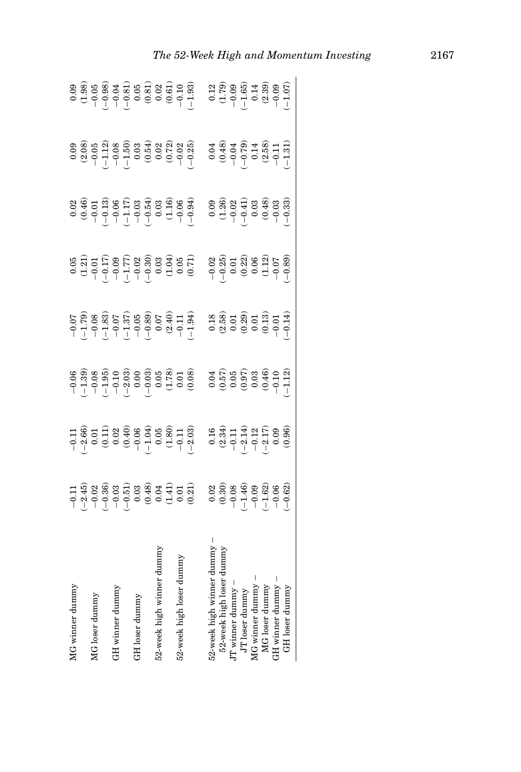| MG winner dummy           |                                                                                                                                                                                                                                                                                                                                                                                                                                       |                                                                                                                          |                                                                                                                                                                                                                                                                                                                                   |                                                                                                                                                                                                                                                                                                                                    |                                                                                                                                                                                                                                                                                                                                         |                                                                                                                                                                                                                                                                                                                                                         |                                                                                                                                                                                                                                                                                                               |                                                                                                                                                                                                                                                                                                     |
|---------------------------|---------------------------------------------------------------------------------------------------------------------------------------------------------------------------------------------------------------------------------------------------------------------------------------------------------------------------------------------------------------------------------------------------------------------------------------|--------------------------------------------------------------------------------------------------------------------------|-----------------------------------------------------------------------------------------------------------------------------------------------------------------------------------------------------------------------------------------------------------------------------------------------------------------------------------|------------------------------------------------------------------------------------------------------------------------------------------------------------------------------------------------------------------------------------------------------------------------------------------------------------------------------------|-----------------------------------------------------------------------------------------------------------------------------------------------------------------------------------------------------------------------------------------------------------------------------------------------------------------------------------------|---------------------------------------------------------------------------------------------------------------------------------------------------------------------------------------------------------------------------------------------------------------------------------------------------------------------------------------------------------|---------------------------------------------------------------------------------------------------------------------------------------------------------------------------------------------------------------------------------------------------------------------------------------------------------------|-----------------------------------------------------------------------------------------------------------------------------------------------------------------------------------------------------------------------------------------------------------------------------------------------------|
|                           | $\begin{array}{l} 11 \ 46 \\ -249 \\ \hline 1 \ 69 \\ \hline \end{array} \begin{array}{l} 26 \\ -249 \\ -249 \\ \hline \end{array} \begin{array}{l} 26 \\ -249 \\ -249 \\ \hline \end{array} \begin{array}{l} 26 \\ -249 \\ -249 \\ \hline \end{array} \begin{array}{l} 26 \\ -249 \\ -249 \\ \hline \end{array} \begin{array}{l} 26 \\ -249 \\ -249 \\ \hline \end{array} \begin{array}{l} 26 \\ -249 \\ -249 \\ \hline \end{array}$ |                                                                                                                          | $\begin{array}{l} 69.998 \\ -0.198 \\ -0.198 \\ -0.000 \\ -0.000 \\ -0.000 \\ -0.000 \\ -0.000 \\ -0.000 \\ -0.000 \\ -0.000 \\ -0.000 \\ -0.000 \\ -0.000 \\ -0.000 \\ -0.000 \\ -0.000 \\ -0.000 \\ -0.000 \\ -0.000 \\ -0.000 \\ -0.000 \\ -0.000 \\ -0.000 \\ -0.000 \\ -0.000 \\ -0.000 \\ -0.000 \\ -0.000 \\ -0.000 \\ -0$ | $\begin{array}{r} \n 0.07 \\  0.730 \\  0.083 \\  0.075 \\  0.083 \\  0.075 \\  0.075 \\  0.075 \\  0.075 \\  0.075 \\  0.075 \\  0.075 \\  0.075 \\  0.075 \\  0.075 \\  0.075 \\  0.075 \\  0.075 \\  0.075 \\  0.075 \\  0.075 \\  0.075 \\  0.075 \\  0.075 \\  0.075 \\  0.075 \\  0.075 \\  0.075 \\  0.075 \\  0.075 \\  0$ | $\begin{array}{l} 0.05 \\ 0.01 \\ 0.10 \\ 0.01 \\ 0.01 \\ 0.01 \\ 0.01 \\ 0.01 \\ 0.01 \\ 0.01 \\ 0.01 \\ 0.01 \\ 0.01 \\ 0.01 \\ 0.01 \\ 0.01 \\ 0.01 \\ 0.01 \\ 0.01 \\ 0.01 \\ 0.01 \\ 0.01 \\ 0.01 \\ 0.01 \\ 0.01 \\ 0.01 \\ 0.01 \\ 0.01 \\ 0.01 \\ 0.01 \\ 0.01 \\ 0.01 \\ 0.01 \\ 0.01 \\ 0.01 \\ 0.$                           | $\begin{array}{c} 0.02 \\ 0.046 \\ 0.046 \\ 0.01 \\ 0.01 \\ 0.01 \\ 0.01 \\ 0.01 \\ 0.01 \\ 0.01 \\ 0.01 \\ 0.01 \\ 0.01 \\ 0.01 \\ 0.01 \\ 0.01 \\ 0.01 \\ 0.01 \\ 0.01 \\ 0.01 \\ 0.01 \\ 0.01 \\ 0.01 \\ 0.01 \\ 0.01 \\ 0.01 \\ 0.01 \\ 0.01 \\ 0.01 \\ 0.01 \\ 0.01 \\ 0.01 \\ 0.01 \\ 0.01 \\ 0.01 \\ $                                           | $\begin{array}{l} 0.86 \\ 0.86 \\ 0.97 \\ 0.98 \\ 0.99 \\ 0.99 \\ 0.91 \\ 0.91 \\ 0.91 \\ 0.92 \\ 0.93 \\ 0.93 \\ 0.93 \\ 0.93 \\ 0.93 \\ 0.93 \\ 0.93 \\ 0.93 \\ 0.93 \\ 0.93 \\ 0.93 \\ 0.93 \\ 0.93 \\ 0.93 \\ 0.93 \\ 0.93 \\ 0.93 \\ 0.93 \\ 0.93 \\ 0.93 \\ 0.93 \\ 0.93 \\ 0.93 \\ 0.93 \\ 0.93 \\ 0.$ | $\begin{array}{r} 69.69 \\ 69.69 \\ 69.69 \\ 69.69 \\ 69.69 \\ 69.69 \\ 69.69 \\ 69.69 \\ 69.69 \\ 69.69 \\ 69.69 \\ 69.69 \\ 69.69 \\ 69.69 \\ 69.69 \\ 69.69 \\ 69.69 \\ 69.69 \\ 69.69 \\ 69.69 \\ 69.69 \\ 69.69 \\ 69.69 \\ 69.69 \\ 69.69 \\ 69.69 \\ 69.69 \\ 69.69 \\ 69.69 \\ 69.69 \\ 69$ |
| MG loser dummy            |                                                                                                                                                                                                                                                                                                                                                                                                                                       |                                                                                                                          |                                                                                                                                                                                                                                                                                                                                   |                                                                                                                                                                                                                                                                                                                                    |                                                                                                                                                                                                                                                                                                                                         |                                                                                                                                                                                                                                                                                                                                                         |                                                                                                                                                                                                                                                                                                               |                                                                                                                                                                                                                                                                                                     |
|                           |                                                                                                                                                                                                                                                                                                                                                                                                                                       |                                                                                                                          |                                                                                                                                                                                                                                                                                                                                   |                                                                                                                                                                                                                                                                                                                                    |                                                                                                                                                                                                                                                                                                                                         |                                                                                                                                                                                                                                                                                                                                                         |                                                                                                                                                                                                                                                                                                               |                                                                                                                                                                                                                                                                                                     |
| GH winner dummy           |                                                                                                                                                                                                                                                                                                                                                                                                                                       |                                                                                                                          |                                                                                                                                                                                                                                                                                                                                   |                                                                                                                                                                                                                                                                                                                                    |                                                                                                                                                                                                                                                                                                                                         |                                                                                                                                                                                                                                                                                                                                                         |                                                                                                                                                                                                                                                                                                               |                                                                                                                                                                                                                                                                                                     |
|                           |                                                                                                                                                                                                                                                                                                                                                                                                                                       |                                                                                                                          |                                                                                                                                                                                                                                                                                                                                   |                                                                                                                                                                                                                                                                                                                                    |                                                                                                                                                                                                                                                                                                                                         |                                                                                                                                                                                                                                                                                                                                                         |                                                                                                                                                                                                                                                                                                               |                                                                                                                                                                                                                                                                                                     |
| GH loser dummy            |                                                                                                                                                                                                                                                                                                                                                                                                                                       |                                                                                                                          |                                                                                                                                                                                                                                                                                                                                   |                                                                                                                                                                                                                                                                                                                                    |                                                                                                                                                                                                                                                                                                                                         |                                                                                                                                                                                                                                                                                                                                                         |                                                                                                                                                                                                                                                                                                               |                                                                                                                                                                                                                                                                                                     |
|                           |                                                                                                                                                                                                                                                                                                                                                                                                                                       |                                                                                                                          |                                                                                                                                                                                                                                                                                                                                   |                                                                                                                                                                                                                                                                                                                                    |                                                                                                                                                                                                                                                                                                                                         |                                                                                                                                                                                                                                                                                                                                                         |                                                                                                                                                                                                                                                                                                               |                                                                                                                                                                                                                                                                                                     |
| 52-week high winner dummy |                                                                                                                                                                                                                                                                                                                                                                                                                                       |                                                                                                                          |                                                                                                                                                                                                                                                                                                                                   |                                                                                                                                                                                                                                                                                                                                    |                                                                                                                                                                                                                                                                                                                                         |                                                                                                                                                                                                                                                                                                                                                         |                                                                                                                                                                                                                                                                                                               |                                                                                                                                                                                                                                                                                                     |
|                           |                                                                                                                                                                                                                                                                                                                                                                                                                                       |                                                                                                                          |                                                                                                                                                                                                                                                                                                                                   |                                                                                                                                                                                                                                                                                                                                    |                                                                                                                                                                                                                                                                                                                                         |                                                                                                                                                                                                                                                                                                                                                         |                                                                                                                                                                                                                                                                                                               |                                                                                                                                                                                                                                                                                                     |
| 52-week high loser dummy  |                                                                                                                                                                                                                                                                                                                                                                                                                                       |                                                                                                                          |                                                                                                                                                                                                                                                                                                                                   |                                                                                                                                                                                                                                                                                                                                    |                                                                                                                                                                                                                                                                                                                                         |                                                                                                                                                                                                                                                                                                                                                         |                                                                                                                                                                                                                                                                                                               |                                                                                                                                                                                                                                                                                                     |
|                           |                                                                                                                                                                                                                                                                                                                                                                                                                                       |                                                                                                                          |                                                                                                                                                                                                                                                                                                                                   |                                                                                                                                                                                                                                                                                                                                    |                                                                                                                                                                                                                                                                                                                                         |                                                                                                                                                                                                                                                                                                                                                         |                                                                                                                                                                                                                                                                                                               |                                                                                                                                                                                                                                                                                                     |
| 52-week high winner dummy |                                                                                                                                                                                                                                                                                                                                                                                                                                       |                                                                                                                          |                                                                                                                                                                                                                                                                                                                                   |                                                                                                                                                                                                                                                                                                                                    |                                                                                                                                                                                                                                                                                                                                         |                                                                                                                                                                                                                                                                                                                                                         |                                                                                                                                                                                                                                                                                                               |                                                                                                                                                                                                                                                                                                     |
| 52-week high loser dummy  | $\begin{array}{c} 0.02 \\ 0.30) \\ 0.30 \\ 0.46 \\ -1.46 \\ 0.08 \\ -1.62 \\ 0.06 \\ -1.62 \\ \end{array}$                                                                                                                                                                                                                                                                                                                            | $\begin{array}{c} 0.16 \\ 0.34 \\ 2.11 \\ 0.11 \\ -0.12 \\ 0.09 \\ -0.01 \\ 0.09 \\ 0.09 \\ 0.00 \\ 0.00 \\ \end{array}$ | $\begin{array}{c} 0.04 \\ 0.57 \\ 0.05 \\ 0.06 \\ 0.03 \\ 0.04 \\ 0.04 \\ -1.12 \end{array}$                                                                                                                                                                                                                                      | $\begin{array}{c} 0.18 \\ (2.58) \\ (0.01 \\ 0.02 \\ (0.29) \\ (0.01 \\ 0.01 \\ (-0.14) \\ (-0.14) \end{array}$                                                                                                                                                                                                                    | $\begin{array}{c} 0.02 \\ -0.25 \\ -0.01 \\ 0.01 \\ 0.02 \\ 0.06 \\ 0.07 \\ -0.03 \\ 0.06 \\ -0.03 \\ 0.07 \\ -0.08 \\ 0.09 \\ -0.08 \\ 0.00 \\ -0.08 \\ 0.00 \\ -0.00 \\ -0.00 \\ -0.00 \\ -0.00 \\ -0.00 \\ -0.00 \\ -0.00 \\ -0.00 \\ -0.00 \\ -0.00 \\ -0.00 \\ -0.00 \\ -0.00 \\ -0.00 \\ -0.00 \\ -0.00 \\ -0.00 \\ -0.00 \\ -0.$ | $\begin{array}{r} 0.09 \\ 0.26 \\ 0.28 \\ \hline \end{array} \left( \begin{array}{c} 0.01 \\ 0.01 \\ 0.01 \\ \hline \end{array} \right) \left( \begin{array}{c} 0.01 \\ 0.01 \\ 0.01 \\ \hline \end{array} \right) \left( \begin{array}{c} 0 \\ 0 \\ 0 \\ \hline \end{array} \right) \left( \begin{array}{c} 0 \\ 0 \\ 0 \\ \hline \end{array} \right)$ | $(1.31)$<br>$(0.49)$<br>$(0.69)$<br>$(0.79)$<br>$(0.79)$<br>$(0.79)$<br>$(0.79)$<br>$(0.79)$<br>$(0.79)$                                                                                                                                                                                                      |                                                                                                                                                                                                                                                                                                     |
| $J\!T$ winner dummy $-$   |                                                                                                                                                                                                                                                                                                                                                                                                                                       |                                                                                                                          |                                                                                                                                                                                                                                                                                                                                   |                                                                                                                                                                                                                                                                                                                                    |                                                                                                                                                                                                                                                                                                                                         |                                                                                                                                                                                                                                                                                                                                                         |                                                                                                                                                                                                                                                                                                               |                                                                                                                                                                                                                                                                                                     |
| JT loser dummy            |                                                                                                                                                                                                                                                                                                                                                                                                                                       |                                                                                                                          |                                                                                                                                                                                                                                                                                                                                   |                                                                                                                                                                                                                                                                                                                                    |                                                                                                                                                                                                                                                                                                                                         |                                                                                                                                                                                                                                                                                                                                                         |                                                                                                                                                                                                                                                                                                               |                                                                                                                                                                                                                                                                                                     |
| MG winner dummy           |                                                                                                                                                                                                                                                                                                                                                                                                                                       |                                                                                                                          |                                                                                                                                                                                                                                                                                                                                   |                                                                                                                                                                                                                                                                                                                                    |                                                                                                                                                                                                                                                                                                                                         |                                                                                                                                                                                                                                                                                                                                                         |                                                                                                                                                                                                                                                                                                               |                                                                                                                                                                                                                                                                                                     |
| MG loser dummy            |                                                                                                                                                                                                                                                                                                                                                                                                                                       |                                                                                                                          |                                                                                                                                                                                                                                                                                                                                   |                                                                                                                                                                                                                                                                                                                                    |                                                                                                                                                                                                                                                                                                                                         |                                                                                                                                                                                                                                                                                                                                                         |                                                                                                                                                                                                                                                                                                               |                                                                                                                                                                                                                                                                                                     |
| GH winner dummy           |                                                                                                                                                                                                                                                                                                                                                                                                                                       |                                                                                                                          |                                                                                                                                                                                                                                                                                                                                   |                                                                                                                                                                                                                                                                                                                                    |                                                                                                                                                                                                                                                                                                                                         |                                                                                                                                                                                                                                                                                                                                                         |                                                                                                                                                                                                                                                                                                               |                                                                                                                                                                                                                                                                                                     |
| GH loser dummy            |                                                                                                                                                                                                                                                                                                                                                                                                                                       |                                                                                                                          |                                                                                                                                                                                                                                                                                                                                   |                                                                                                                                                                                                                                                                                                                                    |                                                                                                                                                                                                                                                                                                                                         |                                                                                                                                                                                                                                                                                                                                                         |                                                                                                                                                                                                                                                                                                               | $\begin{array}{c} 0.12 \\ 0.79 \\ 1.79 \\ -0.09 \\ -1.65 \\ 0.14 \\ -0.03 \\ 0.03 \\ -1.07 \end{array}$                                                                                                                                                                                             |
|                           |                                                                                                                                                                                                                                                                                                                                                                                                                                       |                                                                                                                          |                                                                                                                                                                                                                                                                                                                                   |                                                                                                                                                                                                                                                                                                                                    |                                                                                                                                                                                                                                                                                                                                         |                                                                                                                                                                                                                                                                                                                                                         |                                                                                                                                                                                                                                                                                                               |                                                                                                                                                                                                                                                                                                     |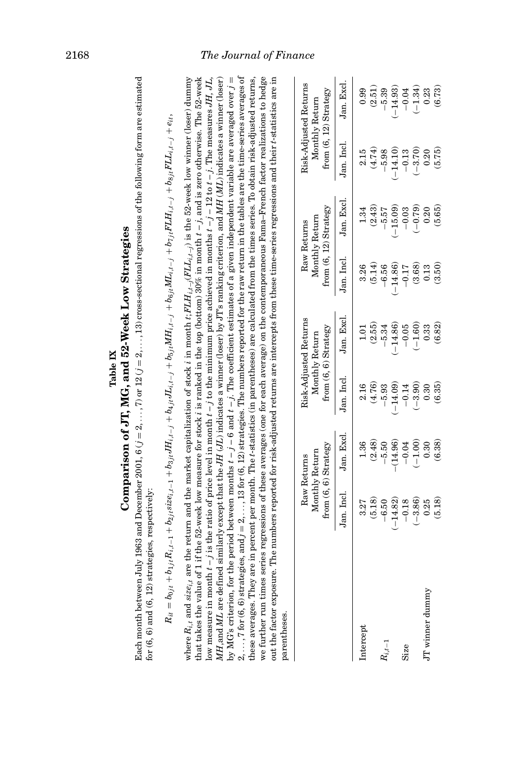| Each month between July 1963 and December 2001, $6(j = 2, , 7)$ or $12(j = 2, , 13)$ cross-sectional regressions of the following form are estimated<br>for (6, 6) and (6, 12) strategies, respectively:                                                                                                                                                                                                                                                                                                                                                                                                                                                                                                                                                                                                                                                                                                                                                                                                            |                                                                                                                                                                                                                                                                                |                               |            |                                         |            |                               |            |                                         |
|---------------------------------------------------------------------------------------------------------------------------------------------------------------------------------------------------------------------------------------------------------------------------------------------------------------------------------------------------------------------------------------------------------------------------------------------------------------------------------------------------------------------------------------------------------------------------------------------------------------------------------------------------------------------------------------------------------------------------------------------------------------------------------------------------------------------------------------------------------------------------------------------------------------------------------------------------------------------------------------------------------------------|--------------------------------------------------------------------------------------------------------------------------------------------------------------------------------------------------------------------------------------------------------------------------------|-------------------------------|------------|-----------------------------------------|------------|-------------------------------|------------|-----------------------------------------|
| $R_{it}=b_{0jt}+b_{1jt}R_{i,t-1}+b_{2jt}size_{i,t-1}+b_{3jt}JH_{i,t-j}+b_{4jt}JL_{i,t-j}+b_{5jt}MIH_{i,t-j}+b_{6jt}ML_{i,t-j}+b_{rjt}PLH_{i,t-j}+b_{8jt}PLL_{i,t-j}+e_{it},$                                                                                                                                                                                                                                                                                                                                                                                                                                                                                                                                                                                                                                                                                                                                                                                                                                        |                                                                                                                                                                                                                                                                                |                               |            |                                         |            |                               |            |                                         |
| that takes the value of 1 if the 52-week low measure for stock i is ranked in the top (bottom) $30\%$ in month $t - j$ , and is zero otherwise. The 52-week<br><i>MH</i> , and <i>ML</i> are defined similarly except that the <i>JH</i> ( <i>JL</i> ) indicates a winner (loser) by JT's ranking criterion, and <i>MH</i> ( <i>ML</i> ) indicates a winner (loser) by MG's criterion, for the period between months $t - j - 6$ a<br>we further run times series regressions of these averages (one for each average) on the contemporaneous Fama-French factor realizations to hedge<br>low measure in month $t - j$ is the ratio of price level in month $t - j$ to the minimum price achieved in months $t - j - 12$ to $t - j$ . The measures JH, JL,<br>these averages. They are in percent per month. The t-statistics (in parentheses) are calculated from the times series. To obtain risk-adjusted returns,<br>out the factor exposure. Th<br>where $R_{i,t}$ and size <sub>i,t</sub> are<br>parentheses. | the return and the market capitalization of stock i in month $t$ ; $FLH_{i,i-j}(FLL_{i,i-j})$ is the 52-week low winner (loser) dummy<br>he numbers reported for risk-adjusted returns are intercepts from these time-series regressions and their <i>t-</i> statistics are in |                               |            |                                         |            |                               |            |                                         |
|                                                                                                                                                                                                                                                                                                                                                                                                                                                                                                                                                                                                                                                                                                                                                                                                                                                                                                                                                                                                                     |                                                                                                                                                                                                                                                                                | Monthly Return<br>Raw Returns |            | Risk-Adjusted Returns<br>Monthly Return |            | Monthly Return<br>Raw Returns |            | Risk-Adjusted Returns<br>Monthly Return |
|                                                                                                                                                                                                                                                                                                                                                                                                                                                                                                                                                                                                                                                                                                                                                                                                                                                                                                                                                                                                                     |                                                                                                                                                                                                                                                                                | from (6, 6) Strategy          |            | from (6, 6) Strategy                    |            | from (6, 12) Strategy         |            | from (6, 12) Strategy                   |
|                                                                                                                                                                                                                                                                                                                                                                                                                                                                                                                                                                                                                                                                                                                                                                                                                                                                                                                                                                                                                     | Jan. Incl.                                                                                                                                                                                                                                                                     | Jan. Excl                     | Jan. Incl. | Jan. Excl                               | Jan. Incl. | Jan. Excl                     | Jan. Incl. | Jan. Excl.                              |
| Intercept                                                                                                                                                                                                                                                                                                                                                                                                                                                                                                                                                                                                                                                                                                                                                                                                                                                                                                                                                                                                           | 3.27                                                                                                                                                                                                                                                                           | 1.36                          | 2.16       | 1.01                                    | 3.26       | 1.34                          | 2.15       | 0.99                                    |
|                                                                                                                                                                                                                                                                                                                                                                                                                                                                                                                                                                                                                                                                                                                                                                                                                                                                                                                                                                                                                     | (5.18)                                                                                                                                                                                                                                                                         | (2.48)                        | (4.76)     | (2.55)                                  | (5.14)     | (2.43)                        | (4.74)     | (2.51)                                  |
| $\boldsymbol{R}_{i,t-1}$                                                                                                                                                                                                                                                                                                                                                                                                                                                                                                                                                                                                                                                                                                                                                                                                                                                                                                                                                                                            | $-6.50$                                                                                                                                                                                                                                                                        | $-5.50$                       | $-5.93$    | $-5.34$                                 | $-6.56$    | $-5.57$                       | $-5.98$    | $-5.39$                                 |
|                                                                                                                                                                                                                                                                                                                                                                                                                                                                                                                                                                                                                                                                                                                                                                                                                                                                                                                                                                                                                     | $(-14.82)$                                                                                                                                                                                                                                                                     | $-(14.96)$                    | $(-14.09)$ | $(-14.86)$                              | $(-14.86)$ | $(-15.09)$                    | $(-14.10)$ | $(-14.93)$                              |
| Size                                                                                                                                                                                                                                                                                                                                                                                                                                                                                                                                                                                                                                                                                                                                                                                                                                                                                                                                                                                                                | $-0.18$                                                                                                                                                                                                                                                                        | $-0.04$                       | $-0.14$    | $-0.05$                                 | $-0.17$    | $-0.03$                       | $-0.13$    | $-0.04$                                 |
|                                                                                                                                                                                                                                                                                                                                                                                                                                                                                                                                                                                                                                                                                                                                                                                                                                                                                                                                                                                                                     | $(-3.86)$                                                                                                                                                                                                                                                                      | $(-1.00)$                     | $(-3.90)$  | $(-1.60)$                               | (3.68)     | $(-0.79)$                     | $(-3.70)$  | $(-1.34)$                               |
| JT winner dummy                                                                                                                                                                                                                                                                                                                                                                                                                                                                                                                                                                                                                                                                                                                                                                                                                                                                                                                                                                                                     | 0.25                                                                                                                                                                                                                                                                           | 0.30                          | 0.30       | 0.33                                    | 0.13       | 0.20                          | 0.20       | 0.23                                    |
|                                                                                                                                                                                                                                                                                                                                                                                                                                                                                                                                                                                                                                                                                                                                                                                                                                                                                                                                                                                                                     | (5.18)                                                                                                                                                                                                                                                                         | (6.38)                        | (6.35)     | (6.82)                                  | (3.50)     | (5.65)                        | (5.75)     | (6.73)                                  |

# Comparison of JT, MG, and 52-Week Low Strategies **Comparison of JT, MG, and 52-Week Low Strategies** Table IX **Table IX**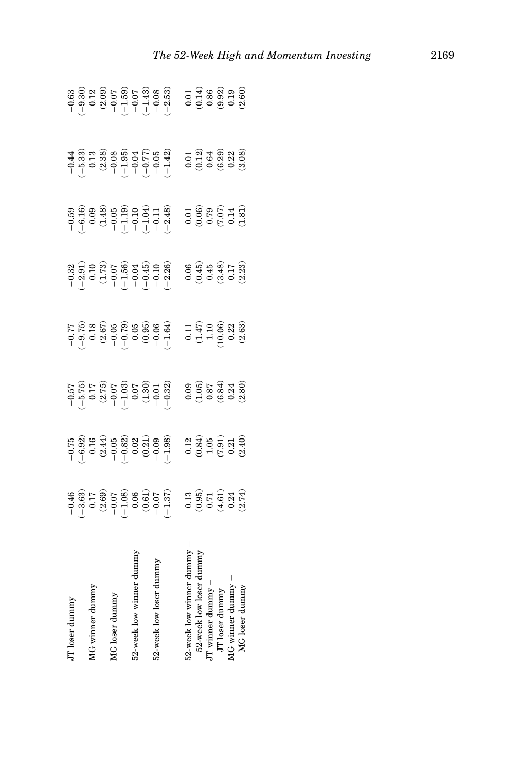| JT loser dummy                                                         |                                                                                                                                                                                                                                                                                                                                               |                                                                                   |                                                                                                                                                                                                                                                                                                                                      |                                                                                                                                                                                                                                                                                                                                                   |                                                                    |                                                                                                                                                                                                                                                                                                                                                 |                                                                                                                                                                                                                                                                                                                                                                                                                |                                                                     |
|------------------------------------------------------------------------|-----------------------------------------------------------------------------------------------------------------------------------------------------------------------------------------------------------------------------------------------------------------------------------------------------------------------------------------------|-----------------------------------------------------------------------------------|--------------------------------------------------------------------------------------------------------------------------------------------------------------------------------------------------------------------------------------------------------------------------------------------------------------------------------------|---------------------------------------------------------------------------------------------------------------------------------------------------------------------------------------------------------------------------------------------------------------------------------------------------------------------------------------------------|--------------------------------------------------------------------|-------------------------------------------------------------------------------------------------------------------------------------------------------------------------------------------------------------------------------------------------------------------------------------------------------------------------------------------------|----------------------------------------------------------------------------------------------------------------------------------------------------------------------------------------------------------------------------------------------------------------------------------------------------------------------------------------------------------------------------------------------------------------|---------------------------------------------------------------------|
|                                                                        |                                                                                                                                                                                                                                                                                                                                               |                                                                                   |                                                                                                                                                                                                                                                                                                                                      |                                                                                                                                                                                                                                                                                                                                                   |                                                                    |                                                                                                                                                                                                                                                                                                                                                 |                                                                                                                                                                                                                                                                                                                                                                                                                |                                                                     |
| MG winner dummy                                                        |                                                                                                                                                                                                                                                                                                                                               |                                                                                   |                                                                                                                                                                                                                                                                                                                                      |                                                                                                                                                                                                                                                                                                                                                   |                                                                    |                                                                                                                                                                                                                                                                                                                                                 |                                                                                                                                                                                                                                                                                                                                                                                                                |                                                                     |
|                                                                        |                                                                                                                                                                                                                                                                                                                                               |                                                                                   |                                                                                                                                                                                                                                                                                                                                      |                                                                                                                                                                                                                                                                                                                                                   |                                                                    |                                                                                                                                                                                                                                                                                                                                                 |                                                                                                                                                                                                                                                                                                                                                                                                                |                                                                     |
| MG loser dummy                                                         |                                                                                                                                                                                                                                                                                                                                               |                                                                                   |                                                                                                                                                                                                                                                                                                                                      |                                                                                                                                                                                                                                                                                                                                                   |                                                                    |                                                                                                                                                                                                                                                                                                                                                 |                                                                                                                                                                                                                                                                                                                                                                                                                |                                                                     |
|                                                                        | $\begin{array}{c} -0.46 \\ -3.63) \\ 0.17 \\ 0.20 \\ 0.07 \\ -1.08 \\ 0.61 \\ -0.07 \\ -0.07 \\ -0.07 \\ -0.07 \\ -0.07 \\ -0.07 \\ -0.07 \\ -0.07 \\ -0.07 \\ -0.07 \\ -0.07 \\ -0.07 \\ -0.07 \\ -0.07 \\ -0.07 \\ -0.07 \\ -0.07 \\ -0.07 \\ -0.07 \\ -0.07 \\ -0.07 \\ -0.07 \\ -0.07 \\ -0.07 \\ -0.07 \\ -0.07 \\ -0.07 \\ -0.07 \\ -0$ |                                                                                   | $\begin{bmatrix} 57 \\ -5.75 \\ -5.75 \\ 0.17 \\ 0.07 \\ 0.07 \\ 0.07 \\ -0.03 \\ 0.01 \\ -0.03 \\ 0.01 \\ -0.03 \\ 0.01 \\ -0.03 \\ 0.01 \\ -0.03 \\ 0.01 \\ -0.03 \\ 0.01 \\ -0.03 \\ 0.03 \\ -0.03 \\ 0.03 \\ -0.03 \\ 0.03 \\ -0.03 \\ 0.03 \\ -0.03 \\ -0.03 \\ -0.03 \\ -0.03 \\ -0.03 \\ -0.03 \\ -0.03 \\ -0.03 \\ -0.03 \\$ | $\begin{bmatrix} 77 \\ -9.75 \\ -9.18 \\ 0.18 \\ -0.01 \\ -0.01 \\ -0.01 \\ -0.01 \\ -0.01 \\ -0.01 \\ -0.01 \\ -0.01 \\ -0.01 \\ -0.01 \\ -0.01 \\ -0.01 \\ -0.01 \\ -0.01 \\ -0.01 \\ -0.01 \\ -0.01 \\ -0.01 \\ -0.01 \\ -0.01 \\ -0.01 \\ -0.01 \\ -0.01 \\ -0.01 \\ -0.01 \\ -0.01 \\ -0.01 \\ -0.01 \\ -0.01 \\ -0.01 \\ -0.01 \\ -0.01 \\$ |                                                                    | $\begin{array}{c} 55 \\ 0.59 \\ -6.16 \\ -6.09 \\ -6.09 \\ -6.09 \\ -6.09 \\ -6.09 \\ -6.09 \\ -6.09 \\ -6.09 \\ -6.09 \\ -6.09 \\ -6.09 \\ -6.09 \\ -6.09 \\ -6.09 \\ -6.09 \\ -6.09 \\ -6.09 \\ -6.09 \\ -6.09 \\ -6.09 \\ -6.09 \\ -6.09 \\ -6.09 \\ -6.09 \\ -6.09 \\ -6.09 \\ -6.09 \\ -6.09 \\ -6.09 \\ -6.09 \\ -6.09 \\ -6.09 \\ -6.09$ | $\begin{array}{c c} \textbf{44} & \textbf{65} & \textbf{88} \\ - & \textbf{13} & \textbf{38} & \textbf{18} \\ \hline \textbf{13} & \textbf{13} & \textbf{13} & \textbf{18} \\ \textbf{13} & \textbf{13} & \textbf{13} & \textbf{18} \\ \textbf{13} & \textbf{13} & \textbf{13} & \textbf{18} \\ \textbf{14} & \textbf{15} & \textbf{16} & \textbf{17} \\ \textbf{15} & \textbf{16} & \textbf{17} & \textbf{18$ |                                                                     |
| 52-week low winner dummy                                               |                                                                                                                                                                                                                                                                                                                                               |                                                                                   |                                                                                                                                                                                                                                                                                                                                      |                                                                                                                                                                                                                                                                                                                                                   |                                                                    |                                                                                                                                                                                                                                                                                                                                                 |                                                                                                                                                                                                                                                                                                                                                                                                                |                                                                     |
|                                                                        |                                                                                                                                                                                                                                                                                                                                               |                                                                                   |                                                                                                                                                                                                                                                                                                                                      |                                                                                                                                                                                                                                                                                                                                                   |                                                                    |                                                                                                                                                                                                                                                                                                                                                 |                                                                                                                                                                                                                                                                                                                                                                                                                |                                                                     |
| 52-week low loser dummy                                                |                                                                                                                                                                                                                                                                                                                                               |                                                                                   |                                                                                                                                                                                                                                                                                                                                      |                                                                                                                                                                                                                                                                                                                                                   |                                                                    |                                                                                                                                                                                                                                                                                                                                                 |                                                                                                                                                                                                                                                                                                                                                                                                                |                                                                     |
|                                                                        |                                                                                                                                                                                                                                                                                                                                               |                                                                                   |                                                                                                                                                                                                                                                                                                                                      |                                                                                                                                                                                                                                                                                                                                                   |                                                                    |                                                                                                                                                                                                                                                                                                                                                 |                                                                                                                                                                                                                                                                                                                                                                                                                |                                                                     |
| .2-week low winner dummy –<br>52-week low loser dummy<br>$\frac{1}{2}$ |                                                                                                                                                                                                                                                                                                                                               |                                                                                   |                                                                                                                                                                                                                                                                                                                                      |                                                                                                                                                                                                                                                                                                                                                   |                                                                    |                                                                                                                                                                                                                                                                                                                                                 |                                                                                                                                                                                                                                                                                                                                                                                                                |                                                                     |
|                                                                        | $0.13$<br>$0.95$<br>$0.71$<br>$0.461$<br>$0.24$<br>$0.24$<br>$0.274$                                                                                                                                                                                                                                                                          | $\begin{array}{c} 0.12 \\ (0.84) \\ 1.05 \\ (7.91) \\ 0.21 \\ (2.40) \end{array}$ | $\begin{array}{c} 0.09 \\ -1.05 \\ -0.87 \\ 0.34 \\ -0.80 \\ 0.28 \\ \end{array}$                                                                                                                                                                                                                                                    | $\begin{array}{c} 0.11 \\ 0.47) \\ 1.10 \\ 1.06 \\ 0.08 \\ 0.23 \\ 0.33 \\ \hline \end{array}$                                                                                                                                                                                                                                                    | $0.06$<br>$0.45$<br>$0.45$<br>$0.48$<br>$0.17$<br>$0.23$<br>$0.23$ | $\begin{array}{c} 0.01 \\ 0.06) \\ 0.79 \\ 0.70 \\ 0.14 \\ 0.14 \\ 0.14 \\ \end{array}$                                                                                                                                                                                                                                                         | $0.01$<br>$0.12$<br>$0.64$<br>$0.29$<br>$0.22$<br>$0.22$<br>$0.08$<br>$0.30$                                                                                                                                                                                                                                                                                                                                   |                                                                     |
| $J\!T$ winner dummy $-$                                                |                                                                                                                                                                                                                                                                                                                                               |                                                                                   |                                                                                                                                                                                                                                                                                                                                      |                                                                                                                                                                                                                                                                                                                                                   |                                                                    |                                                                                                                                                                                                                                                                                                                                                 |                                                                                                                                                                                                                                                                                                                                                                                                                |                                                                     |
| $\rm{JT}$ loser dummy                                                  |                                                                                                                                                                                                                                                                                                                                               |                                                                                   |                                                                                                                                                                                                                                                                                                                                      |                                                                                                                                                                                                                                                                                                                                                   |                                                                    |                                                                                                                                                                                                                                                                                                                                                 |                                                                                                                                                                                                                                                                                                                                                                                                                |                                                                     |
| MG winner dummy                                                        |                                                                                                                                                                                                                                                                                                                                               |                                                                                   |                                                                                                                                                                                                                                                                                                                                      |                                                                                                                                                                                                                                                                                                                                                   |                                                                    |                                                                                                                                                                                                                                                                                                                                                 |                                                                                                                                                                                                                                                                                                                                                                                                                |                                                                     |
| MG loser dummy                                                         |                                                                                                                                                                                                                                                                                                                                               |                                                                                   |                                                                                                                                                                                                                                                                                                                                      |                                                                                                                                                                                                                                                                                                                                                   |                                                                    |                                                                                                                                                                                                                                                                                                                                                 |                                                                                                                                                                                                                                                                                                                                                                                                                | $0.01$<br>$0.14$<br>$0.86$<br>$0.92$<br>$0.19$<br>$0.19$<br>$0.260$ |
|                                                                        |                                                                                                                                                                                                                                                                                                                                               |                                                                                   |                                                                                                                                                                                                                                                                                                                                      |                                                                                                                                                                                                                                                                                                                                                   |                                                                    |                                                                                                                                                                                                                                                                                                                                                 |                                                                                                                                                                                                                                                                                                                                                                                                                |                                                                     |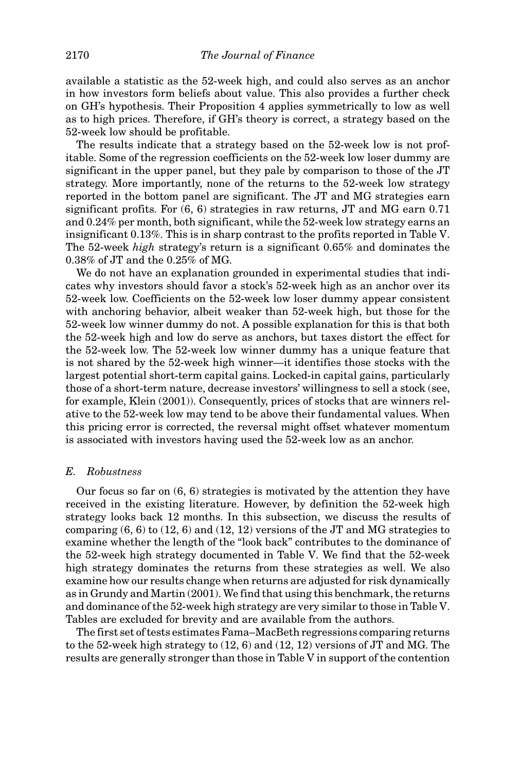available a statistic as the 52-week high, and could also serves as an anchor in how investors form beliefs about value. This also provides a further check on GH's hypothesis. Their Proposition 4 applies symmetrically to low as well as to high prices. Therefore, if GH's theory is correct, a strategy based on the 52-week low should be profitable.

The results indicate that a strategy based on the 52-week low is not profitable. Some of the regression coefficients on the 52-week low loser dummy are significant in the upper panel, but they pale by comparison to those of the JT strategy. More importantly, none of the returns to the 52-week low strategy reported in the bottom panel are significant. The JT and MG strategies earn significant profits. For  $(6, 6)$  strategies in raw returns, JT and MG earn 0.71 and 0.24% per month, both significant, while the 52-week low strategy earns an insignificant 0.13%. This is in sharp contrast to the profits reported in Table V. The 52-week *high* strategy's return is a significant 0.65% and dominates the 0.38% of JT and the 0.25% of MG.

We do not have an explanation grounded in experimental studies that indicates why investors should favor a stock's 52-week high as an anchor over its 52-week low. Coefficients on the 52-week low loser dummy appear consistent with anchoring behavior, albeit weaker than 52-week high, but those for the 52-week low winner dummy do not. A possible explanation for this is that both the 52-week high and low do serve as anchors, but taxes distort the effect for the 52-week low. The 52-week low winner dummy has a unique feature that is not shared by the 52-week high winner—it identifies those stocks with the largest potential short-term capital gains. Locked-in capital gains, particularly those of a short-term nature, decrease investors' willingness to sell a stock (see, for example, Klein (2001)). Consequently, prices of stocks that are winners relative to the 52-week low may tend to be above their fundamental values. When this pricing error is corrected, the reversal might offset whatever momentum is associated with investors having used the 52-week low as an anchor.

#### *E. Robustness*

Our focus so far on (6, 6) strategies is motivated by the attention they have received in the existing literature. However, by definition the 52-week high strategy looks back 12 months. In this subsection, we discuss the results of comparing  $(6, 6)$  to  $(12, 6)$  and  $(12, 12)$  versions of the JT and MG strategies to examine whether the length of the "look back" contributes to the dominance of the 52-week high strategy documented in Table V. We find that the 52-week high strategy dominates the returns from these strategies as well. We also examine how our results change when returns are adjusted for risk dynamically as in Grundy and Martin (2001). We find that using this benchmark, the returns and dominance of the 52-week high strategy are very similar to those in Table V. Tables are excluded for brevity and are available from the authors.

The first set of tests estimates Fama–MacBeth regressions comparing returns to the 52-week high strategy to (12, 6) and (12, 12) versions of JT and MG. The results are generally stronger than those in Table V in support of the contention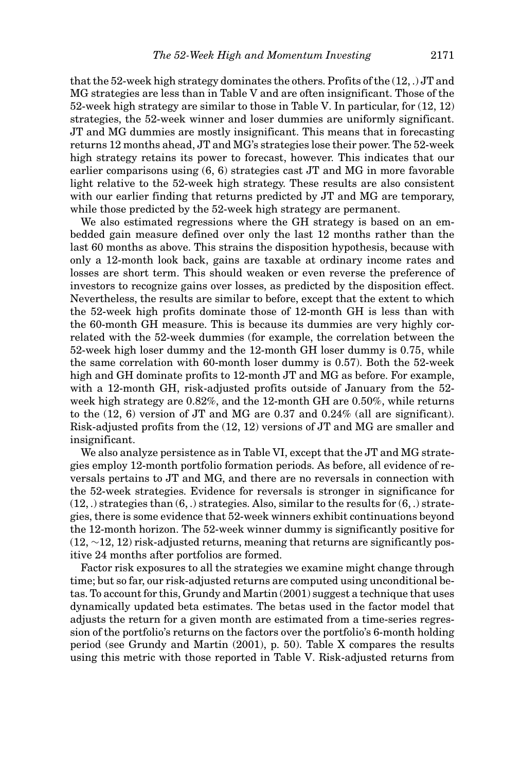that the 52-week high strategy dominates the others. Profits of the (12, .) JT and MG strategies are less than in Table V and are often insignificant. Those of the 52-week high strategy are similar to those in Table V. In particular, for (12, 12) strategies, the 52-week winner and loser dummies are uniformly significant. JT and MG dummies are mostly insignificant. This means that in forecasting returns 12 months ahead, JT and MG's strategies lose their power. The 52-week high strategy retains its power to forecast, however. This indicates that our earlier comparisons using (6, 6) strategies cast JT and MG in more favorable light relative to the 52-week high strategy. These results are also consistent with our earlier finding that returns predicted by JT and MG are temporary, while those predicted by the 52-week high strategy are permanent.

We also estimated regressions where the GH strategy is based on an embedded gain measure defined over only the last 12 months rather than the last 60 months as above. This strains the disposition hypothesis, because with only a 12-month look back, gains are taxable at ordinary income rates and losses are short term. This should weaken or even reverse the preference of investors to recognize gains over losses, as predicted by the disposition effect. Nevertheless, the results are similar to before, except that the extent to which the 52-week high profits dominate those of 12-month GH is less than with the 60-month GH measure. This is because its dummies are very highly correlated with the 52-week dummies (for example, the correlation between the 52-week high loser dummy and the 12-month GH loser dummy is 0.75, while the same correlation with 60-month loser dummy is 0.57). Both the 52-week high and GH dominate profits to 12-month JT and MG as before. For example, with a 12-month GH, risk-adjusted profits outside of January from the 52 week high strategy are 0.82%, and the 12-month GH are 0.50%, while returns to the (12, 6) version of JT and MG are 0.37 and 0.24% (all are significant). Risk-adjusted profits from the (12, 12) versions of JT and MG are smaller and insignificant.

We also analyze persistence as in Table VI, except that the JT and MG strategies employ 12-month portfolio formation periods. As before, all evidence of reversals pertains to JT and MG, and there are no reversals in connection with the 52-week strategies. Evidence for reversals is stronger in significance for  $(12, .)$  strategies than  $(6, .)$  strategies. Also, similar to the results for  $(6, .)$  strategies, there is some evidence that 52-week winners exhibit continuations beyond the 12-month horizon. The 52-week winner dummy is significantly positive for  $(12, \sim 12, 12)$  risk-adjusted returns, meaning that returns are significantly positive 24 months after portfolios are formed.

Factor risk exposures to all the strategies we examine might change through time; but so far, our risk-adjusted returns are computed using unconditional betas. To account for this, Grundy and Martin (2001) suggest a technique that uses dynamically updated beta estimates. The betas used in the factor model that adjusts the return for a given month are estimated from a time-series regression of the portfolio's returns on the factors over the portfolio's 6-month holding period (see Grundy and Martin (2001), p. 50). Table X compares the results using this metric with those reported in Table V. Risk-adjusted returns from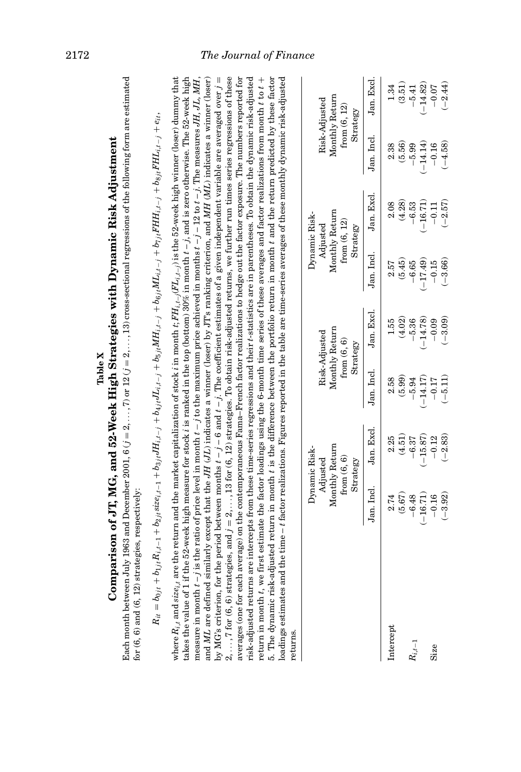|                                                                                                                                                                                                                                                                                                                                                                                                                                                                                                                                                                                                                                                                                                                                                                                                                                                                                                                                                                                                                                                                                                                                                                                                                                                                                                                                                                                                                                                                                                                                                                                                                                                                                                                                                                                                                | Comparison of JT, MG, and 52-Week High Strategies with Dynamic Risk Adjustment |                                             |            |                                                  |            |                                            |                                                 |            |
|----------------------------------------------------------------------------------------------------------------------------------------------------------------------------------------------------------------------------------------------------------------------------------------------------------------------------------------------------------------------------------------------------------------------------------------------------------------------------------------------------------------------------------------------------------------------------------------------------------------------------------------------------------------------------------------------------------------------------------------------------------------------------------------------------------------------------------------------------------------------------------------------------------------------------------------------------------------------------------------------------------------------------------------------------------------------------------------------------------------------------------------------------------------------------------------------------------------------------------------------------------------------------------------------------------------------------------------------------------------------------------------------------------------------------------------------------------------------------------------------------------------------------------------------------------------------------------------------------------------------------------------------------------------------------------------------------------------------------------------------------------------------------------------------------------------|--------------------------------------------------------------------------------|---------------------------------------------|------------|--------------------------------------------------|------------|--------------------------------------------|-------------------------------------------------|------------|
| Each month between July 1963 and December 2001, $6(j = 2, , 7)$ or $12(j = 2, , 13)$ cross-sectional regressions of the following form are estimated<br>for (6, 6) and (6, 12) strategies, respectively:                                                                                                                                                                                                                                                                                                                                                                                                                                                                                                                                                                                                                                                                                                                                                                                                                                                                                                                                                                                                                                                                                                                                                                                                                                                                                                                                                                                                                                                                                                                                                                                                       |                                                                                |                                             |            |                                                  |            |                                            |                                                 |            |
| $R_{it}=b_{0jt}+b_{1jt}R_{i,t-1}+b_{2jt}size_{i,t-1}+b_{3jt}JH_{i,t-j}+b_{4jt}JL_{i,t-j}+b_{5jt}MH_{i,t-j}+b_{6jt}ML_{i,t-j}+b_{7jt}FHH_{i,t-j}+b_{8jt}FHL_{i,t-j}+e_{it},$                                                                                                                                                                                                                                                                                                                                                                                                                                                                                                                                                                                                                                                                                                                                                                                                                                                                                                                                                                                                                                                                                                                                                                                                                                                                                                                                                                                                                                                                                                                                                                                                                                    |                                                                                |                                             |            |                                                  |            |                                            |                                                 |            |
| where $R_{i,l}$ and size <sub>id</sub> are the return and the market capitalization of stock <i>i</i> in month $t_i H_{i,l-i_j}(FL_{i,l-i_j})$ is the 52-week high winner (loser) dummy that<br>risk-adjusted returns are intercepts from these time-series regressions and their t-statistics are in parentheses. To obtain the dynamic risk-adjusted<br>takes the value of 1 if the 52-week high measure for stock $i$ is ranked in the top (bottom) 30% in month $t$ – $j$ , and is zero otherwise. The 52-week high<br>$2,,7$ for $(6, 6)$ strategies, and $j = 2,,13$ for $(6, 12)$ strategies. To obtain risk-adjusted returns, we further run times series regressions of these<br>averages (one for each average) on the contemporaneous $P$ ama–French factor realizations to hedge out the factor exposure. The numbers reported for<br>return in month t, we first estimate the factor loadings using the 6-month time series of these averages and factor realizations from month t to $t +$<br>5. The dynamic risk-adjusted return in month t is the difference between the portfolio return in month t and the return predicted by these factor<br>loadings estimates and the time – $t$ factor realizations. Figures reported in the table are time-series averages of these monthly dynamic risk-adjusted<br>and ML are defined similarly except that the JH (JL) indicates a winner (loser) by JT's ranking criterion, and MH (ML) indicates a winner (loser)<br>by MG's criterion, for the period between months $t-j-6$ and $t-j$ . The coefficient estimates of a given independent variable are averaged over $j =$<br>measure in month $t-j$ is the ratio of price level in month $t-j$ to the maximum price achieved in months $t-j-12$ to $t-j$ . The measures JH, JL, MH,<br>returns. |                                                                                |                                             |            |                                                  |            |                                            |                                                 |            |
|                                                                                                                                                                                                                                                                                                                                                                                                                                                                                                                                                                                                                                                                                                                                                                                                                                                                                                                                                                                                                                                                                                                                                                                                                                                                                                                                                                                                                                                                                                                                                                                                                                                                                                                                                                                                                |                                                                                | Dynamic Risk-                               |            |                                                  |            | Dynamic Risk-                              |                                                 |            |
|                                                                                                                                                                                                                                                                                                                                                                                                                                                                                                                                                                                                                                                                                                                                                                                                                                                                                                                                                                                                                                                                                                                                                                                                                                                                                                                                                                                                                                                                                                                                                                                                                                                                                                                                                                                                                |                                                                                | Monthly Return<br>from $(6, 6)$<br>Adjusted |            | Monthly Return<br>Risk-Adjusted<br>from $(6, 6)$ |            | Monthly Return<br>from (6, 12)<br>Adjusted | Monthly Return<br>Risk-Adjusted<br>from (6, 12) |            |
|                                                                                                                                                                                                                                                                                                                                                                                                                                                                                                                                                                                                                                                                                                                                                                                                                                                                                                                                                                                                                                                                                                                                                                                                                                                                                                                                                                                                                                                                                                                                                                                                                                                                                                                                                                                                                |                                                                                | Strategy                                    |            | Strategy                                         |            | Strategy                                   | Strategy                                        |            |
|                                                                                                                                                                                                                                                                                                                                                                                                                                                                                                                                                                                                                                                                                                                                                                                                                                                                                                                                                                                                                                                                                                                                                                                                                                                                                                                                                                                                                                                                                                                                                                                                                                                                                                                                                                                                                | Jan. Incl.                                                                     | Jan. Excl.                                  | Jan. Incl. | Jan. Excl.                                       | Jan. Incl. | Jan. Excl.                                 | Jan. Incl.                                      | Jan. Excl. |
| Intercept                                                                                                                                                                                                                                                                                                                                                                                                                                                                                                                                                                                                                                                                                                                                                                                                                                                                                                                                                                                                                                                                                                                                                                                                                                                                                                                                                                                                                                                                                                                                                                                                                                                                                                                                                                                                      | 2.74                                                                           | 2.25                                        | 2.58       | 1.55                                             | 2.57       | 2.08                                       | 2.38                                            | 1.34       |
|                                                                                                                                                                                                                                                                                                                                                                                                                                                                                                                                                                                                                                                                                                                                                                                                                                                                                                                                                                                                                                                                                                                                                                                                                                                                                                                                                                                                                                                                                                                                                                                                                                                                                                                                                                                                                | (5.67)                                                                         | (4.51)                                      | (5.99)     | (4.02)                                           | (5.45)     | (4.28)                                     | (5.56)                                          | (3.51)     |
| $\boldsymbol{R}_{i,t-1}$                                                                                                                                                                                                                                                                                                                                                                                                                                                                                                                                                                                                                                                                                                                                                                                                                                                                                                                                                                                                                                                                                                                                                                                                                                                                                                                                                                                                                                                                                                                                                                                                                                                                                                                                                                                       | $-6.48$                                                                        | $-6.37$                                     | $-5.94$    | $-5.36$                                          | $-6.65$    | $-6.53$                                    | $-5.99$                                         | $-5.41$    |
|                                                                                                                                                                                                                                                                                                                                                                                                                                                                                                                                                                                                                                                                                                                                                                                                                                                                                                                                                                                                                                                                                                                                                                                                                                                                                                                                                                                                                                                                                                                                                                                                                                                                                                                                                                                                                | $(-16.71)$                                                                     | $(-15.87)$                                  | $(-14.17)$ | $(-14.78)$                                       | $(-17.49)$ | $(-16.71)$                                 | $(-14.14)$                                      | $(-14.82)$ |
| <b>Size</b>                                                                                                                                                                                                                                                                                                                                                                                                                                                                                                                                                                                                                                                                                                                                                                                                                                                                                                                                                                                                                                                                                                                                                                                                                                                                                                                                                                                                                                                                                                                                                                                                                                                                                                                                                                                                    | $-0.16$                                                                        | $-0.12$                                     | $-0.17$    | $-0.09$                                          | $-0.15$    | $-0.11$                                    | $-0.16$                                         | $-0.07$    |
|                                                                                                                                                                                                                                                                                                                                                                                                                                                                                                                                                                                                                                                                                                                                                                                                                                                                                                                                                                                                                                                                                                                                                                                                                                                                                                                                                                                                                                                                                                                                                                                                                                                                                                                                                                                                                | $(-3.92)$                                                                      | $(-2.83)$                                   | $(-5.11)$  | $(-3.09)$                                        | $(-3.66)$  | $(-2.57)$                                  | $(-4.58)$                                       | $(-2.44)$  |

**Table X**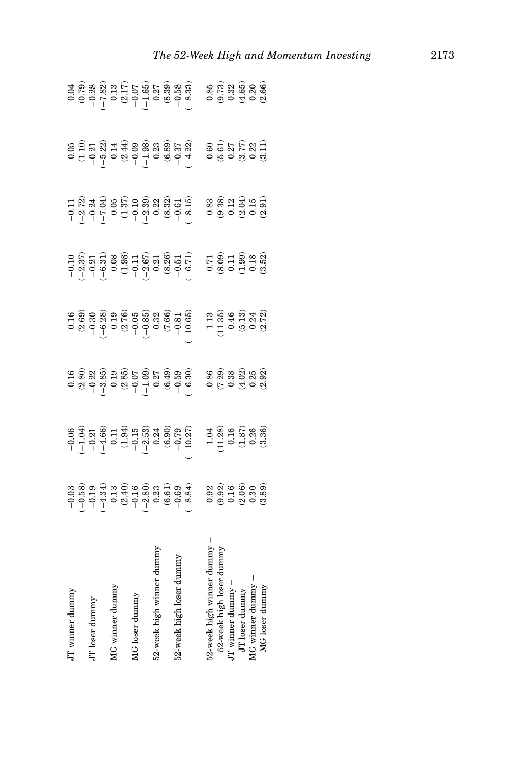| JT winner dummy                                         |                                                                                                  |                                                                                                                                                                                                                                                                                                                    |                                                                                                                                                                                                                                                                                                                                                                                                                                                              |                                                                                                                                                                                                                                                                                                     |                                                                                                                                                                                                                                                                                                                       |                                                                                                 |                                                                                             |                                                        |
|---------------------------------------------------------|--------------------------------------------------------------------------------------------------|--------------------------------------------------------------------------------------------------------------------------------------------------------------------------------------------------------------------------------------------------------------------------------------------------------------------|--------------------------------------------------------------------------------------------------------------------------------------------------------------------------------------------------------------------------------------------------------------------------------------------------------------------------------------------------------------------------------------------------------------------------------------------------------------|-----------------------------------------------------------------------------------------------------------------------------------------------------------------------------------------------------------------------------------------------------------------------------------------------------|-----------------------------------------------------------------------------------------------------------------------------------------------------------------------------------------------------------------------------------------------------------------------------------------------------------------------|-------------------------------------------------------------------------------------------------|---------------------------------------------------------------------------------------------|--------------------------------------------------------|
|                                                         |                                                                                                  |                                                                                                                                                                                                                                                                                                                    |                                                                                                                                                                                                                                                                                                                                                                                                                                                              |                                                                                                                                                                                                                                                                                                     |                                                                                                                                                                                                                                                                                                                       |                                                                                                 |                                                                                             |                                                        |
| JT loser dummy                                          |                                                                                                  |                                                                                                                                                                                                                                                                                                                    |                                                                                                                                                                                                                                                                                                                                                                                                                                                              |                                                                                                                                                                                                                                                                                                     |                                                                                                                                                                                                                                                                                                                       |                                                                                                 |                                                                                             |                                                        |
|                                                         |                                                                                                  |                                                                                                                                                                                                                                                                                                                    |                                                                                                                                                                                                                                                                                                                                                                                                                                                              |                                                                                                                                                                                                                                                                                                     |                                                                                                                                                                                                                                                                                                                       |                                                                                                 |                                                                                             |                                                        |
| MG winner dunnny                                        |                                                                                                  |                                                                                                                                                                                                                                                                                                                    |                                                                                                                                                                                                                                                                                                                                                                                                                                                              |                                                                                                                                                                                                                                                                                                     |                                                                                                                                                                                                                                                                                                                       |                                                                                                 |                                                                                             |                                                        |
|                                                         |                                                                                                  | $\begin{array}{c} 666 \\ -10466 \\ -10466 \\ -10466 \\ -10466 \\ -10466 \\ -10466 \\ -10466 \\ -10466 \\ -104666 \\ -104666 \\ -104666 \\ -104666 \\ -104666 \\ -104666 \\ -104666 \\ -1046666 \\ -1046666 \\ -1046666 \\ -1046666 \\ -1046666 \\ -10466666 \\ -10466666 \\ -104666666 \\ -104666666 \\ -10466666$ | $\begin{array}{l} \mathfrak{a}\cong \mathfrak{a}\cong \mathfrak{a}\cong \mathfrak{a}\cong \mathfrak{a}\cong \mathfrak{a}\cong \mathfrak{a}\cong \mathfrak{a}\cong \mathfrak{a}\cong \mathfrak{a}\cong \mathfrak{a}\cong \mathfrak{a}\cong \mathfrak{a}\cong \mathfrak{a}\cong \mathfrak{a}\cong \mathfrak{a}\cong \mathfrak{a}\cong \mathfrak{a}\cong \mathfrak{a}\cong \mathfrak{a}\cong \mathfrak{a}\cong \mathfrak{a}\cong \mathfrak{a}\cong \mathfrak{a$ | $\begin{array}{l} 61.66 \\ 22.67 \\ 23.69 \\ 24.67 \\ 25.67 \\ 26.67 \\ 27.67 \\ 28.67 \\ 29.67 \\ 20.67 \\ 21.67 \\ 22.67 \\ 23.67 \\ 24.67 \\ 25.67 \\ 26.67 \\ 27.67 \\ 28.67 \\ 29.67 \\ 20.67 \\ 27.67 \\ 28.67 \\ 29.67 \\ 29.67 \\ 20.67 \\ 20.67 \\ 27.67 \\ 28.67 \\ 29.67 \\ 29.67 \\ 29$ | $\begin{array}{c c} 10.10 \\ -0.13.7 \\ -0.23.1 \\ -0.31.1 \\ -0.03.8 \\ -0.03.8 \\ -0.03.8 \\ -0.03.8 \\ -0.03.8 \\ -0.03.8 \\ -0.03.8 \\ -0.03.8 \\ -0.03.8 \\ -0.03.8 \\ -0.03.8 \\ -0.03.8 \\ -0.03.8 \\ -0.03.8 \\ -0.03.8 \\ -0.03.8 \\ -0.03.8 \\ -0.03.8 \\ -0.03.8 \\ -0.03.8 \\ -0.03.8 \\ -0.03.8 \\ -0.0$ |                                                                                                 |                                                                                             |                                                        |
| MG loser dummy                                          |                                                                                                  |                                                                                                                                                                                                                                                                                                                    |                                                                                                                                                                                                                                                                                                                                                                                                                                                              |                                                                                                                                                                                                                                                                                                     |                                                                                                                                                                                                                                                                                                                       |                                                                                                 |                                                                                             |                                                        |
|                                                         |                                                                                                  |                                                                                                                                                                                                                                                                                                                    |                                                                                                                                                                                                                                                                                                                                                                                                                                                              |                                                                                                                                                                                                                                                                                                     |                                                                                                                                                                                                                                                                                                                       |                                                                                                 |                                                                                             |                                                        |
| 52-week high winner dummy                               |                                                                                                  |                                                                                                                                                                                                                                                                                                                    |                                                                                                                                                                                                                                                                                                                                                                                                                                                              |                                                                                                                                                                                                                                                                                                     |                                                                                                                                                                                                                                                                                                                       |                                                                                                 |                                                                                             |                                                        |
|                                                         |                                                                                                  |                                                                                                                                                                                                                                                                                                                    |                                                                                                                                                                                                                                                                                                                                                                                                                                                              |                                                                                                                                                                                                                                                                                                     |                                                                                                                                                                                                                                                                                                                       |                                                                                                 |                                                                                             |                                                        |
| 52-week high loser dummy                                |                                                                                                  |                                                                                                                                                                                                                                                                                                                    |                                                                                                                                                                                                                                                                                                                                                                                                                                                              |                                                                                                                                                                                                                                                                                                     |                                                                                                                                                                                                                                                                                                                       |                                                                                                 |                                                                                             |                                                        |
|                                                         |                                                                                                  |                                                                                                                                                                                                                                                                                                                    |                                                                                                                                                                                                                                                                                                                                                                                                                                                              |                                                                                                                                                                                                                                                                                                     |                                                                                                                                                                                                                                                                                                                       |                                                                                                 |                                                                                             |                                                        |
|                                                         |                                                                                                  |                                                                                                                                                                                                                                                                                                                    |                                                                                                                                                                                                                                                                                                                                                                                                                                                              |                                                                                                                                                                                                                                                                                                     |                                                                                                                                                                                                                                                                                                                       |                                                                                                 |                                                                                             |                                                        |
| 52-week high winner dummy -<br>52-week high loser dummy |                                                                                                  |                                                                                                                                                                                                                                                                                                                    |                                                                                                                                                                                                                                                                                                                                                                                                                                                              |                                                                                                                                                                                                                                                                                                     |                                                                                                                                                                                                                                                                                                                       |                                                                                                 |                                                                                             |                                                        |
| $JT$ winner dummy $-$                                   |                                                                                                  |                                                                                                                                                                                                                                                                                                                    |                                                                                                                                                                                                                                                                                                                                                                                                                                                              |                                                                                                                                                                                                                                                                                                     |                                                                                                                                                                                                                                                                                                                       |                                                                                                 |                                                                                             |                                                        |
| JT loser dummy                                          | $0.92$<br>$0.92$<br>$0.92$<br>$0.92$<br>$0.92$<br>$0.92$<br>$0.92$<br>$0.92$<br>$0.92$<br>$0.92$ | $1.04$<br>$(11.28)$<br>$0.16$<br>$(1.87)$<br>$(1.87)$<br>$(1.87)$<br>$(3.36)$                                                                                                                                                                                                                                      | $0.36$<br>$0.30$<br>$0.30$<br>$0.30$<br>$0.30$<br>$0.30$<br>$0.30$<br>$0.30$                                                                                                                                                                                                                                                                                                                                                                                 | 1.13<br>$(11.35)$<br>$0.46$<br>$(5.13)$<br>$(0.24)$<br>$(2.72)$                                                                                                                                                                                                                                     | $\begin{array}{c} 0.71 \\ (8.09) \\ (0.11) \\ (1.99) \\ (1.99) \\ (3.52) \end{array}$                                                                                                                                                                                                                                 | $\begin{array}{c} 0.83 \\ 0.38) \\ 0.12 \\ 0.14 \\ 0.15 \\ 0.04 \\ 0.15 \\ 0.23 \\ \end{array}$ | $\begin{array}{c} 0.60 \\ (5.61) \\ 0.27 \\ (3.77) \\ (3.70) \\ 0.22 \\ (3.11) \end{array}$ |                                                        |
| MG winner dunnny                                        |                                                                                                  |                                                                                                                                                                                                                                                                                                                    |                                                                                                                                                                                                                                                                                                                                                                                                                                                              |                                                                                                                                                                                                                                                                                                     |                                                                                                                                                                                                                                                                                                                       |                                                                                                 |                                                                                             |                                                        |
| MG loser dummy                                          |                                                                                                  |                                                                                                                                                                                                                                                                                                                    |                                                                                                                                                                                                                                                                                                                                                                                                                                                              |                                                                                                                                                                                                                                                                                                     |                                                                                                                                                                                                                                                                                                                       |                                                                                                 |                                                                                             | $0.85$<br>$(9.73)$<br>$(9.32)$<br>$(4.65)$<br>$(2.66)$ |
|                                                         |                                                                                                  |                                                                                                                                                                                                                                                                                                                    |                                                                                                                                                                                                                                                                                                                                                                                                                                                              |                                                                                                                                                                                                                                                                                                     |                                                                                                                                                                                                                                                                                                                       |                                                                                                 |                                                                                             |                                                        |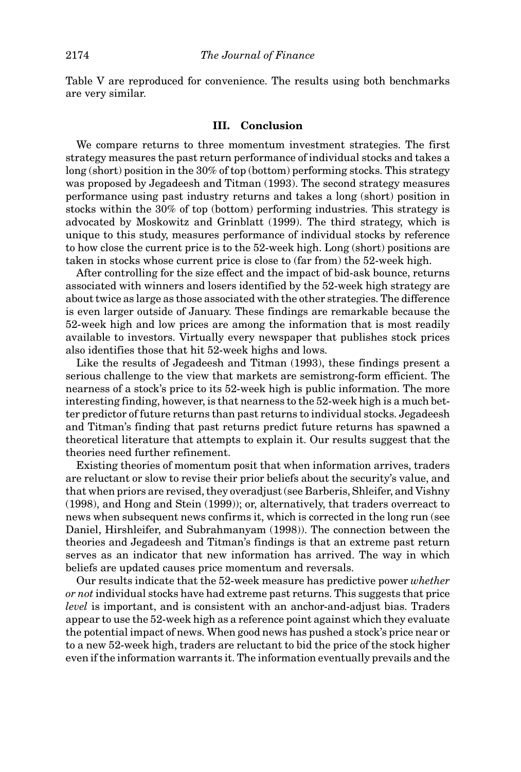Table V are reproduced for convenience. The results using both benchmarks are very similar.

## **III. Conclusion**

We compare returns to three momentum investment strategies. The first strategy measures the past return performance of individual stocks and takes a long (short) position in the 30% of top (bottom) performing stocks. This strategy was proposed by Jegadeesh and Titman (1993). The second strategy measures performance using past industry returns and takes a long (short) position in stocks within the 30% of top (bottom) performing industries. This strategy is advocated by Moskowitz and Grinblatt (1999). The third strategy, which is unique to this study, measures performance of individual stocks by reference to how close the current price is to the 52-week high. Long (short) positions are taken in stocks whose current price is close to (far from) the 52-week high.

After controlling for the size effect and the impact of bid-ask bounce, returns associated with winners and losers identified by the 52-week high strategy are about twice as large as those associated with the other strategies. The difference is even larger outside of January. These findings are remarkable because the 52-week high and low prices are among the information that is most readily available to investors. Virtually every newspaper that publishes stock prices also identifies those that hit 52-week highs and lows.

Like the results of Jegadeesh and Titman (1993), these findings present a serious challenge to the view that markets are semistrong-form efficient. The nearness of a stock's price to its 52-week high is public information. The more interesting finding, however, is that nearness to the 52-week high is a much better predictor of future returns than past returns to individual stocks. Jegadeesh and Titman's finding that past returns predict future returns has spawned a theoretical literature that attempts to explain it. Our results suggest that the theories need further refinement.

Existing theories of momentum posit that when information arrives, traders are reluctant or slow to revise their prior beliefs about the security's value, and that when priors are revised, they overadjust (see Barberis, Shleifer, and Vishny (1998), and Hong and Stein (1999)); or, alternatively, that traders overreact to news when subsequent news confirms it, which is corrected in the long run (see Daniel, Hirshleifer, and Subrahmanyam (1998)). The connection between the theories and Jegadeesh and Titman's findings is that an extreme past return serves as an indicator that new information has arrived. The way in which beliefs are updated causes price momentum and reversals.

Our results indicate that the 52-week measure has predictive power *whether or not* individual stocks have had extreme past returns. This suggests that price *level* is important, and is consistent with an anchor-and-adjust bias. Traders appear to use the 52-week high as a reference point against which they evaluate the potential impact of news. When good news has pushed a stock's price near or to a new 52-week high, traders are reluctant to bid the price of the stock higher even if the information warrants it. The information eventually prevails and the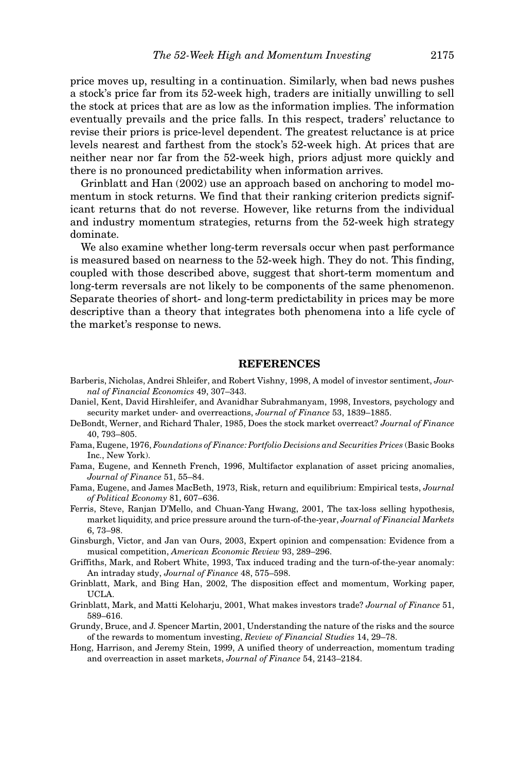price moves up, resulting in a continuation. Similarly, when bad news pushes a stock's price far from its 52-week high, traders are initially unwilling to sell the stock at prices that are as low as the information implies. The information eventually prevails and the price falls. In this respect, traders' reluctance to revise their priors is price-level dependent. The greatest reluctance is at price levels nearest and farthest from the stock's 52-week high. At prices that are neither near nor far from the 52-week high, priors adjust more quickly and there is no pronounced predictability when information arrives.

Grinblatt and Han (2002) use an approach based on anchoring to model momentum in stock returns. We find that their ranking criterion predicts significant returns that do not reverse. However, like returns from the individual and industry momentum strategies, returns from the 52-week high strategy dominate.

We also examine whether long-term reversals occur when past performance is measured based on nearness to the 52-week high. They do not. This finding, coupled with those described above, suggest that short-term momentum and long-term reversals are not likely to be components of the same phenomenon. Separate theories of short- and long-term predictability in prices may be more descriptive than a theory that integrates both phenomena into a life cycle of the market's response to news.

#### **REFERENCES**

- Barberis, Nicholas, Andrei Shleifer, and Robert Vishny, 1998, A model of investor sentiment, *Journal of Financial Economics* 49, 307–343.
- Daniel, Kent, David Hirshleifer, and Avanidhar Subrahmanyam, 1998, Investors, psychology and security market under- and overreactions, *Journal of Finance* 53, 1839–1885.
- DeBondt, Werner, and Richard Thaler, 1985, Does the stock market overreact? *Journal of Finance* 40, 793–805.
- Fama, Eugene, 1976, *Foundations of Finance: Portfolio Decisions and Securities Prices* (Basic Books Inc., New York).
- Fama, Eugene, and Kenneth French, 1996, Multifactor explanation of asset pricing anomalies, *Journal of Finance* 51, 55–84.
- Fama, Eugene, and James MacBeth, 1973, Risk, return and equilibrium: Empirical tests, *Journal of Political Economy* 81, 607–636.
- Ferris, Steve, Ranjan D'Mello, and Chuan-Yang Hwang, 2001, The tax-loss selling hypothesis, market liquidity, and price pressure around the turn-of-the-year, *Journal of Financial Markets* 6, 73–98.
- Ginsburgh, Victor, and Jan van Ours, 2003, Expert opinion and compensation: Evidence from a musical competition, *American Economic Review* 93, 289–296.
- Griffiths, Mark, and Robert White, 1993, Tax induced trading and the turn-of-the-year anomaly: An intraday study, *Journal of Finance* 48, 575–598.
- Grinblatt, Mark, and Bing Han, 2002, The disposition effect and momentum, Working paper, UCLA.
- Grinblatt, Mark, and Matti Keloharju, 2001, What makes investors trade? *Journal of Finance* 51, 589–616.
- Grundy, Bruce, and J. Spencer Martin, 2001, Understanding the nature of the risks and the source of the rewards to momentum investing, *Review of Financial Studies* 14, 29–78.
- Hong, Harrison, and Jeremy Stein, 1999, A unified theory of underreaction, momentum trading and overreaction in asset markets, *Journal of Finance* 54, 2143–2184.